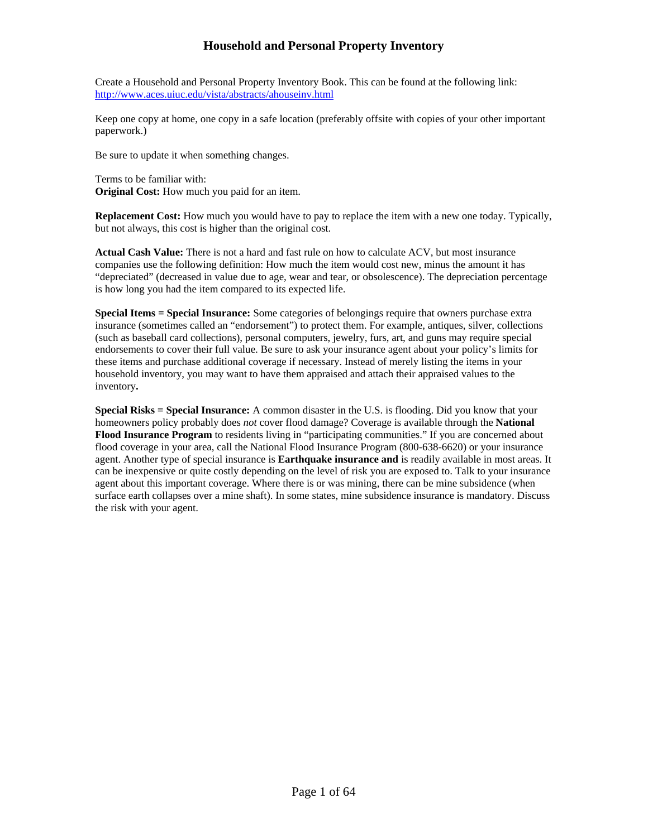Create a Household and Personal Property Inventory Book. This can be found at the following link: <http://www.aces.uiuc.edu/vista/abstracts/ahouseinv.html>

Keep one copy at home, one copy in a safe location (preferably offsite with copies of your other important paperwork.)

Be sure to update it when something changes.

Terms to be familiar with: **Original Cost:** How much you paid for an item.

**Replacement Cost:** How much you would have to pay to replace the item with a new one today. Typically, but not always, this cost is higher than the original cost.

**Actual Cash Value:** There is not a hard and fast rule on how to calculate ACV, but most insurance companies use the following definition: How much the item would cost new, minus the amount it has "depreciated" (decreased in value due to age, wear and tear, or obsolescence). The depreciation percentage is how long you had the item compared to its expected life.

**Special Items = Special Insurance:** Some categories of belongings require that owners purchase extra insurance (sometimes called an "endorsement") to protect them. For example, antiques, silver, collections (such as baseball card collections), personal computers, jewelry, furs, art, and guns may require special endorsements to cover their full value. Be sure to ask your insurance agent about your policy's limits for these items and purchase additional coverage if necessary. Instead of merely listing the items in your household inventory, you may want to have them appraised and attach their appraised values to the inventory**.** 

**Special Risks = Special Insurance:** A common disaster in the U.S. is flooding. Did you know that your homeowners policy probably does *not* cover flood damage? Coverage is available through the **National Flood Insurance Program** to residents living in "participating communities." If you are concerned about flood coverage in your area, call the National Flood Insurance Program (800-638-6620) or your insurance agent. Another type of special insurance is **Earthquake insurance and** is readily available in most areas. It can be inexpensive or quite costly depending on the level of risk you are exposed to. Talk to your insurance agent about this important coverage. Where there is or was mining, there can be mine subsidence (when surface earth collapses over a mine shaft). In some states, mine subsidence insurance is mandatory. Discuss the risk with your agent.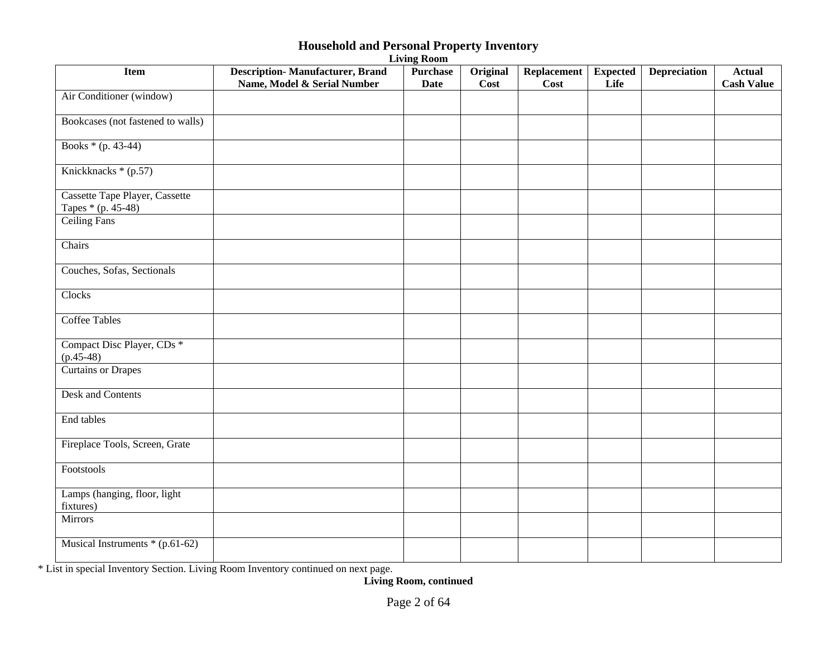| <b>Item</b>                                          | <b>Description-Manufacturer, Brand</b><br>Name, Model & Serial Number | <b>Purchase</b><br><b>Date</b> | Original<br>Cost | <b>Replacement</b><br>Cost | <b>Expected</b><br>Life | <b>Depreciation</b> | <b>Actual</b><br><b>Cash Value</b> |
|------------------------------------------------------|-----------------------------------------------------------------------|--------------------------------|------------------|----------------------------|-------------------------|---------------------|------------------------------------|
| Air Conditioner (window)                             |                                                                       |                                |                  |                            |                         |                     |                                    |
| Bookcases (not fastened to walls)                    |                                                                       |                                |                  |                            |                         |                     |                                    |
| Books * (p. 43-44)                                   |                                                                       |                                |                  |                            |                         |                     |                                    |
| Knickknacks $*(p.57)$                                |                                                                       |                                |                  |                            |                         |                     |                                    |
| Cassette Tape Player, Cassette<br>Tapes * (p. 45-48) |                                                                       |                                |                  |                            |                         |                     |                                    |
| Ceiling Fans                                         |                                                                       |                                |                  |                            |                         |                     |                                    |
| Chairs                                               |                                                                       |                                |                  |                            |                         |                     |                                    |
| Couches, Sofas, Sectionals                           |                                                                       |                                |                  |                            |                         |                     |                                    |
| Clocks                                               |                                                                       |                                |                  |                            |                         |                     |                                    |
| <b>Coffee Tables</b>                                 |                                                                       |                                |                  |                            |                         |                     |                                    |
| Compact Disc Player, CDs *<br>$(p.45-48)$            |                                                                       |                                |                  |                            |                         |                     |                                    |
| Curtains or Drapes                                   |                                                                       |                                |                  |                            |                         |                     |                                    |
| <b>Desk and Contents</b>                             |                                                                       |                                |                  |                            |                         |                     |                                    |
| End tables                                           |                                                                       |                                |                  |                            |                         |                     |                                    |
| Fireplace Tools, Screen, Grate                       |                                                                       |                                |                  |                            |                         |                     |                                    |
| Footstools                                           |                                                                       |                                |                  |                            |                         |                     |                                    |
| Lamps (hanging, floor, light<br>fixtures)            |                                                                       |                                |                  |                            |                         |                     |                                    |
| <b>Mirrors</b>                                       |                                                                       |                                |                  |                            |                         |                     |                                    |
| Musical Instruments * (p.61-62)                      |                                                                       |                                |                  |                            |                         |                     |                                    |

**Living Room** 

\* List in special Inventory Section. Living Room Inventory continued on next page.

**Living Room, continued**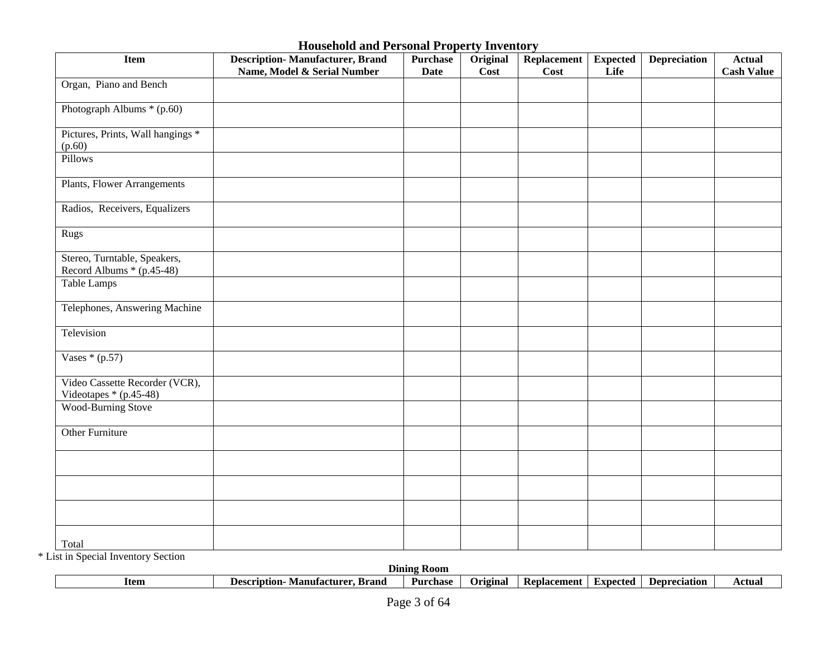| <b>Item</b>                                               | <b>Description-Manufacturer, Brand</b><br>Name, Model & Serial Number | <b>Purchase</b><br><b>Date</b> | Original<br>Cost | <b>Replacement</b><br><b>Cost</b> | <b>Expected</b><br>Life | <b>Depreciation</b> | <b>Actual</b><br><b>Cash Value</b> |
|-----------------------------------------------------------|-----------------------------------------------------------------------|--------------------------------|------------------|-----------------------------------|-------------------------|---------------------|------------------------------------|
| Organ, Piano and Bench                                    |                                                                       |                                |                  |                                   |                         |                     |                                    |
| Photograph Albums * (p.60)                                |                                                                       |                                |                  |                                   |                         |                     |                                    |
| Pictures, Prints, Wall hangings *<br>(p.60)               |                                                                       |                                |                  |                                   |                         |                     |                                    |
| Pillows                                                   |                                                                       |                                |                  |                                   |                         |                     |                                    |
| Plants, Flower Arrangements                               |                                                                       |                                |                  |                                   |                         |                     |                                    |
| Radios, Receivers, Equalizers                             |                                                                       |                                |                  |                                   |                         |                     |                                    |
| Rugs                                                      |                                                                       |                                |                  |                                   |                         |                     |                                    |
| Stereo, Turntable, Speakers,<br>Record Albums * (p.45-48) |                                                                       |                                |                  |                                   |                         |                     |                                    |
| <b>Table Lamps</b>                                        |                                                                       |                                |                  |                                   |                         |                     |                                    |
| Telephones, Answering Machine                             |                                                                       |                                |                  |                                   |                         |                     |                                    |
| Television                                                |                                                                       |                                |                  |                                   |                         |                     |                                    |
| Vases $*(p.57)$                                           |                                                                       |                                |                  |                                   |                         |                     |                                    |
| Video Cassette Recorder (VCR),<br>Videotapes * (p.45-48)  |                                                                       |                                |                  |                                   |                         |                     |                                    |
| <b>Wood-Burning Stove</b>                                 |                                                                       |                                |                  |                                   |                         |                     |                                    |
| <b>Other Furniture</b>                                    |                                                                       |                                |                  |                                   |                         |                     |                                    |
|                                                           |                                                                       |                                |                  |                                   |                         |                     |                                    |
|                                                           |                                                                       |                                |                  |                                   |                         |                     |                                    |
|                                                           |                                                                       |                                |                  |                                   |                         |                     |                                    |
| Total                                                     |                                                                       |                                |                  |                                   |                         |                     |                                    |

\* List in Special Inventory Section

| .<br>.      |                                              | <b>Dining</b><br>- Koom |           |             |          |                     |        |
|-------------|----------------------------------------------|-------------------------|-----------|-------------|----------|---------------------|--------|
| <b>Item</b> | Brand<br><b>Description</b><br>Manufacturer. | Purchase                | ')riginal | Replacement | Expected | <b>Depreciation</b> | Actual |
|             |                                              |                         |           |             |          |                     |        |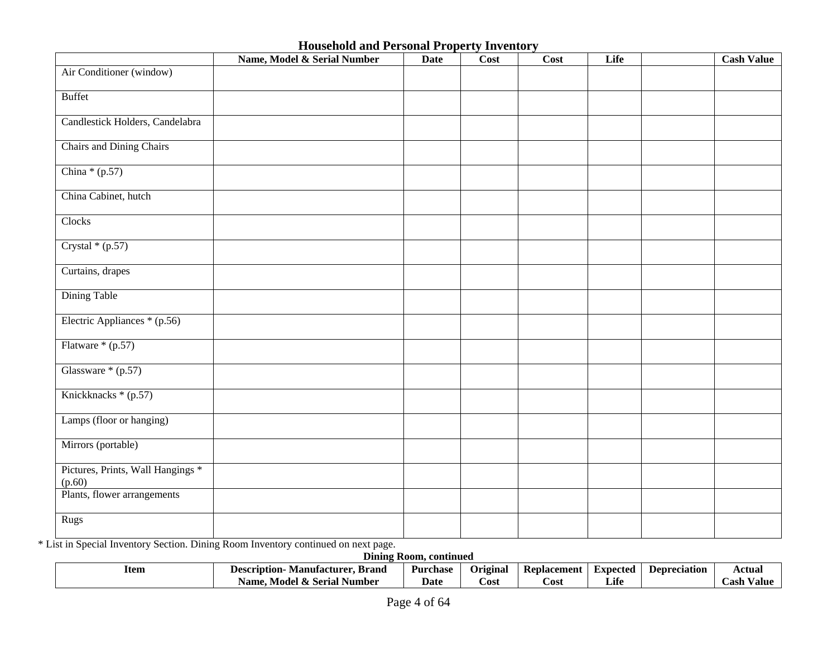|                                             | Name, Model & Serial Number | <b>Date</b> | Cost | Cost | Life | <b>Cash Value</b> |
|---------------------------------------------|-----------------------------|-------------|------|------|------|-------------------|
| Air Conditioner (window)                    |                             |             |      |      |      |                   |
| <b>Buffet</b>                               |                             |             |      |      |      |                   |
| Candlestick Holders, Candelabra             |                             |             |      |      |      |                   |
| Chairs and Dining Chairs                    |                             |             |      |      |      |                   |
| China $*(p.57)$                             |                             |             |      |      |      |                   |
| China Cabinet, hutch                        |                             |             |      |      |      |                   |
| Clocks                                      |                             |             |      |      |      |                   |
| Crystal $*(p.57)$                           |                             |             |      |      |      |                   |
| Curtains, drapes                            |                             |             |      |      |      |                   |
| Dining Table                                |                             |             |      |      |      |                   |
| Electric Appliances * (p.56)                |                             |             |      |      |      |                   |
| Flatware * (p.57)                           |                             |             |      |      |      |                   |
| Glassware $*(p.57)$                         |                             |             |      |      |      |                   |
| Knickknacks * (p.57)                        |                             |             |      |      |      |                   |
| Lamps (floor or hanging)                    |                             |             |      |      |      |                   |
| Mirrors (portable)                          |                             |             |      |      |      |                   |
| Pictures, Prints, Wall Hangings *<br>(p.60) |                             |             |      |      |      |                   |
| Plants, flower arrangements                 |                             |             |      |      |      |                   |
| Rugs                                        |                             |             |      |      |      |                   |

\* List in Special Inventory Section. Dining Room Inventory continued on next page.

| <b>Dining</b><br>: Room. continued |                                              |                 |          |                    |          |              |                |  |  |
|------------------------------------|----------------------------------------------|-----------------|----------|--------------------|----------|--------------|----------------|--|--|
| Item                               | Brand<br>Manufacturer<br><b>Description-</b> | <b>Purchase</b> | Original | <b>Replacement</b> | Expected | Depreciation | Actual         |  |  |
|                                    | Model<br>: Serial Number<br>Name.            | <b>Date</b>     | Cost     | ∠ost               | Life     |              | Cash<br>⁄ alue |  |  |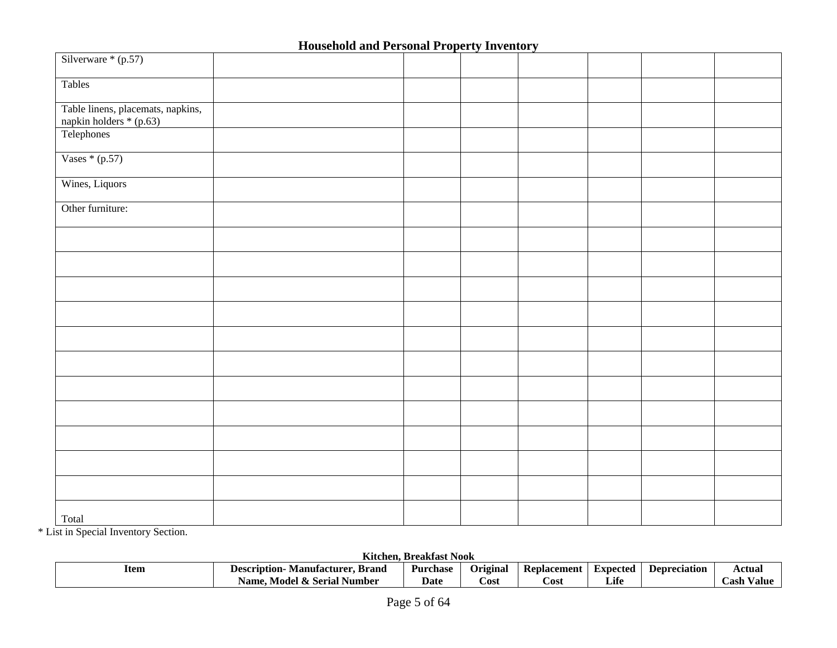| Silverware $*(p.57)$                                         |  |  |  |  |
|--------------------------------------------------------------|--|--|--|--|
| Tables                                                       |  |  |  |  |
| Table linens, placemats, napkins,<br>napkin holders * (p.63) |  |  |  |  |
| Telephones                                                   |  |  |  |  |
| Vases $*(p.57)$                                              |  |  |  |  |
| Wines, Liquors                                               |  |  |  |  |
| Other furniture:                                             |  |  |  |  |
|                                                              |  |  |  |  |
|                                                              |  |  |  |  |
|                                                              |  |  |  |  |
|                                                              |  |  |  |  |
|                                                              |  |  |  |  |
|                                                              |  |  |  |  |
|                                                              |  |  |  |  |
|                                                              |  |  |  |  |
|                                                              |  |  |  |  |
|                                                              |  |  |  |  |
|                                                              |  |  |  |  |
| Total                                                        |  |  |  |  |

\* List in Special Inventory Section.

**Kitchen, Breakfast Nook** 

| Item<br>the contract of the contract of the | .<br>. Brand<br>Manufacturer<br>rıntıon-<br>- Dese | Purchase | Original | Replacement | Expected        | <b>Depreciation</b> | Actual                 |  |
|---------------------------------------------|----------------------------------------------------|----------|----------|-------------|-----------------|---------------------|------------------------|--|
|                                             | Model & Serial<br>Number<br>Name.                  | Date     | Cost     | ∵ost        | $\cdot$<br>Lite |                     | $ -$<br>∠ash<br>⁄ alue |  |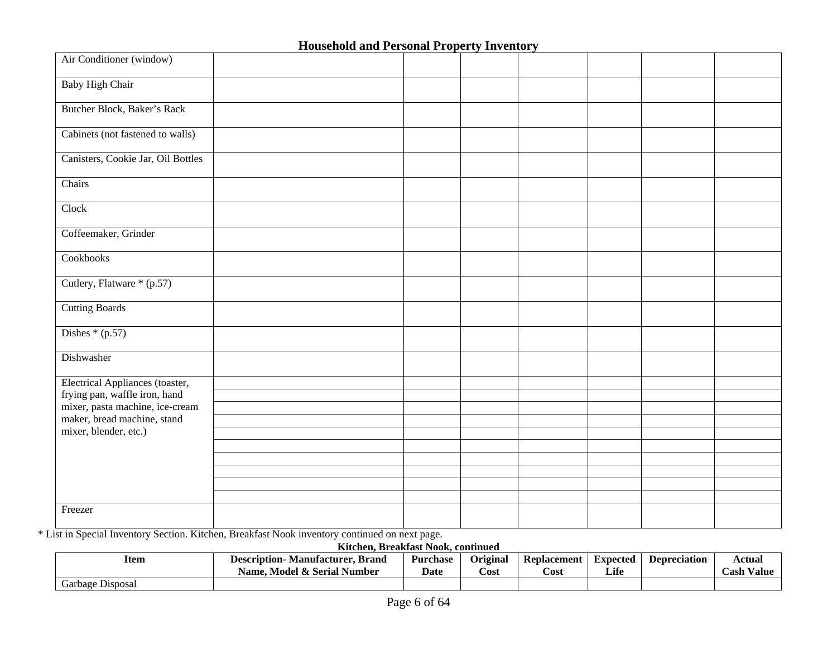| Air Conditioner (window)           |  |  |  |  |
|------------------------------------|--|--|--|--|
| <b>Baby High Chair</b>             |  |  |  |  |
| Butcher Block, Baker's Rack        |  |  |  |  |
| Cabinets (not fastened to walls)   |  |  |  |  |
| Canisters, Cookie Jar, Oil Bottles |  |  |  |  |
| Chairs                             |  |  |  |  |
| Clock                              |  |  |  |  |
| Coffeemaker, Grinder               |  |  |  |  |
| Cookbooks                          |  |  |  |  |
| Cutlery, Flatware * (p.57)         |  |  |  |  |
| <b>Cutting Boards</b>              |  |  |  |  |
| Dishes $*(p.57)$                   |  |  |  |  |
| Dishwasher                         |  |  |  |  |
| Electrical Appliances (toaster,    |  |  |  |  |
| frying pan, waffle iron, hand      |  |  |  |  |
| mixer, pasta machine, ice-cream    |  |  |  |  |
| maker, bread machine, stand        |  |  |  |  |
| mixer, blender, etc.)              |  |  |  |  |
|                                    |  |  |  |  |
|                                    |  |  |  |  |
|                                    |  |  |  |  |
|                                    |  |  |  |  |
| Freezer                            |  |  |  |  |
|                                    |  |  |  |  |

\* List in Special Inventory Section. Kitchen, Breakfast Nook inventory continued on next page.

**Kitchen, Breakfast Nook, continued** 

| Item             | <b>Manufacturer, Brand</b><br><b>Description-</b><br>Name. Model & Serial Number | <b>Purchase</b><br>Date | <b>Original</b><br>Cost | Replacement<br>Cost | Expected<br>Life | <b>Depreciation</b> | Actual<br><b>Cash Value</b> |
|------------------|----------------------------------------------------------------------------------|-------------------------|-------------------------|---------------------|------------------|---------------------|-----------------------------|
| Garbage Disposal |                                                                                  |                         |                         |                     |                  |                     |                             |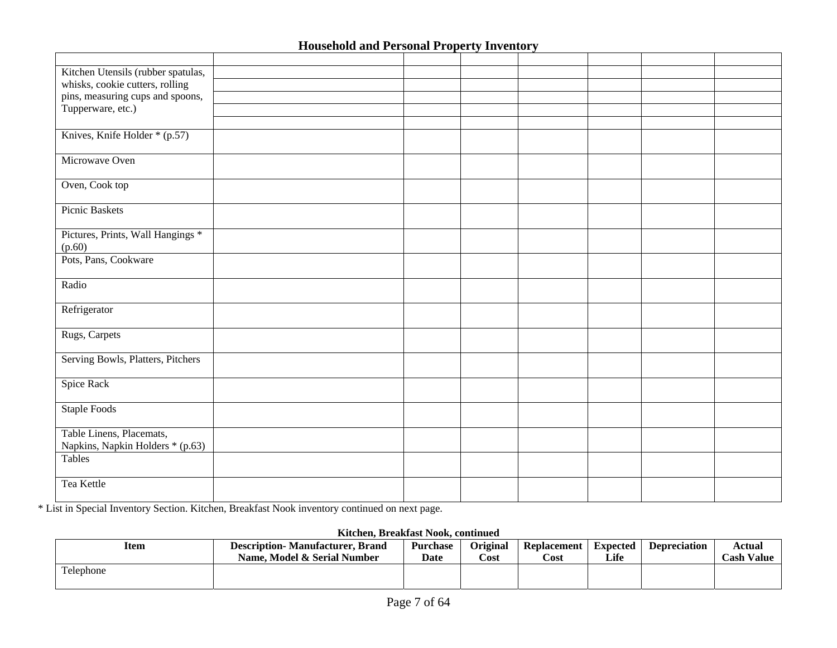| Kitchen Utensils (rubber spatulas, |  |  |  |  |
|------------------------------------|--|--|--|--|
| whisks, cookie cutters, rolling    |  |  |  |  |
| pins, measuring cups and spoons,   |  |  |  |  |
| Tupperware, etc.)                  |  |  |  |  |
|                                    |  |  |  |  |
| Knives, Knife Holder * (p.57)      |  |  |  |  |
|                                    |  |  |  |  |
| Microwave Oven                     |  |  |  |  |
|                                    |  |  |  |  |
| Oven, Cook top                     |  |  |  |  |
|                                    |  |  |  |  |
| Picnic Baskets                     |  |  |  |  |
|                                    |  |  |  |  |
| Pictures, Prints, Wall Hangings *  |  |  |  |  |
| (p.60)                             |  |  |  |  |
| Pots, Pans, Cookware               |  |  |  |  |
|                                    |  |  |  |  |
| Radio                              |  |  |  |  |
|                                    |  |  |  |  |
| Refrigerator                       |  |  |  |  |
|                                    |  |  |  |  |
| Rugs, Carpets                      |  |  |  |  |
|                                    |  |  |  |  |
| Serving Bowls, Platters, Pitchers  |  |  |  |  |
|                                    |  |  |  |  |
| Spice Rack                         |  |  |  |  |
|                                    |  |  |  |  |
| Staple Foods                       |  |  |  |  |
|                                    |  |  |  |  |
| Table Linens, Placemats,           |  |  |  |  |
| Napkins, Napkin Holders * (p.63)   |  |  |  |  |
| Tables                             |  |  |  |  |
|                                    |  |  |  |  |
| Tea Kettle                         |  |  |  |  |
|                                    |  |  |  |  |

\* List in Special Inventory Section. Kitchen, Breakfast Nook inventory continued on next page.

#### **Kitchen, Breakfast Nook, continued**

| Item      | <b>Description-Manufacturer, Brand</b><br>Name. Model & Serial Number | <b>Purchase</b><br><b>Date</b> | <b>Original</b><br>Cost | <b>Replacement</b><br>Cost | Expected<br>Life | <b>Depreciation</b> | Actual<br><b>Cash Value</b> |
|-----------|-----------------------------------------------------------------------|--------------------------------|-------------------------|----------------------------|------------------|---------------------|-----------------------------|
| Telephone |                                                                       |                                |                         |                            |                  |                     |                             |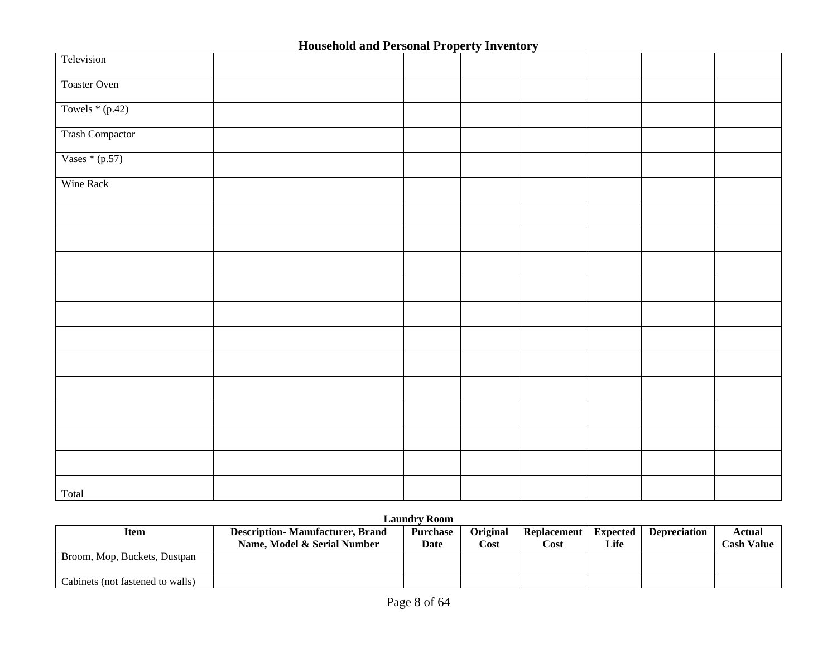| Television             |  |  |  |  |
|------------------------|--|--|--|--|
| Toaster Oven           |  |  |  |  |
| Towels $*(p.42)$       |  |  |  |  |
| <b>Trash Compactor</b> |  |  |  |  |
| Vases $*(p.57)$        |  |  |  |  |
| Wine Rack              |  |  |  |  |
|                        |  |  |  |  |
|                        |  |  |  |  |
|                        |  |  |  |  |
|                        |  |  |  |  |
|                        |  |  |  |  |
|                        |  |  |  |  |
|                        |  |  |  |  |
|                        |  |  |  |  |
|                        |  |  |  |  |
|                        |  |  |  |  |
|                        |  |  |  |  |
| Total                  |  |  |  |  |

#### **Laundry Room**

| Item                             | <b>Description-Manufacturer, Brand</b><br>Name. Model & Serial Number | <b>Purchase</b><br>Date | <b>Original</b><br>Cost | Replacement<br>$\cos t$ | Expected<br>Life | <b>Depreciation</b> | Actual<br><b>Cash Value</b> |
|----------------------------------|-----------------------------------------------------------------------|-------------------------|-------------------------|-------------------------|------------------|---------------------|-----------------------------|
| Broom, Mop, Buckets, Dustpan     |                                                                       |                         |                         |                         |                  |                     |                             |
| Cabinets (not fastened to walls) |                                                                       |                         |                         |                         |                  |                     |                             |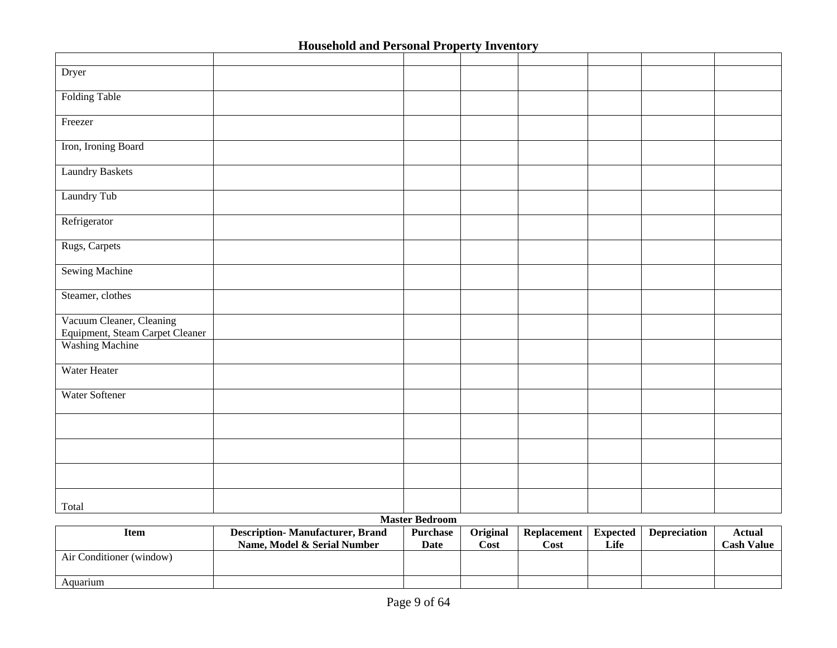| Dryer                           |                       |  |  |  |
|---------------------------------|-----------------------|--|--|--|
|                                 |                       |  |  |  |
| Folding Table                   |                       |  |  |  |
|                                 |                       |  |  |  |
| Freezer                         |                       |  |  |  |
|                                 |                       |  |  |  |
| Iron, Ironing Board             |                       |  |  |  |
|                                 |                       |  |  |  |
| <b>Laundry Baskets</b>          |                       |  |  |  |
|                                 |                       |  |  |  |
| Laundry Tub                     |                       |  |  |  |
|                                 |                       |  |  |  |
| Refrigerator                    |                       |  |  |  |
|                                 |                       |  |  |  |
| Rugs, Carpets                   |                       |  |  |  |
|                                 |                       |  |  |  |
| <b>Sewing Machine</b>           |                       |  |  |  |
|                                 |                       |  |  |  |
| Steamer, clothes                |                       |  |  |  |
|                                 |                       |  |  |  |
| Vacuum Cleaner, Cleaning        |                       |  |  |  |
| Equipment, Steam Carpet Cleaner |                       |  |  |  |
| <b>Washing Machine</b>          |                       |  |  |  |
|                                 |                       |  |  |  |
| Water Heater                    |                       |  |  |  |
|                                 |                       |  |  |  |
| Water Softener                  |                       |  |  |  |
|                                 |                       |  |  |  |
|                                 |                       |  |  |  |
|                                 |                       |  |  |  |
|                                 |                       |  |  |  |
|                                 |                       |  |  |  |
|                                 |                       |  |  |  |
|                                 |                       |  |  |  |
|                                 |                       |  |  |  |
| Total                           |                       |  |  |  |
|                                 | <b>Master Bedroom</b> |  |  |  |

| Item                     | <b>Description-Manufacturer, Brand</b><br>Name, Model & Serial Number | <b>Purchase</b><br>Date | <b>Original</b><br>Cost | Replacement<br>Cost | Expected<br>Life | <b>Depreciation</b> | Actual<br>Cash Value |
|--------------------------|-----------------------------------------------------------------------|-------------------------|-------------------------|---------------------|------------------|---------------------|----------------------|
| Air Conditioner (window) |                                                                       |                         |                         |                     |                  |                     |                      |
| Aquarium                 |                                                                       |                         |                         |                     |                  |                     |                      |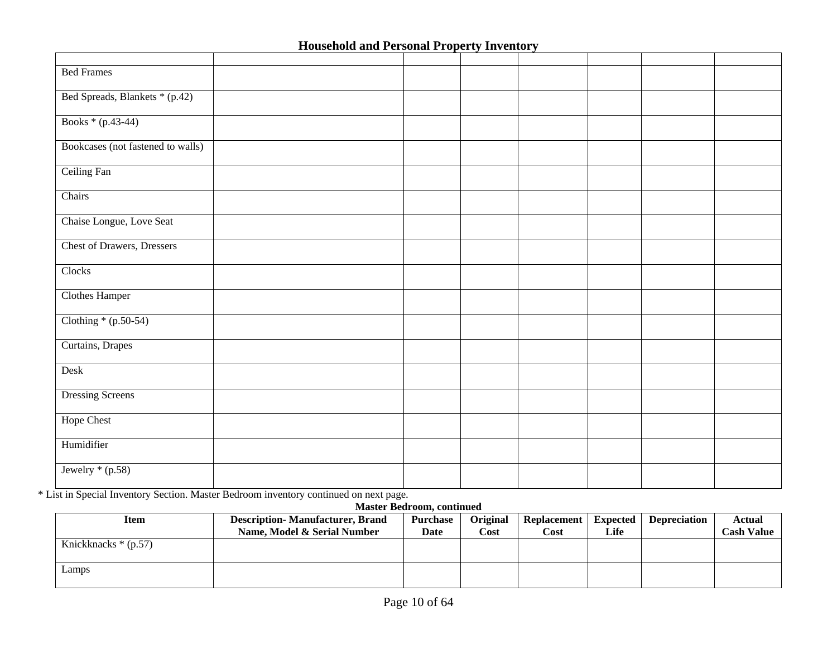| <b>Bed Frames</b>                 |  |  |  |  |
|-----------------------------------|--|--|--|--|
| Bed Spreads, Blankets * (p.42)    |  |  |  |  |
| Books * (p.43-44)                 |  |  |  |  |
| Bookcases (not fastened to walls) |  |  |  |  |
| Ceiling Fan                       |  |  |  |  |
| Chairs                            |  |  |  |  |
| Chaise Longue, Love Seat          |  |  |  |  |
| <b>Chest of Drawers, Dressers</b> |  |  |  |  |
| Clocks                            |  |  |  |  |
| <b>Clothes Hamper</b>             |  |  |  |  |
| Clothing $*(p.50-54)$             |  |  |  |  |
| Curtains, Drapes                  |  |  |  |  |
| Desk                              |  |  |  |  |
| <b>Dressing Screens</b>           |  |  |  |  |
| <b>Hope Chest</b>                 |  |  |  |  |
| Humidifier                        |  |  |  |  |
| Jewelry $*(p.58)$                 |  |  |  |  |

\* List in Special Inventory Section. Master Bedroom inventory continued on next page.

#### **Master Bedroom, continued**

| Item                  | <b>Description-Manufacturer, Brand</b> | <b>Purchase</b> | Original | Replacement   Expected |      | <b>Depreciation</b> | Actual     |
|-----------------------|----------------------------------------|-----------------|----------|------------------------|------|---------------------|------------|
|                       | Name, Model & Serial Number            | Date            | Cost     | Cost                   | Life |                     | Cash Value |
| Knickknacks $*(p.57)$ |                                        |                 |          |                        |      |                     |            |
|                       |                                        |                 |          |                        |      |                     |            |
| Lamps                 |                                        |                 |          |                        |      |                     |            |
|                       |                                        |                 |          |                        |      |                     |            |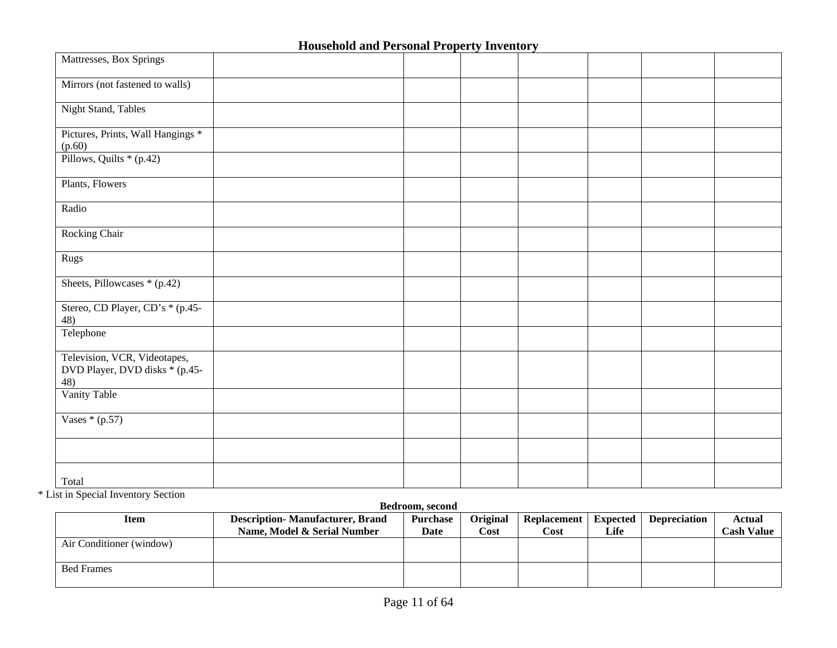| Mattresses, Box Springs                                               |  |  |  |  |
|-----------------------------------------------------------------------|--|--|--|--|
| Mirrors (not fastened to walls)                                       |  |  |  |  |
| <b>Night Stand, Tables</b>                                            |  |  |  |  |
| Pictures, Prints, Wall Hangings *<br>(p.60)                           |  |  |  |  |
| Pillows, Quilts * (p.42)                                              |  |  |  |  |
| Plants, Flowers                                                       |  |  |  |  |
| Radio                                                                 |  |  |  |  |
| Rocking Chair                                                         |  |  |  |  |
| Rugs                                                                  |  |  |  |  |
| Sheets, Pillowcases * (p.42)                                          |  |  |  |  |
| Stereo, CD Player, CD's * (p.45-<br>48)                               |  |  |  |  |
| Telephone                                                             |  |  |  |  |
| Television, VCR, Videotapes,<br>DVD Player, DVD disks * (p.45-<br>48) |  |  |  |  |
| Vanity Table                                                          |  |  |  |  |
| Vases $*(p.57)$                                                       |  |  |  |  |
|                                                                       |  |  |  |  |
| Total                                                                 |  |  |  |  |

\* List in Special Inventory Section

#### **Bedroom, second**

| Item                     | <b>Description-Manufacturer, Brand</b> | <b>Purchase</b> | Original | <b>Replacement</b> | <b>Expected</b> | <b>Depreciation</b> | Actual            |
|--------------------------|----------------------------------------|-----------------|----------|--------------------|-----------------|---------------------|-------------------|
|                          | Name. Model & Serial Number            | Date            | Cost     | Cost               | Life            |                     | <b>Cash Value</b> |
| Air Conditioner (window) |                                        |                 |          |                    |                 |                     |                   |
| <b>Bed Frames</b>        |                                        |                 |          |                    |                 |                     |                   |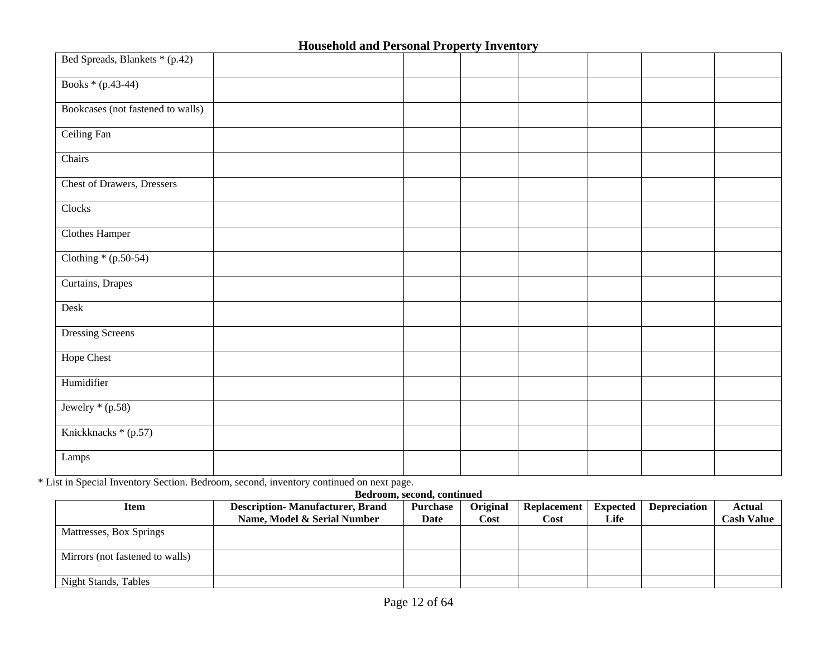| Bed Spreads, Blankets * (p.42)    |  |  |  |  |
|-----------------------------------|--|--|--|--|
| Books * (p.43-44)                 |  |  |  |  |
| Bookcases (not fastened to walls) |  |  |  |  |
| Ceiling Fan                       |  |  |  |  |
| Chairs                            |  |  |  |  |
| <b>Chest of Drawers, Dressers</b> |  |  |  |  |
| Clocks                            |  |  |  |  |
| <b>Clothes Hamper</b>             |  |  |  |  |
| Clothing $*(p.50-54)$             |  |  |  |  |
| Curtains, Drapes                  |  |  |  |  |
| Desk                              |  |  |  |  |
| <b>Dressing Screens</b>           |  |  |  |  |
| <b>Hope Chest</b>                 |  |  |  |  |
| Humidifier                        |  |  |  |  |
| Jewelry $*(p.58)$                 |  |  |  |  |
| Knickknacks * (p.57)              |  |  |  |  |
| Lamps                             |  |  |  |  |

\* List in Special Inventory Section. Bedroom, second, inventory continued on next page.

#### **Bedroom, second, continued**

| Item                            | <b>Description-Manufacturer, Brand</b> | <b>Purchase</b> | Original | Replacement | Expected | <b>Depreciation</b> | Actual            |
|---------------------------------|----------------------------------------|-----------------|----------|-------------|----------|---------------------|-------------------|
|                                 | Name, Model & Serial Number            | Date            | Cost     | Cost        | Life     |                     | <b>Cash Value</b> |
| Mattresses, Box Springs         |                                        |                 |          |             |          |                     |                   |
| Mirrors (not fastened to walls) |                                        |                 |          |             |          |                     |                   |
| Night Stands, Tables            |                                        |                 |          |             |          |                     |                   |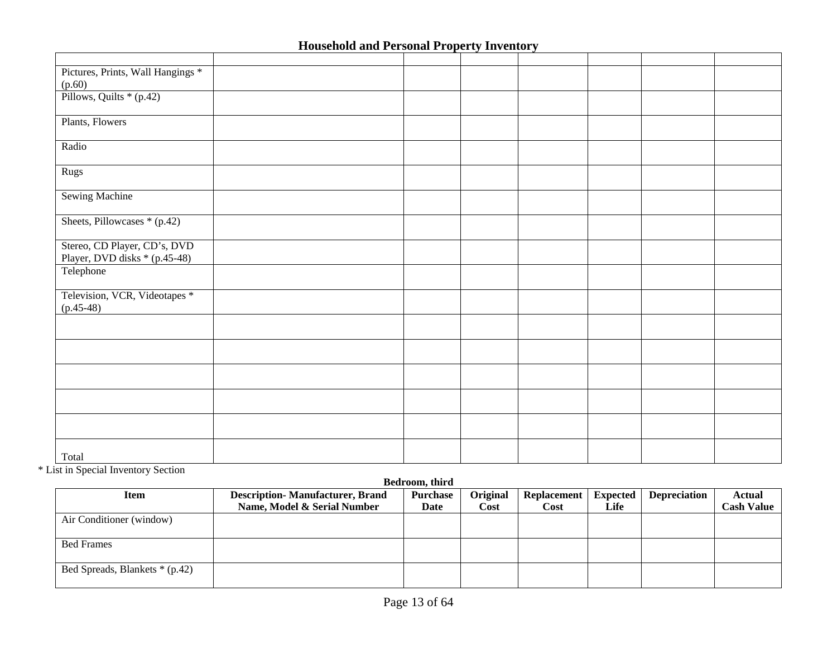| Pictures, Prints, Wall Hangings *<br>(p.60)                   |  |  |  |  |
|---------------------------------------------------------------|--|--|--|--|
| Pillows, Quilts * (p.42)                                      |  |  |  |  |
| Plants, Flowers                                               |  |  |  |  |
| Radio                                                         |  |  |  |  |
| Rugs                                                          |  |  |  |  |
| <b>Sewing Machine</b>                                         |  |  |  |  |
| Sheets, Pillowcases * (p.42)                                  |  |  |  |  |
| Stereo, CD Player, CD's, DVD<br>Player, DVD disks * (p.45-48) |  |  |  |  |
| Telephone                                                     |  |  |  |  |
| Television, VCR, Videotapes *<br>$(p.45-48)$                  |  |  |  |  |
|                                                               |  |  |  |  |
|                                                               |  |  |  |  |
|                                                               |  |  |  |  |
|                                                               |  |  |  |  |
|                                                               |  |  |  |  |
| Total                                                         |  |  |  |  |

\* List in Special Inventory Section

### **Bedroom, third**

| Item                           | <b>Description-Manufacturer, Brand</b> | <b>Purchase</b> | Original | <b>Replacement</b> | <b>Expected</b> | <b>Depreciation</b> | Actual            |
|--------------------------------|----------------------------------------|-----------------|----------|--------------------|-----------------|---------------------|-------------------|
|                                | Name, Model & Serial Number            | Date            | Cost     | Cost               | Life            |                     | <b>Cash Value</b> |
| Air Conditioner (window)       |                                        |                 |          |                    |                 |                     |                   |
|                                |                                        |                 |          |                    |                 |                     |                   |
| <b>Bed Frames</b>              |                                        |                 |          |                    |                 |                     |                   |
|                                |                                        |                 |          |                    |                 |                     |                   |
| Bed Spreads, Blankets * (p.42) |                                        |                 |          |                    |                 |                     |                   |
|                                |                                        |                 |          |                    |                 |                     |                   |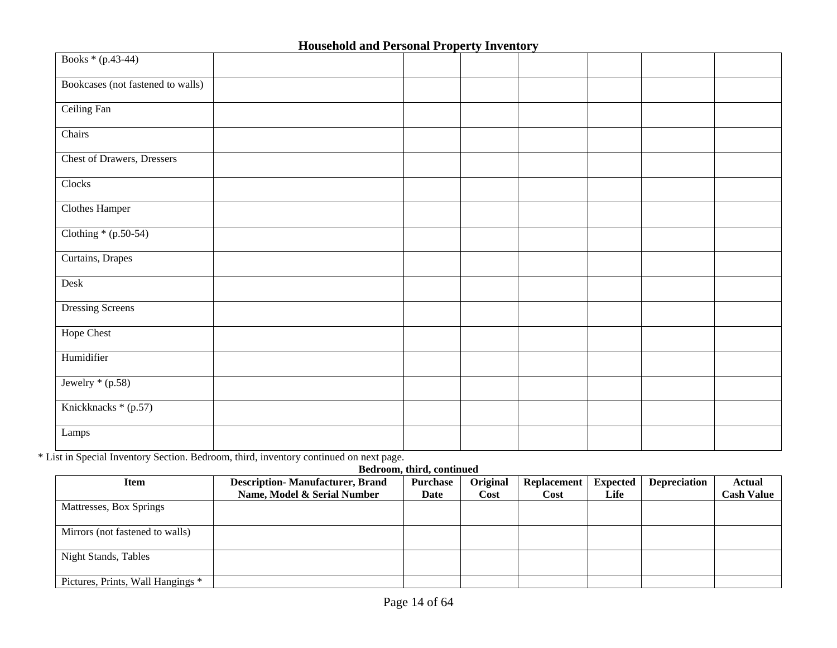| Books * (p.43-44)                 |  |  |  |  |
|-----------------------------------|--|--|--|--|
| Bookcases (not fastened to walls) |  |  |  |  |
| Ceiling Fan                       |  |  |  |  |
| Chairs                            |  |  |  |  |
| <b>Chest of Drawers, Dressers</b> |  |  |  |  |
| Clocks                            |  |  |  |  |
| Clothes Hamper                    |  |  |  |  |
| Clothing $*(p.50-54)$             |  |  |  |  |
| Curtains, Drapes                  |  |  |  |  |
| Desk                              |  |  |  |  |
| <b>Dressing Screens</b>           |  |  |  |  |
| <b>Hope Chest</b>                 |  |  |  |  |
| Humidifier                        |  |  |  |  |
| Jewelry $*(p.58)$                 |  |  |  |  |
| Knickknacks * (p.57)              |  |  |  |  |
| Lamps                             |  |  |  |  |

\* List in Special Inventory Section. Bedroom, third, inventory continued on next page.

#### **Bedroom, third, continued**

| <b>Item</b>                       | <b>Description-Manufacturer, Brand</b> | <b>Purchase</b> | Original    | <b>Replacement</b> | <b>Expected</b> | <b>Depreciation</b> | Actual            |
|-----------------------------------|----------------------------------------|-----------------|-------------|--------------------|-----------------|---------------------|-------------------|
|                                   | Name, Model & Serial Number            | Date            | <b>Cost</b> | Cost               | Life            |                     | <b>Cash Value</b> |
| Mattresses, Box Springs           |                                        |                 |             |                    |                 |                     |                   |
|                                   |                                        |                 |             |                    |                 |                     |                   |
| Mirrors (not fastened to walls)   |                                        |                 |             |                    |                 |                     |                   |
|                                   |                                        |                 |             |                    |                 |                     |                   |
| <b>Night Stands, Tables</b>       |                                        |                 |             |                    |                 |                     |                   |
|                                   |                                        |                 |             |                    |                 |                     |                   |
| Pictures, Prints, Wall Hangings * |                                        |                 |             |                    |                 |                     |                   |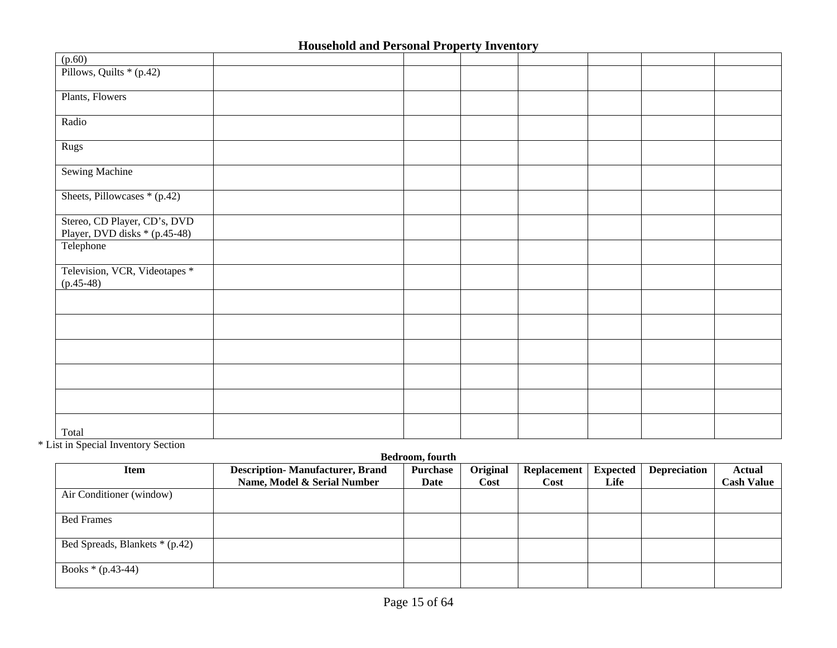|                                                               | <b>Household and I crisonal Liberty Inventory</b> |  |  |  |
|---------------------------------------------------------------|---------------------------------------------------|--|--|--|
| (p.60)                                                        |                                                   |  |  |  |
| Pillows, Quilts * (p.42)                                      |                                                   |  |  |  |
| Plants, Flowers                                               |                                                   |  |  |  |
| Radio                                                         |                                                   |  |  |  |
| Rugs                                                          |                                                   |  |  |  |
| <b>Sewing Machine</b>                                         |                                                   |  |  |  |
| Sheets, Pillowcases * (p.42)                                  |                                                   |  |  |  |
| Stereo, CD Player, CD's, DVD<br>Player, DVD disks * (p.45-48) |                                                   |  |  |  |
| Telephone                                                     |                                                   |  |  |  |
| Television, VCR, Videotapes *<br>$(p.45-48)$                  |                                                   |  |  |  |
|                                                               |                                                   |  |  |  |
|                                                               |                                                   |  |  |  |
|                                                               |                                                   |  |  |  |
|                                                               |                                                   |  |  |  |
|                                                               |                                                   |  |  |  |
| Total                                                         |                                                   |  |  |  |

\* List in Special Inventory Section

**Bedroom, fourth** 

| <b>Item</b>                    | <b>Description-Manufacturer, Brand</b> | <b>Purchase</b> | Original | <b>Replacement</b> | <b>Expected</b> | <b>Depreciation</b> | Actual            |
|--------------------------------|----------------------------------------|-----------------|----------|--------------------|-----------------|---------------------|-------------------|
|                                | Name, Model & Serial Number            | Date            | Cost     | Cost               | Life            |                     | <b>Cash Value</b> |
| Air Conditioner (window)       |                                        |                 |          |                    |                 |                     |                   |
| <b>Bed Frames</b>              |                                        |                 |          |                    |                 |                     |                   |
| Bed Spreads, Blankets * (p.42) |                                        |                 |          |                    |                 |                     |                   |
| Books $*(p.43-44)$             |                                        |                 |          |                    |                 |                     |                   |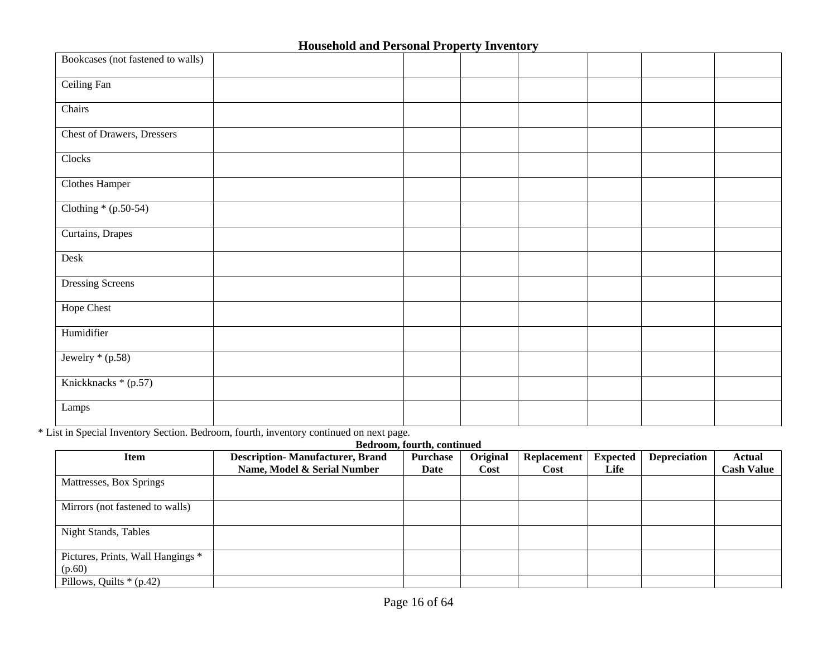| Bookcases (not fastened to walls) |  |  |  |  |
|-----------------------------------|--|--|--|--|
| Ceiling Fan                       |  |  |  |  |
| Chairs                            |  |  |  |  |
| Chest of Drawers, Dressers        |  |  |  |  |
| Clocks                            |  |  |  |  |
| <b>Clothes Hamper</b>             |  |  |  |  |
| Clothing $*(p.50-54)$             |  |  |  |  |
| Curtains, Drapes                  |  |  |  |  |
| Desk                              |  |  |  |  |
| <b>Dressing Screens</b>           |  |  |  |  |
| <b>Hope Chest</b>                 |  |  |  |  |
| Humidifier                        |  |  |  |  |
| Jewelry $*(p.58)$                 |  |  |  |  |
| Knickknacks * (p.57)              |  |  |  |  |
| Lamps                             |  |  |  |  |

\* List in Special Inventory Section. Bedroom, fourth, inventory continued on next page.

|                                             |                                        | Bedroom, fourth, continued |          |                    |                 |                     |                   |
|---------------------------------------------|----------------------------------------|----------------------------|----------|--------------------|-----------------|---------------------|-------------------|
| <b>Item</b>                                 | <b>Description-Manufacturer, Brand</b> | Purchase                   | Original | <b>Replacement</b> | <b>Expected</b> | <b>Depreciation</b> | Actual            |
|                                             | Name, Model & Serial Number            | Date                       | Cost     | Cost               | Life            |                     | <b>Cash Value</b> |
| Mattresses, Box Springs                     |                                        |                            |          |                    |                 |                     |                   |
| Mirrors (not fastened to walls)             |                                        |                            |          |                    |                 |                     |                   |
| <b>Night Stands, Tables</b>                 |                                        |                            |          |                    |                 |                     |                   |
| Pictures, Prints, Wall Hangings *<br>(p.60) |                                        |                            |          |                    |                 |                     |                   |
| Pillows, Quilts $*(p.42)$                   |                                        |                            |          |                    |                 |                     |                   |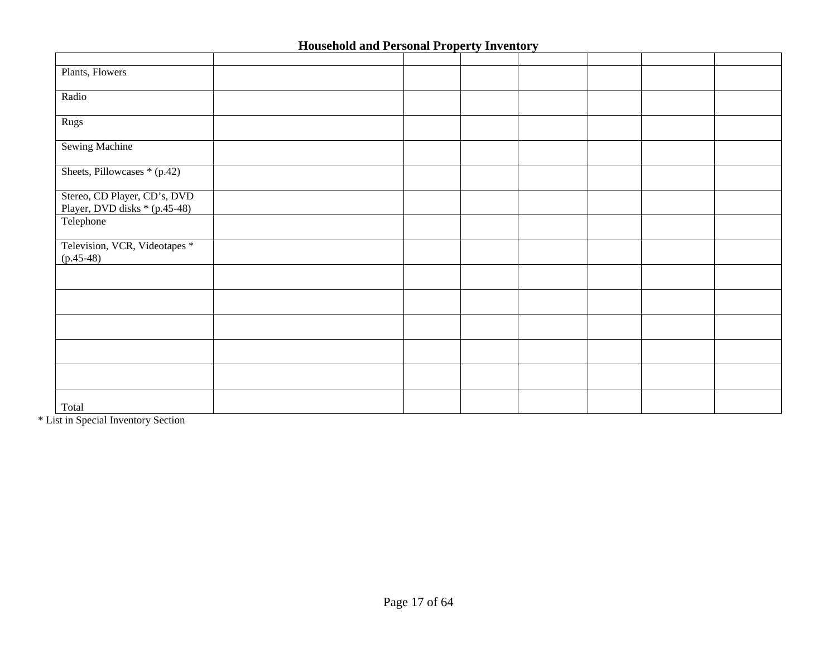| Plants, Flowers               |  |  |  |  |
|-------------------------------|--|--|--|--|
|                               |  |  |  |  |
| Radio                         |  |  |  |  |
|                               |  |  |  |  |
| Rugs                          |  |  |  |  |
| <b>Sewing Machine</b>         |  |  |  |  |
|                               |  |  |  |  |
| Sheets, Pillowcases $*(p.42)$ |  |  |  |  |
|                               |  |  |  |  |
| Stereo, CD Player, CD's, DVD  |  |  |  |  |
| Player, DVD disks * (p.45-48) |  |  |  |  |
| Telephone                     |  |  |  |  |
|                               |  |  |  |  |
| Television, VCR, Videotapes * |  |  |  |  |
| $(p.45-48)$                   |  |  |  |  |
|                               |  |  |  |  |
|                               |  |  |  |  |
|                               |  |  |  |  |
|                               |  |  |  |  |
|                               |  |  |  |  |
|                               |  |  |  |  |
|                               |  |  |  |  |
|                               |  |  |  |  |
|                               |  |  |  |  |
|                               |  |  |  |  |
| Total                         |  |  |  |  |

\* List in Special Inventory Section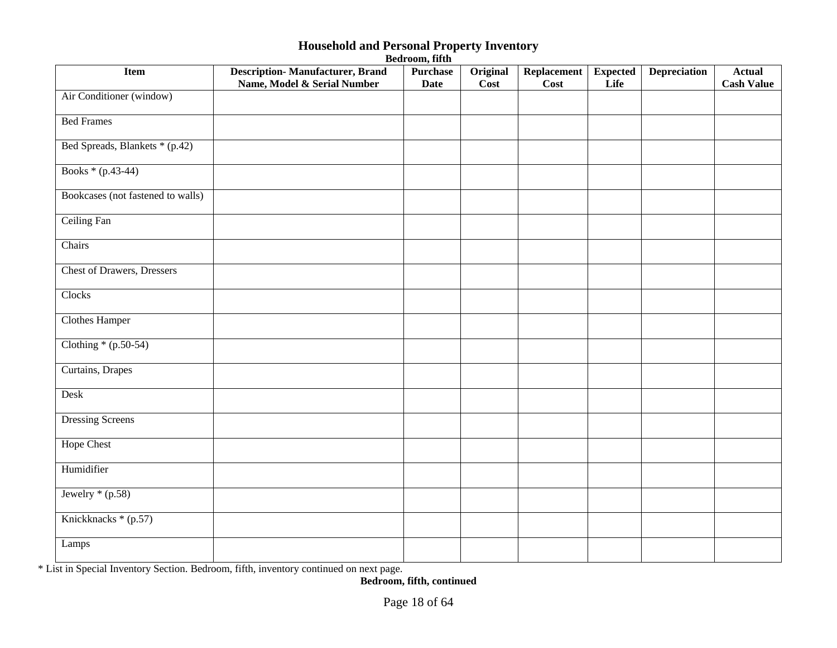| <b>Item</b>                       | <b>Description-Manufacturer, Brand</b><br>Name, Model & Serial Number | <b>Purchase</b><br><b>Date</b> | Original<br>$\overline{\mathrm{Cost}}$ | Replacement<br>Cost | <b>Expected</b><br>Life | <b>Depreciation</b> | <b>Actual</b><br><b>Cash Value</b> |
|-----------------------------------|-----------------------------------------------------------------------|--------------------------------|----------------------------------------|---------------------|-------------------------|---------------------|------------------------------------|
| Air Conditioner (window)          |                                                                       |                                |                                        |                     |                         |                     |                                    |
| <b>Bed Frames</b>                 |                                                                       |                                |                                        |                     |                         |                     |                                    |
| Bed Spreads, Blankets * (p.42)    |                                                                       |                                |                                        |                     |                         |                     |                                    |
| Books * (p.43-44)                 |                                                                       |                                |                                        |                     |                         |                     |                                    |
| Bookcases (not fastened to walls) |                                                                       |                                |                                        |                     |                         |                     |                                    |
| <b>Ceiling Fan</b>                |                                                                       |                                |                                        |                     |                         |                     |                                    |
| Chairs                            |                                                                       |                                |                                        |                     |                         |                     |                                    |
| <b>Chest of Drawers, Dressers</b> |                                                                       |                                |                                        |                     |                         |                     |                                    |
| Clocks                            |                                                                       |                                |                                        |                     |                         |                     |                                    |
| <b>Clothes Hamper</b>             |                                                                       |                                |                                        |                     |                         |                     |                                    |
| Clothing $*(p.50-54)$             |                                                                       |                                |                                        |                     |                         |                     |                                    |
| Curtains, Drapes                  |                                                                       |                                |                                        |                     |                         |                     |                                    |
| Desk                              |                                                                       |                                |                                        |                     |                         |                     |                                    |
| <b>Dressing Screens</b>           |                                                                       |                                |                                        |                     |                         |                     |                                    |
| <b>Hope Chest</b>                 |                                                                       |                                |                                        |                     |                         |                     |                                    |
| Humidifier                        |                                                                       |                                |                                        |                     |                         |                     |                                    |
| Jewelry $*(p.58)$                 |                                                                       |                                |                                        |                     |                         |                     |                                    |
| Knickknacks * (p.57)              |                                                                       |                                |                                        |                     |                         |                     |                                    |
| Lamps                             |                                                                       |                                |                                        |                     |                         |                     |                                    |

**Bedroom, fifth** 

\* List in Special Inventory Section. Bedroom, fifth, inventory continued on next page.

**Bedroom, fifth, continued**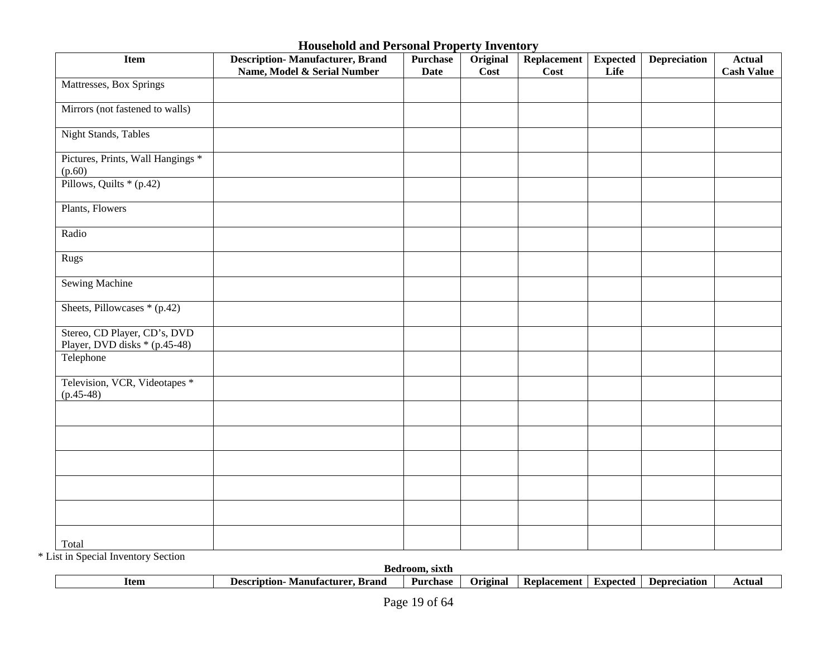| <b>Item</b>                                                   | <b>Description-Manufacturer, Brand</b><br>Name, Model & Serial Number | <b>Purchase</b><br><b>Date</b> | Original<br>$\overline{\text{Cost}}$ | Replacement<br>Cost | <b>Expected</b><br>Life | <b>Depreciation</b> | <b>Actual</b><br><b>Cash Value</b> |
|---------------------------------------------------------------|-----------------------------------------------------------------------|--------------------------------|--------------------------------------|---------------------|-------------------------|---------------------|------------------------------------|
| Mattresses, Box Springs                                       |                                                                       |                                |                                      |                     |                         |                     |                                    |
| Mirrors (not fastened to walls)                               |                                                                       |                                |                                      |                     |                         |                     |                                    |
| Night Stands, Tables                                          |                                                                       |                                |                                      |                     |                         |                     |                                    |
| Pictures, Prints, Wall Hangings *<br>(p.60)                   |                                                                       |                                |                                      |                     |                         |                     |                                    |
| Pillows, Quilts * (p.42)                                      |                                                                       |                                |                                      |                     |                         |                     |                                    |
| Plants, Flowers                                               |                                                                       |                                |                                      |                     |                         |                     |                                    |
| Radio                                                         |                                                                       |                                |                                      |                     |                         |                     |                                    |
| Rugs                                                          |                                                                       |                                |                                      |                     |                         |                     |                                    |
| Sewing Machine                                                |                                                                       |                                |                                      |                     |                         |                     |                                    |
| Sheets, Pillowcases * (p.42)                                  |                                                                       |                                |                                      |                     |                         |                     |                                    |
| Stereo, CD Player, CD's, DVD<br>Player, DVD disks * (p.45-48) |                                                                       |                                |                                      |                     |                         |                     |                                    |
| Telephone                                                     |                                                                       |                                |                                      |                     |                         |                     |                                    |
| Television, VCR, Videotapes *<br>$(p.45-48)$                  |                                                                       |                                |                                      |                     |                         |                     |                                    |
|                                                               |                                                                       |                                |                                      |                     |                         |                     |                                    |
|                                                               |                                                                       |                                |                                      |                     |                         |                     |                                    |
|                                                               |                                                                       |                                |                                      |                     |                         |                     |                                    |
|                                                               |                                                                       |                                |                                      |                     |                         |                     |                                    |
|                                                               |                                                                       |                                |                                      |                     |                         |                     |                                    |
| Total                                                         |                                                                       |                                |                                      |                     |                         |                     |                                    |

\* List in Special Inventory Section

|      | Bec                                      | room.<br>sixth |                 |                    |                    |              |        |
|------|------------------------------------------|----------------|-----------------|--------------------|--------------------|--------------|--------|
| Item | ×rano<br>. Je<br>rıntıon<br>- Manutactur | Purchase       | <b>Priginal</b> | <b>Replacement</b> | Hxnected<br>.<br>. | Depreciation | -ctua. |
|      |                                          |                |                 |                    |                    |              |        |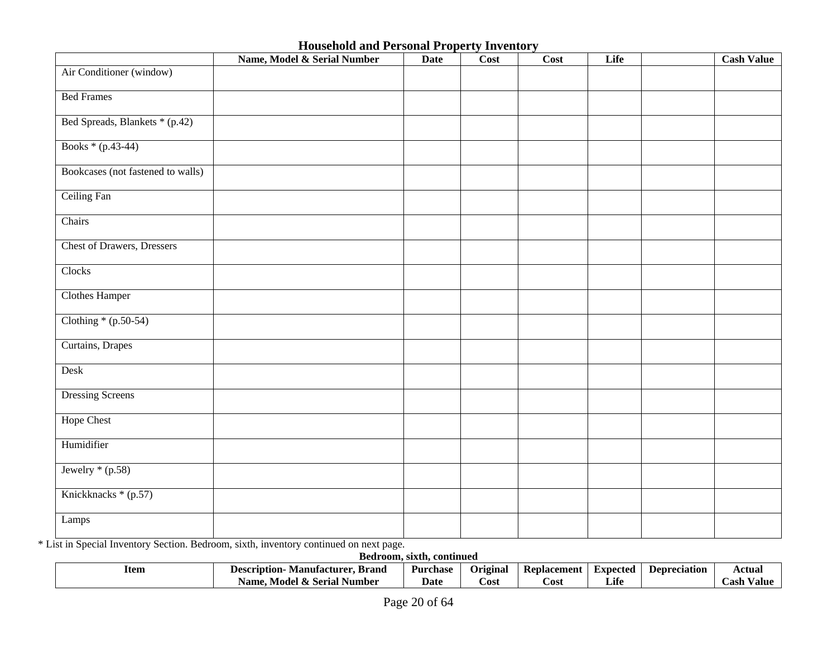|                                   | Name, Model & Serial Number | <b>Date</b> | Cost | <b>Cost</b> | Life | <b>Cash Value</b> |
|-----------------------------------|-----------------------------|-------------|------|-------------|------|-------------------|
| Air Conditioner (window)          |                             |             |      |             |      |                   |
| <b>Bed Frames</b>                 |                             |             |      |             |      |                   |
| Bed Spreads, Blankets * (p.42)    |                             |             |      |             |      |                   |
| Books * (p.43-44)                 |                             |             |      |             |      |                   |
| Bookcases (not fastened to walls) |                             |             |      |             |      |                   |
| Ceiling Fan                       |                             |             |      |             |      |                   |
| Chairs                            |                             |             |      |             |      |                   |
| <b>Chest of Drawers, Dressers</b> |                             |             |      |             |      |                   |
| Clocks                            |                             |             |      |             |      |                   |
| <b>Clothes Hamper</b>             |                             |             |      |             |      |                   |
| Clothing $*(p.50-54)$             |                             |             |      |             |      |                   |
| Curtains, Drapes                  |                             |             |      |             |      |                   |
| Desk                              |                             |             |      |             |      |                   |
| <b>Dressing Screens</b>           |                             |             |      |             |      |                   |
| Hope Chest                        |                             |             |      |             |      |                   |
| Humidifier                        |                             |             |      |             |      |                   |
| Jewelry $*(p.58)$                 |                             |             |      |             |      |                   |
| Knickknacks * (p.57)              |                             |             |      |             |      |                   |
| Lamps                             |                             |             |      |             |      |                   |

\* List in Special Inventory Section. Bedroom, sixth, inventory continued on next page.

| Bedroom.<br>sixth.<br>. continued |                                              |          |          |             |          |              |                 |  |
|-----------------------------------|----------------------------------------------|----------|----------|-------------|----------|--------------|-----------------|--|
| Item                              | Brand<br>Manufacturer<br><b>Description-</b> | Purchase | Original | Replacement | Expected | Depreciation | Actual          |  |
|                                   | . Model & Serial Number<br>Name.             | Date     | Cost     | Cost        | Life     |              | .`ash<br>⁄ alue |  |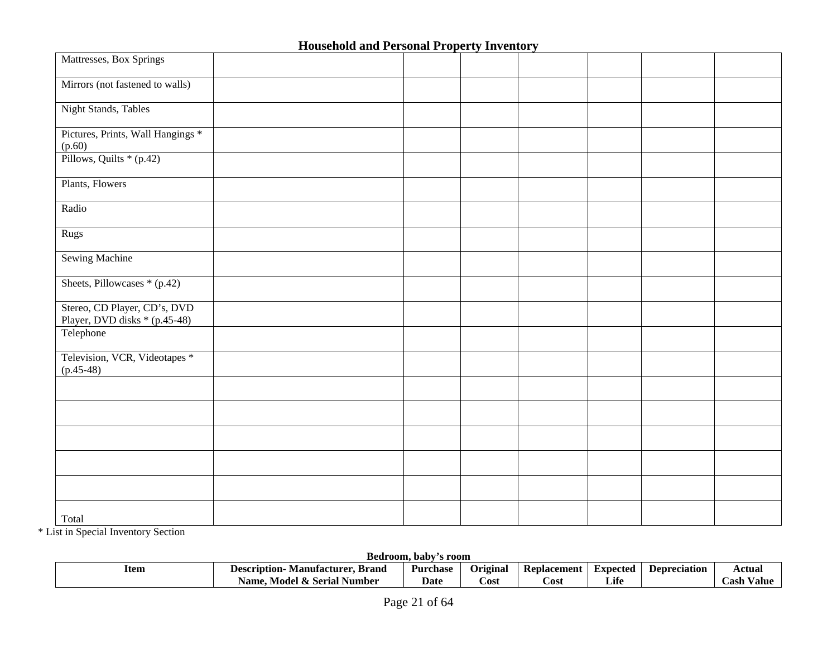| Mattresses, Box Springs                                       |  |  |  |  |
|---------------------------------------------------------------|--|--|--|--|
| Mirrors (not fastened to walls)                               |  |  |  |  |
| <b>Night Stands</b> , Tables                                  |  |  |  |  |
| Pictures, Prints, Wall Hangings *<br>(p.60)                   |  |  |  |  |
| Pillows, Quilts * (p.42)                                      |  |  |  |  |
| Plants, Flowers                                               |  |  |  |  |
| Radio                                                         |  |  |  |  |
| Rugs                                                          |  |  |  |  |
| <b>Sewing Machine</b>                                         |  |  |  |  |
| Sheets, Pillowcases * (p.42)                                  |  |  |  |  |
| Stereo, CD Player, CD's, DVD<br>Player, DVD disks * (p.45-48) |  |  |  |  |
| Telephone                                                     |  |  |  |  |
| Television, VCR, Videotapes *<br>$(p.45-48)$                  |  |  |  |  |
|                                                               |  |  |  |  |
|                                                               |  |  |  |  |
|                                                               |  |  |  |  |
|                                                               |  |  |  |  |
|                                                               |  |  |  |  |
| Total                                                         |  |  |  |  |

\* List in Special Inventory Section

**Bedroom, baby's room** 

| Item<br>$\sim$ $\sim$ $\sim$ | . Brand<br>Manufacturer.<br>Description- | Purchase | ~<br>Original | Replacement | Expected | Depreciation | Actual         |  |
|------------------------------|------------------------------------------|----------|---------------|-------------|----------|--------------|----------------|--|
|                              | el & Serial<br>Number<br>Model<br>Name   | Date     | Cost          | ∠ost        | Life     |              | Uash<br>∕ alu€ |  |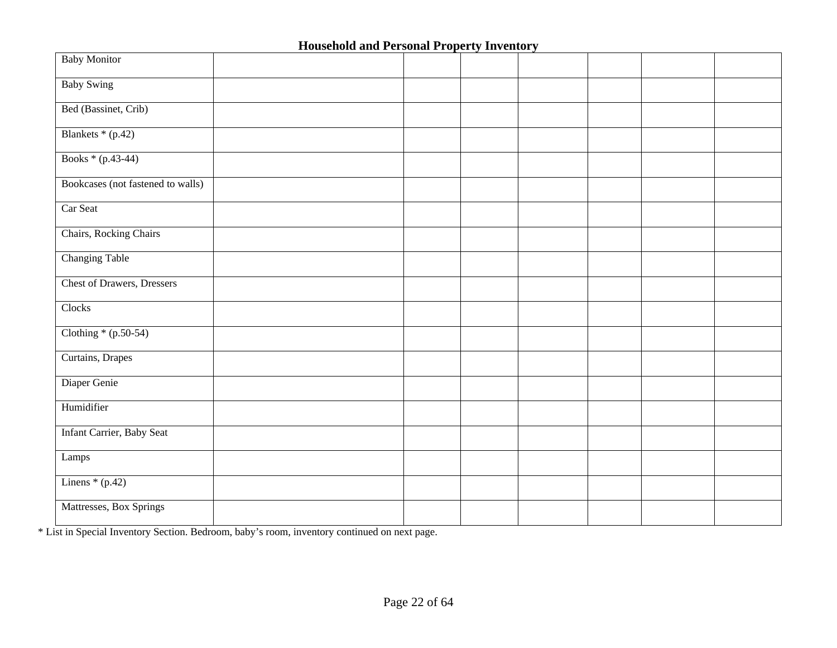| <b>Baby Monitor</b>                |  |  |  |  |
|------------------------------------|--|--|--|--|
| <b>Baby Swing</b>                  |  |  |  |  |
| Bed (Bassinet, Crib)               |  |  |  |  |
| Blankets * (p.42)                  |  |  |  |  |
| Books * (p.43-44)                  |  |  |  |  |
| Bookcases (not fastened to walls)  |  |  |  |  |
| Car Seat                           |  |  |  |  |
| Chairs, Rocking Chairs             |  |  |  |  |
| <b>Changing Table</b>              |  |  |  |  |
| <b>Chest of Drawers</b> , Dressers |  |  |  |  |
| Clocks                             |  |  |  |  |
| Clothing $*(p.50-54)$              |  |  |  |  |
| Curtains, Drapes                   |  |  |  |  |
| Diaper Genie                       |  |  |  |  |
| Humidifier                         |  |  |  |  |
| Infant Carrier, Baby Seat          |  |  |  |  |
| Lamps                              |  |  |  |  |
| Linens $*(p.42)$                   |  |  |  |  |
| Mattresses, Box Springs            |  |  |  |  |

\* List in Special Inventory Section. Bedroom, baby's room, inventory continued on next page.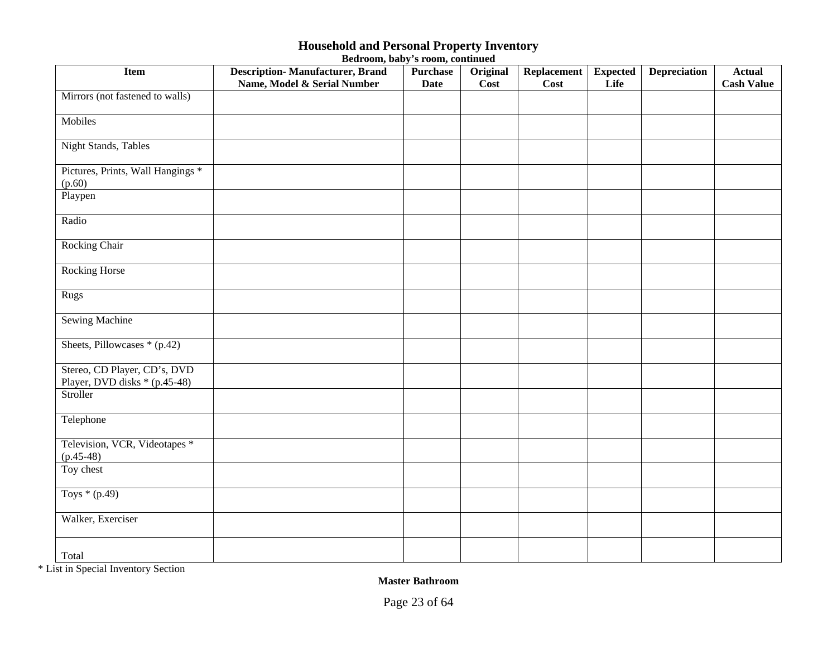| Bedroom, baby's room, continued |  |  |
|---------------------------------|--|--|
|---------------------------------|--|--|

| <b>Item</b>                                                   | <b>Description-Manufacturer, Brand</b><br>Name, Model & Serial Number | <b>Purchase</b><br><b>Date</b> | Original<br>$\overline{\mathrm{Cost}}$ | Replacement<br>Cost | <b>Expected</b><br>Life | <b>Depreciation</b> | <b>Actual</b><br><b>Cash Value</b> |
|---------------------------------------------------------------|-----------------------------------------------------------------------|--------------------------------|----------------------------------------|---------------------|-------------------------|---------------------|------------------------------------|
| Mirrors (not fastened to walls)                               |                                                                       |                                |                                        |                     |                         |                     |                                    |
| Mobiles                                                       |                                                                       |                                |                                        |                     |                         |                     |                                    |
| <b>Night Stands</b> , Tables                                  |                                                                       |                                |                                        |                     |                         |                     |                                    |
| Pictures, Prints, Wall Hangings *<br>(p.60)                   |                                                                       |                                |                                        |                     |                         |                     |                                    |
| Playpen                                                       |                                                                       |                                |                                        |                     |                         |                     |                                    |
| Radio                                                         |                                                                       |                                |                                        |                     |                         |                     |                                    |
| Rocking Chair                                                 |                                                                       |                                |                                        |                     |                         |                     |                                    |
| <b>Rocking Horse</b>                                          |                                                                       |                                |                                        |                     |                         |                     |                                    |
| Rugs                                                          |                                                                       |                                |                                        |                     |                         |                     |                                    |
| <b>Sewing Machine</b>                                         |                                                                       |                                |                                        |                     |                         |                     |                                    |
| Sheets, Pillowcases * (p.42)                                  |                                                                       |                                |                                        |                     |                         |                     |                                    |
| Stereo, CD Player, CD's, DVD<br>Player, DVD disks * (p.45-48) |                                                                       |                                |                                        |                     |                         |                     |                                    |
| Stroller                                                      |                                                                       |                                |                                        |                     |                         |                     |                                    |
| Telephone                                                     |                                                                       |                                |                                        |                     |                         |                     |                                    |
| Television, VCR, Videotapes *<br>$(p.45-48)$                  |                                                                       |                                |                                        |                     |                         |                     |                                    |
| Toy chest                                                     |                                                                       |                                |                                        |                     |                         |                     |                                    |
| Toys $*(p.49)$                                                |                                                                       |                                |                                        |                     |                         |                     |                                    |
| Walker, Exerciser                                             |                                                                       |                                |                                        |                     |                         |                     |                                    |
| Total                                                         |                                                                       |                                |                                        |                     |                         |                     |                                    |

\* List in Special Inventory Section

**Master Bathroom**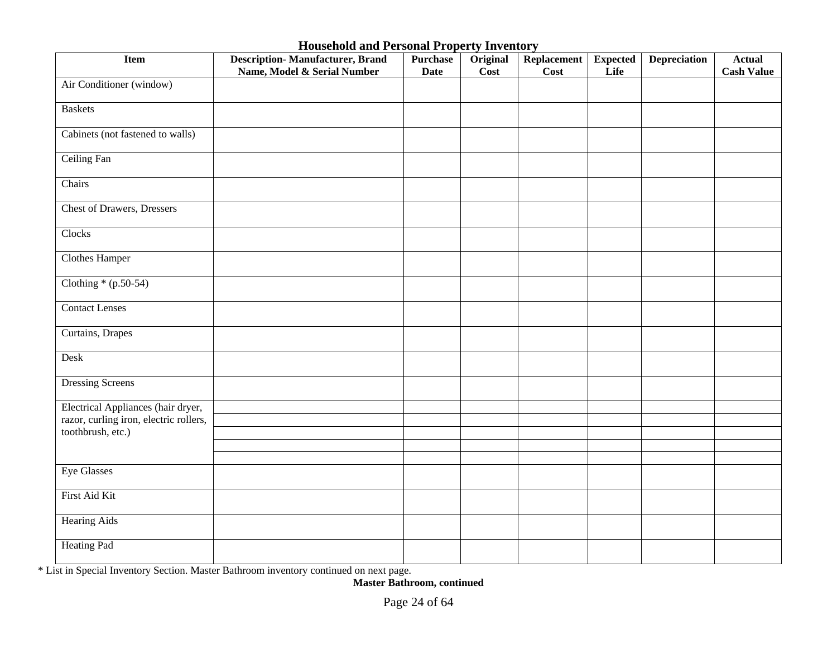| <b>Item</b>                            | <b>Description-Manufacturer, Brand</b><br>Name, Model & Serial Number | <b>Purchase</b><br><b>Date</b> | Original<br><b>Cost</b> | Replacement<br>Cost | <b>Expected</b><br>Life | <b>Depreciation</b> | <b>Actual</b><br><b>Cash Value</b> |
|----------------------------------------|-----------------------------------------------------------------------|--------------------------------|-------------------------|---------------------|-------------------------|---------------------|------------------------------------|
| Air Conditioner (window)               |                                                                       |                                |                         |                     |                         |                     |                                    |
| <b>Baskets</b>                         |                                                                       |                                |                         |                     |                         |                     |                                    |
| Cabinets (not fastened to walls)       |                                                                       |                                |                         |                     |                         |                     |                                    |
| <b>Ceiling Fan</b>                     |                                                                       |                                |                         |                     |                         |                     |                                    |
| Chairs                                 |                                                                       |                                |                         |                     |                         |                     |                                    |
| <b>Chest of Drawers, Dressers</b>      |                                                                       |                                |                         |                     |                         |                     |                                    |
| Clocks                                 |                                                                       |                                |                         |                     |                         |                     |                                    |
| <b>Clothes Hamper</b>                  |                                                                       |                                |                         |                     |                         |                     |                                    |
| Clothing $*(p.50-54)$                  |                                                                       |                                |                         |                     |                         |                     |                                    |
| <b>Contact Lenses</b>                  |                                                                       |                                |                         |                     |                         |                     |                                    |
| Curtains, Drapes                       |                                                                       |                                |                         |                     |                         |                     |                                    |
| Desk                                   |                                                                       |                                |                         |                     |                         |                     |                                    |
| <b>Dressing Screens</b>                |                                                                       |                                |                         |                     |                         |                     |                                    |
| Electrical Appliances (hair dryer,     |                                                                       |                                |                         |                     |                         |                     |                                    |
| razor, curling iron, electric rollers, |                                                                       |                                |                         |                     |                         |                     |                                    |
| toothbrush, etc.)                      |                                                                       |                                |                         |                     |                         |                     |                                    |
|                                        |                                                                       |                                |                         |                     |                         |                     |                                    |
|                                        |                                                                       |                                |                         |                     |                         |                     |                                    |
| <b>Eye Glasses</b>                     |                                                                       |                                |                         |                     |                         |                     |                                    |
| First Aid Kit                          |                                                                       |                                |                         |                     |                         |                     |                                    |
| <b>Hearing Aids</b>                    |                                                                       |                                |                         |                     |                         |                     |                                    |
| <b>Heating Pad</b>                     |                                                                       |                                |                         |                     |                         |                     |                                    |

\* List in Special Inventory Section. Master Bathroom inventory continued on next page.

**Master Bathroom, continued**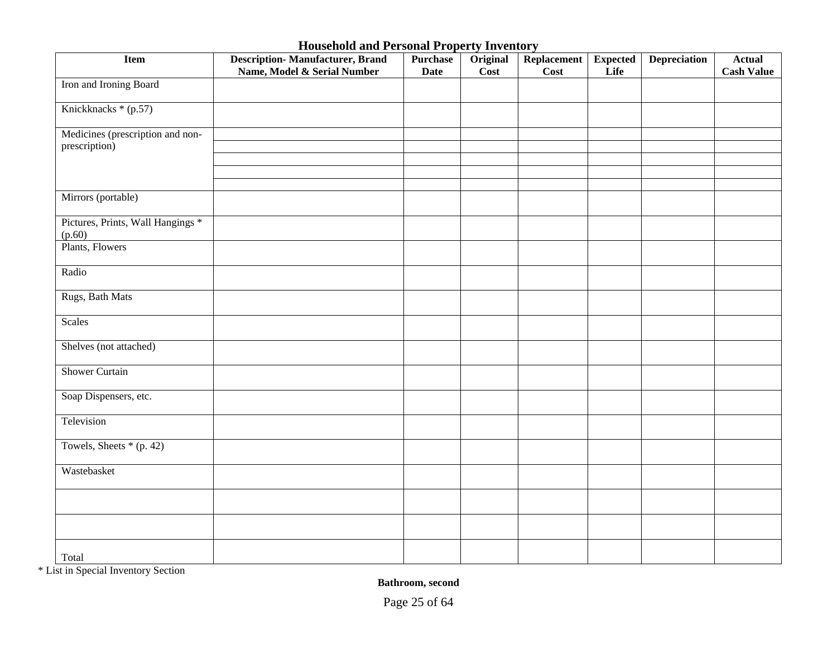| <b>Item</b>                                       | <b>Description-Manufacturer, Brand</b><br>Name, Model & Serial Number | <b>Purchase</b><br><b>Date</b> | Original<br><b>Cost</b> | Replacement<br>Cost | <b>Expected</b><br>Life | <b>Depreciation</b> | <b>Actual</b><br><b>Cash Value</b> |
|---------------------------------------------------|-----------------------------------------------------------------------|--------------------------------|-------------------------|---------------------|-------------------------|---------------------|------------------------------------|
| Iron and Ironing Board                            |                                                                       |                                |                         |                     |                         |                     |                                    |
| Knickknacks * (p.57)                              |                                                                       |                                |                         |                     |                         |                     |                                    |
| Medicines (prescription and non-<br>prescription) |                                                                       |                                |                         |                     |                         |                     |                                    |
|                                                   |                                                                       |                                |                         |                     |                         |                     |                                    |
|                                                   |                                                                       |                                |                         |                     |                         |                     |                                    |
| Mirrors (portable)                                |                                                                       |                                |                         |                     |                         |                     |                                    |
| Pictures, Prints, Wall Hangings *<br>(p.60)       |                                                                       |                                |                         |                     |                         |                     |                                    |
| Plants, Flowers                                   |                                                                       |                                |                         |                     |                         |                     |                                    |
| Radio                                             |                                                                       |                                |                         |                     |                         |                     |                                    |
| Rugs, Bath Mats                                   |                                                                       |                                |                         |                     |                         |                     |                                    |
| Scales                                            |                                                                       |                                |                         |                     |                         |                     |                                    |
| Shelves (not attached)                            |                                                                       |                                |                         |                     |                         |                     |                                    |
| <b>Shower Curtain</b>                             |                                                                       |                                |                         |                     |                         |                     |                                    |
| Soap Dispensers, etc.                             |                                                                       |                                |                         |                     |                         |                     |                                    |
| Television                                        |                                                                       |                                |                         |                     |                         |                     |                                    |
| Towels, Sheets $*(p. 42)$                         |                                                                       |                                |                         |                     |                         |                     |                                    |
| Wastebasket                                       |                                                                       |                                |                         |                     |                         |                     |                                    |
|                                                   |                                                                       |                                |                         |                     |                         |                     |                                    |
|                                                   |                                                                       |                                |                         |                     |                         |                     |                                    |
| Total                                             |                                                                       |                                |                         |                     |                         |                     |                                    |

\* List in Special Inventory Section

**Bathroom, second**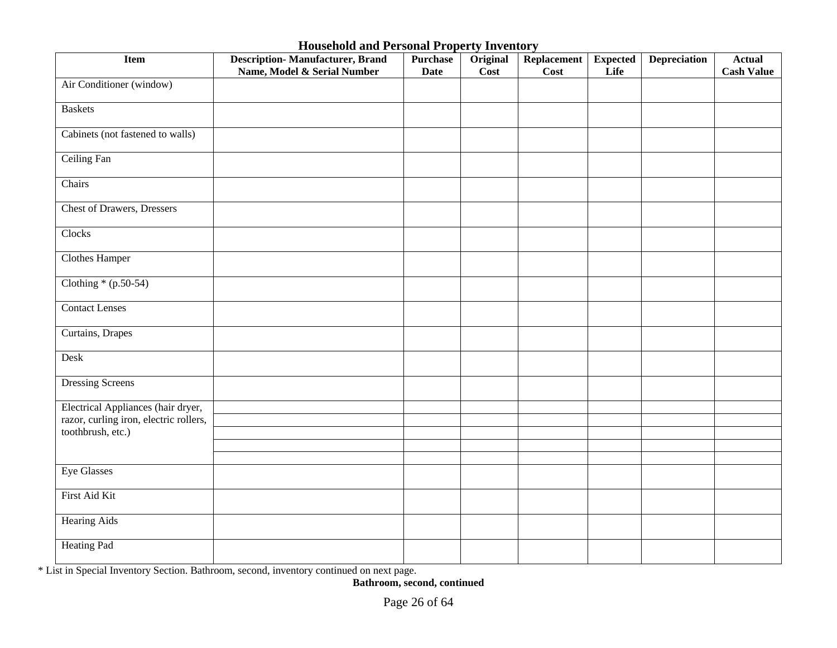| <b>Item</b>                            | <b>Description-Manufacturer, Brand</b><br>Name, Model & Serial Number | <b>Purchase</b><br><b>Date</b> | Original<br>Cost | Replacement<br>Cost | <b>Expected</b><br>Life | <b>Depreciation</b> | <b>Actual</b><br><b>Cash Value</b> |
|----------------------------------------|-----------------------------------------------------------------------|--------------------------------|------------------|---------------------|-------------------------|---------------------|------------------------------------|
| Air Conditioner (window)               |                                                                       |                                |                  |                     |                         |                     |                                    |
| <b>Baskets</b>                         |                                                                       |                                |                  |                     |                         |                     |                                    |
| Cabinets (not fastened to walls)       |                                                                       |                                |                  |                     |                         |                     |                                    |
| <b>Ceiling Fan</b>                     |                                                                       |                                |                  |                     |                         |                     |                                    |
| Chairs                                 |                                                                       |                                |                  |                     |                         |                     |                                    |
| <b>Chest of Drawers, Dressers</b>      |                                                                       |                                |                  |                     |                         |                     |                                    |
| Clocks                                 |                                                                       |                                |                  |                     |                         |                     |                                    |
| <b>Clothes Hamper</b>                  |                                                                       |                                |                  |                     |                         |                     |                                    |
| Clothing $*(p.50-54)$                  |                                                                       |                                |                  |                     |                         |                     |                                    |
| <b>Contact Lenses</b>                  |                                                                       |                                |                  |                     |                         |                     |                                    |
| Curtains, Drapes                       |                                                                       |                                |                  |                     |                         |                     |                                    |
| Desk                                   |                                                                       |                                |                  |                     |                         |                     |                                    |
| <b>Dressing Screens</b>                |                                                                       |                                |                  |                     |                         |                     |                                    |
| Electrical Appliances (hair dryer,     |                                                                       |                                |                  |                     |                         |                     |                                    |
| razor, curling iron, electric rollers, |                                                                       |                                |                  |                     |                         |                     |                                    |
| toothbrush, etc.)                      |                                                                       |                                |                  |                     |                         |                     |                                    |
|                                        |                                                                       |                                |                  |                     |                         |                     |                                    |
| <b>Eye Glasses</b>                     |                                                                       |                                |                  |                     |                         |                     |                                    |
|                                        |                                                                       |                                |                  |                     |                         |                     |                                    |
| First Aid Kit                          |                                                                       |                                |                  |                     |                         |                     |                                    |
| <b>Hearing Aids</b>                    |                                                                       |                                |                  |                     |                         |                     |                                    |
| <b>Heating Pad</b>                     |                                                                       |                                |                  |                     |                         |                     |                                    |

\* List in Special Inventory Section. Bathroom, second, inventory continued on next page.

**Bathroom, second, continued**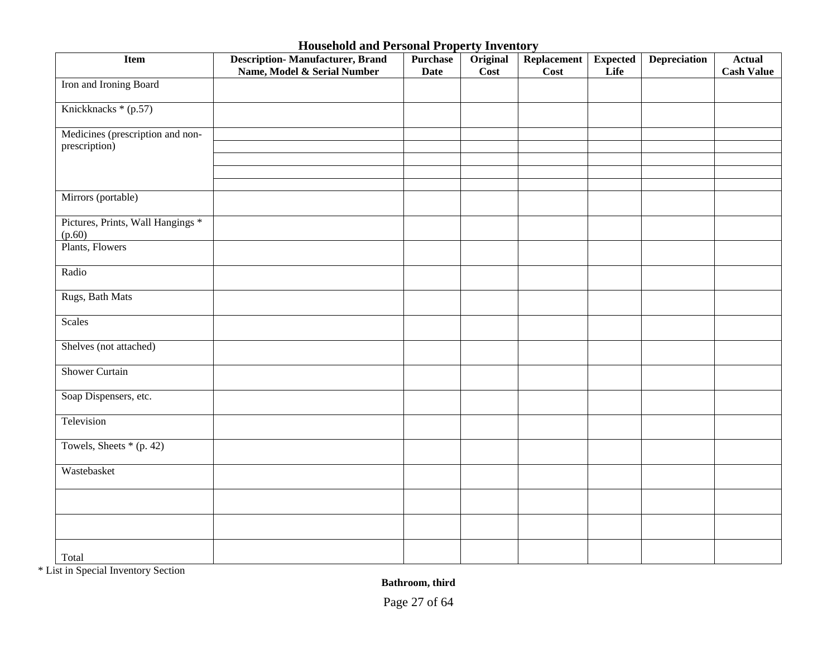| <b>Item</b>                                       | <b>Description-Manufacturer, Brand</b><br>Name, Model & Serial Number | <b>Purchase</b><br><b>Date</b> | Original<br><b>Cost</b> | Replacement<br>Cost | <b>Expected</b><br>Life | <b>Depreciation</b> | <b>Actual</b><br><b>Cash Value</b> |
|---------------------------------------------------|-----------------------------------------------------------------------|--------------------------------|-------------------------|---------------------|-------------------------|---------------------|------------------------------------|
| Iron and Ironing Board                            |                                                                       |                                |                         |                     |                         |                     |                                    |
| Knickknacks * (p.57)                              |                                                                       |                                |                         |                     |                         |                     |                                    |
| Medicines (prescription and non-<br>prescription) |                                                                       |                                |                         |                     |                         |                     |                                    |
|                                                   |                                                                       |                                |                         |                     |                         |                     |                                    |
|                                                   |                                                                       |                                |                         |                     |                         |                     |                                    |
| Mirrors (portable)                                |                                                                       |                                |                         |                     |                         |                     |                                    |
| Pictures, Prints, Wall Hangings *<br>(p.60)       |                                                                       |                                |                         |                     |                         |                     |                                    |
| Plants, Flowers                                   |                                                                       |                                |                         |                     |                         |                     |                                    |
| Radio                                             |                                                                       |                                |                         |                     |                         |                     |                                    |
| Rugs, Bath Mats                                   |                                                                       |                                |                         |                     |                         |                     |                                    |
| Scales                                            |                                                                       |                                |                         |                     |                         |                     |                                    |
| Shelves (not attached)                            |                                                                       |                                |                         |                     |                         |                     |                                    |
| <b>Shower Curtain</b>                             |                                                                       |                                |                         |                     |                         |                     |                                    |
| Soap Dispensers, etc.                             |                                                                       |                                |                         |                     |                         |                     |                                    |
| Television                                        |                                                                       |                                |                         |                     |                         |                     |                                    |
| Towels, Sheets $*(p. 42)$                         |                                                                       |                                |                         |                     |                         |                     |                                    |
| Wastebasket                                       |                                                                       |                                |                         |                     |                         |                     |                                    |
|                                                   |                                                                       |                                |                         |                     |                         |                     |                                    |
|                                                   |                                                                       |                                |                         |                     |                         |                     |                                    |
| Total                                             |                                                                       |                                |                         |                     |                         |                     |                                    |

\* List in Special Inventory Section

**Bathroom, third**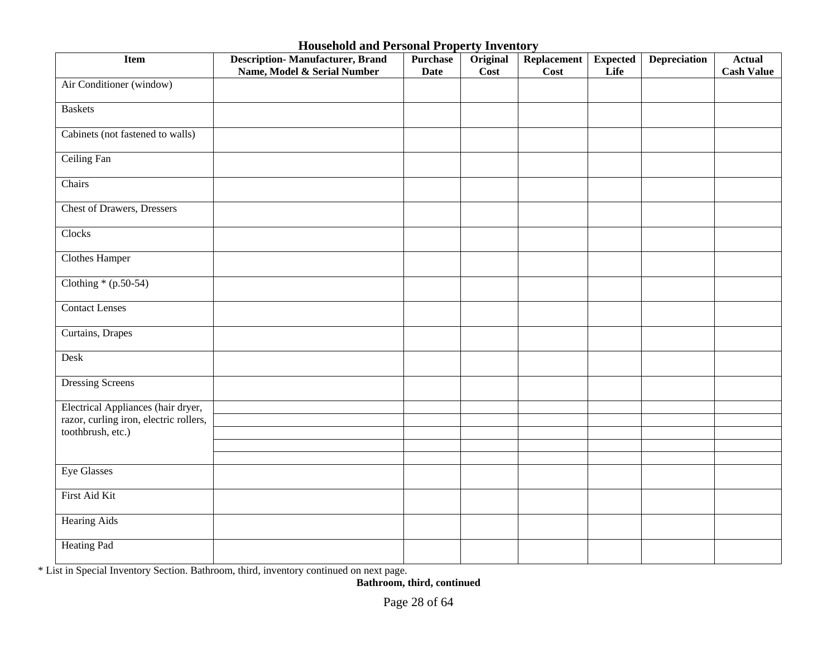| <b>Item</b>                            | <b>Description-Manufacturer, Brand</b><br>Name, Model & Serial Number | <b>Purchase</b><br><b>Date</b> | Original<br>Cost | Replacement<br>Cost | <b>Expected</b><br>Life | <b>Depreciation</b> | <b>Actual</b><br><b>Cash Value</b> |
|----------------------------------------|-----------------------------------------------------------------------|--------------------------------|------------------|---------------------|-------------------------|---------------------|------------------------------------|
| Air Conditioner (window)               |                                                                       |                                |                  |                     |                         |                     |                                    |
| <b>Baskets</b>                         |                                                                       |                                |                  |                     |                         |                     |                                    |
| Cabinets (not fastened to walls)       |                                                                       |                                |                  |                     |                         |                     |                                    |
| <b>Ceiling Fan</b>                     |                                                                       |                                |                  |                     |                         |                     |                                    |
| Chairs                                 |                                                                       |                                |                  |                     |                         |                     |                                    |
| <b>Chest of Drawers, Dressers</b>      |                                                                       |                                |                  |                     |                         |                     |                                    |
| Clocks                                 |                                                                       |                                |                  |                     |                         |                     |                                    |
| <b>Clothes Hamper</b>                  |                                                                       |                                |                  |                     |                         |                     |                                    |
| Clothing $*(p.50-54)$                  |                                                                       |                                |                  |                     |                         |                     |                                    |
| <b>Contact Lenses</b>                  |                                                                       |                                |                  |                     |                         |                     |                                    |
| Curtains, Drapes                       |                                                                       |                                |                  |                     |                         |                     |                                    |
| Desk                                   |                                                                       |                                |                  |                     |                         |                     |                                    |
| <b>Dressing Screens</b>                |                                                                       |                                |                  |                     |                         |                     |                                    |
| Electrical Appliances (hair dryer,     |                                                                       |                                |                  |                     |                         |                     |                                    |
| razor, curling iron, electric rollers, |                                                                       |                                |                  |                     |                         |                     |                                    |
| toothbrush, etc.)                      |                                                                       |                                |                  |                     |                         |                     |                                    |
|                                        |                                                                       |                                |                  |                     |                         |                     |                                    |
| Eye Glasses                            |                                                                       |                                |                  |                     |                         |                     |                                    |
| First Aid Kit                          |                                                                       |                                |                  |                     |                         |                     |                                    |
| <b>Hearing Aids</b>                    |                                                                       |                                |                  |                     |                         |                     |                                    |
| <b>Heating Pad</b>                     |                                                                       |                                |                  |                     |                         |                     |                                    |

\* List in Special Inventory Section. Bathroom, third, inventory continued on next page.

**Bathroom, third, continued**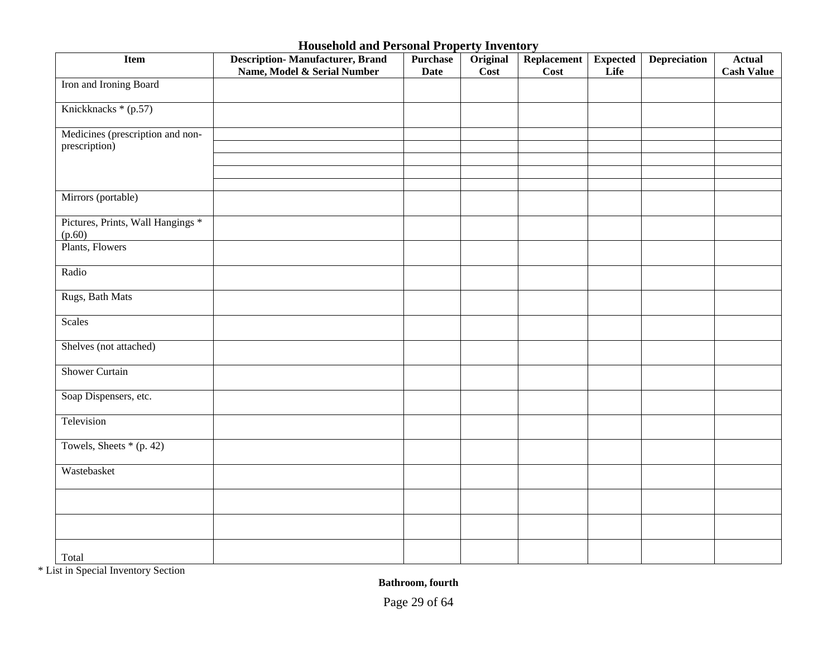| <b>Item</b>                                       | <b>Description-Manufacturer, Brand</b><br>Name, Model & Serial Number | <b>Purchase</b><br><b>Date</b> | Original<br><b>Cost</b> | Replacement<br>Cost | <b>Expected</b><br>Life | <b>Depreciation</b> | <b>Actual</b><br><b>Cash Value</b> |
|---------------------------------------------------|-----------------------------------------------------------------------|--------------------------------|-------------------------|---------------------|-------------------------|---------------------|------------------------------------|
| Iron and Ironing Board                            |                                                                       |                                |                         |                     |                         |                     |                                    |
| Knickknacks * (p.57)                              |                                                                       |                                |                         |                     |                         |                     |                                    |
| Medicines (prescription and non-<br>prescription) |                                                                       |                                |                         |                     |                         |                     |                                    |
|                                                   |                                                                       |                                |                         |                     |                         |                     |                                    |
|                                                   |                                                                       |                                |                         |                     |                         |                     |                                    |
| Mirrors (portable)                                |                                                                       |                                |                         |                     |                         |                     |                                    |
| Pictures, Prints, Wall Hangings *<br>(p.60)       |                                                                       |                                |                         |                     |                         |                     |                                    |
| Plants, Flowers                                   |                                                                       |                                |                         |                     |                         |                     |                                    |
| Radio                                             |                                                                       |                                |                         |                     |                         |                     |                                    |
| Rugs, Bath Mats                                   |                                                                       |                                |                         |                     |                         |                     |                                    |
| Scales                                            |                                                                       |                                |                         |                     |                         |                     |                                    |
| Shelves (not attached)                            |                                                                       |                                |                         |                     |                         |                     |                                    |
| <b>Shower Curtain</b>                             |                                                                       |                                |                         |                     |                         |                     |                                    |
| Soap Dispensers, etc.                             |                                                                       |                                |                         |                     |                         |                     |                                    |
| Television                                        |                                                                       |                                |                         |                     |                         |                     |                                    |
| Towels, Sheets $*(p. 42)$                         |                                                                       |                                |                         |                     |                         |                     |                                    |
| Wastebasket                                       |                                                                       |                                |                         |                     |                         |                     |                                    |
|                                                   |                                                                       |                                |                         |                     |                         |                     |                                    |
|                                                   |                                                                       |                                |                         |                     |                         |                     |                                    |
| Total                                             |                                                                       |                                |                         |                     |                         |                     |                                    |

\* List in Special Inventory Section

**Bathroom, fourth**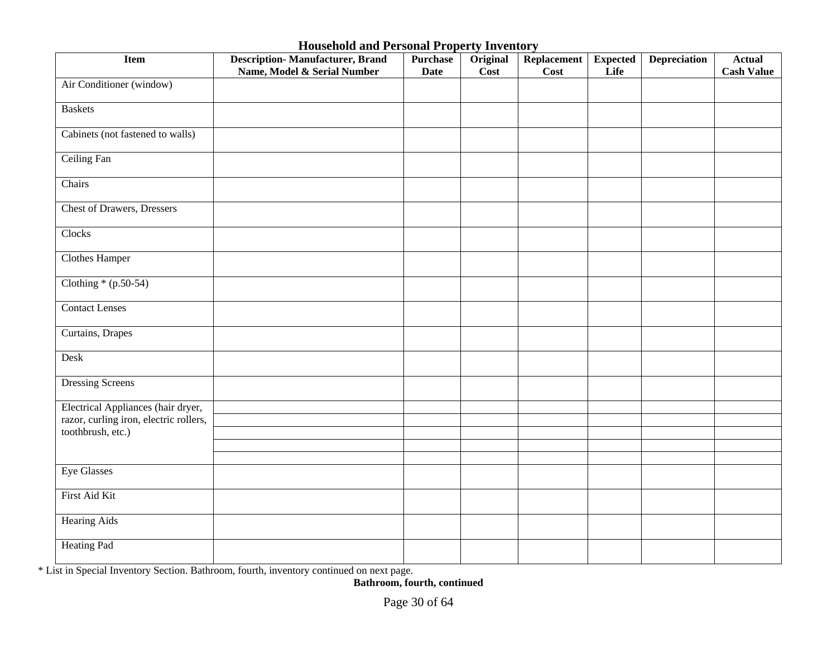| <b>Item</b>                            | <b>Description-Manufacturer, Brand</b><br>Name, Model & Serial Number | <b>Purchase</b><br><b>Date</b> | Original<br>Cost | Replacement<br><b>Cost</b> | <b>Expected</b><br>Life | <b>Depreciation</b> | <b>Actual</b><br><b>Cash Value</b> |
|----------------------------------------|-----------------------------------------------------------------------|--------------------------------|------------------|----------------------------|-------------------------|---------------------|------------------------------------|
| Air Conditioner (window)               |                                                                       |                                |                  |                            |                         |                     |                                    |
| <b>Baskets</b>                         |                                                                       |                                |                  |                            |                         |                     |                                    |
| Cabinets (not fastened to walls)       |                                                                       |                                |                  |                            |                         |                     |                                    |
| Ceiling Fan                            |                                                                       |                                |                  |                            |                         |                     |                                    |
| Chairs                                 |                                                                       |                                |                  |                            |                         |                     |                                    |
| <b>Chest of Drawers, Dressers</b>      |                                                                       |                                |                  |                            |                         |                     |                                    |
| Clocks                                 |                                                                       |                                |                  |                            |                         |                     |                                    |
| <b>Clothes Hamper</b>                  |                                                                       |                                |                  |                            |                         |                     |                                    |
| Clothing $*(p.50-54)$                  |                                                                       |                                |                  |                            |                         |                     |                                    |
| <b>Contact Lenses</b>                  |                                                                       |                                |                  |                            |                         |                     |                                    |
| Curtains, Drapes                       |                                                                       |                                |                  |                            |                         |                     |                                    |
| Desk                                   |                                                                       |                                |                  |                            |                         |                     |                                    |
| <b>Dressing Screens</b>                |                                                                       |                                |                  |                            |                         |                     |                                    |
| Electrical Appliances (hair dryer,     |                                                                       |                                |                  |                            |                         |                     |                                    |
| razor, curling iron, electric rollers, |                                                                       |                                |                  |                            |                         |                     |                                    |
| toothbrush, etc.)                      |                                                                       |                                |                  |                            |                         |                     |                                    |
|                                        |                                                                       |                                |                  |                            |                         |                     |                                    |
| Eye Glasses                            |                                                                       |                                |                  |                            |                         |                     |                                    |
|                                        |                                                                       |                                |                  |                            |                         |                     |                                    |
| First Aid Kit                          |                                                                       |                                |                  |                            |                         |                     |                                    |
| <b>Hearing Aids</b>                    |                                                                       |                                |                  |                            |                         |                     |                                    |
| <b>Heating Pad</b>                     |                                                                       |                                |                  |                            |                         |                     |                                    |

\* List in Special Inventory Section. Bathroom, fourth, inventory continued on next page.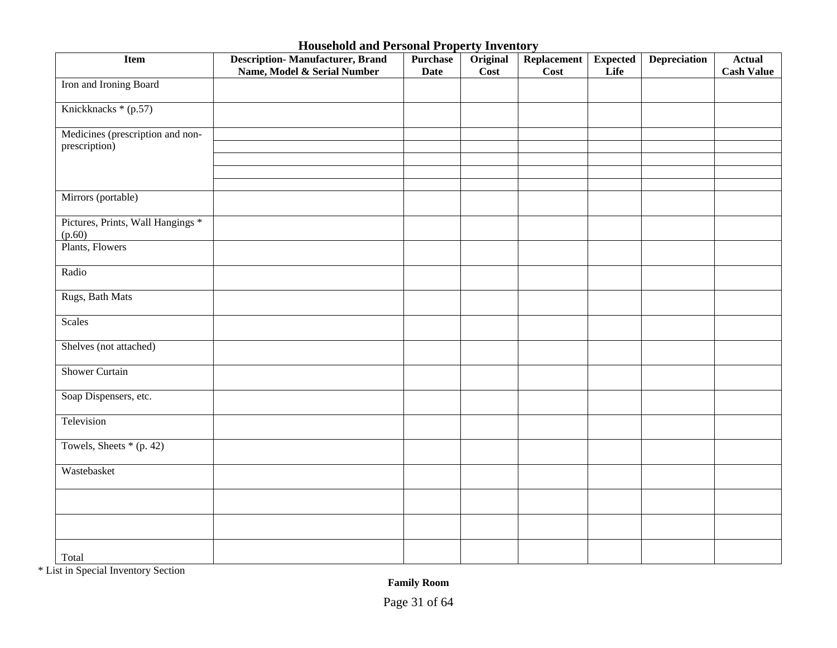| Item                                              | <b>Description-Manufacturer, Brand</b><br>Name, Model & Serial Number | <b>Purchase</b><br><b>Date</b> | Original<br>Cost | Replacement<br><b>Cost</b> | <b>Expected</b><br>Life | <b>Depreciation</b> | <b>Actual</b><br><b>Cash Value</b> |
|---------------------------------------------------|-----------------------------------------------------------------------|--------------------------------|------------------|----------------------------|-------------------------|---------------------|------------------------------------|
| Iron and Ironing Board                            |                                                                       |                                |                  |                            |                         |                     |                                    |
| Knickknacks * (p.57)                              |                                                                       |                                |                  |                            |                         |                     |                                    |
| Medicines (prescription and non-<br>prescription) |                                                                       |                                |                  |                            |                         |                     |                                    |
|                                                   |                                                                       |                                |                  |                            |                         |                     |                                    |
|                                                   |                                                                       |                                |                  |                            |                         |                     |                                    |
| Mirrors (portable)                                |                                                                       |                                |                  |                            |                         |                     |                                    |
| Pictures, Prints, Wall Hangings *<br>(p.60)       |                                                                       |                                |                  |                            |                         |                     |                                    |
| Plants, Flowers                                   |                                                                       |                                |                  |                            |                         |                     |                                    |
| Radio                                             |                                                                       |                                |                  |                            |                         |                     |                                    |
| Rugs, Bath Mats                                   |                                                                       |                                |                  |                            |                         |                     |                                    |
| Scales                                            |                                                                       |                                |                  |                            |                         |                     |                                    |
| Shelves (not attached)                            |                                                                       |                                |                  |                            |                         |                     |                                    |
| <b>Shower Curtain</b>                             |                                                                       |                                |                  |                            |                         |                     |                                    |
| Soap Dispensers, etc.                             |                                                                       |                                |                  |                            |                         |                     |                                    |
| Television                                        |                                                                       |                                |                  |                            |                         |                     |                                    |
| Towels, Sheets $*(p. 42)$                         |                                                                       |                                |                  |                            |                         |                     |                                    |
| Wastebasket                                       |                                                                       |                                |                  |                            |                         |                     |                                    |
|                                                   |                                                                       |                                |                  |                            |                         |                     |                                    |
|                                                   |                                                                       |                                |                  |                            |                         |                     |                                    |
| Total                                             |                                                                       |                                |                  |                            |                         |                     |                                    |

\* List in Special Inventory Section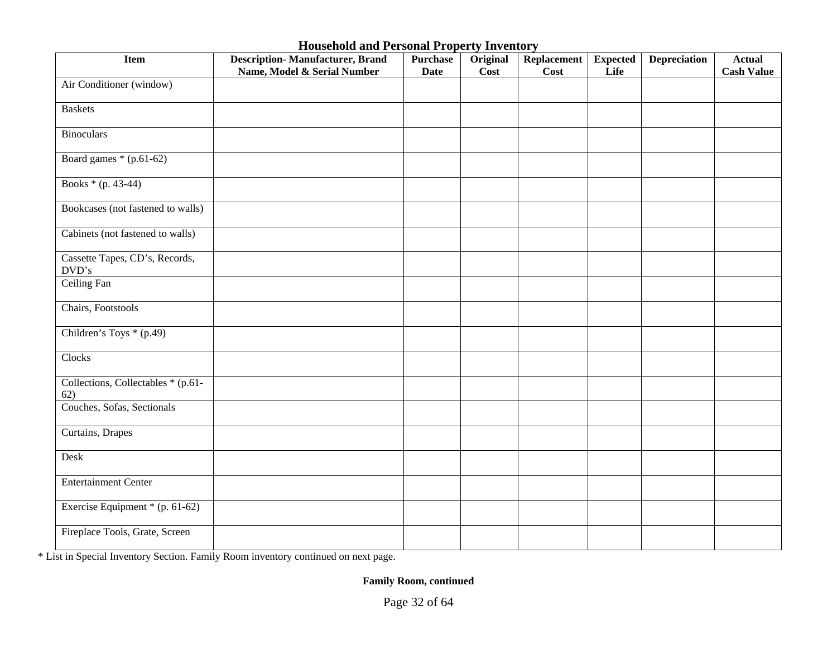| <b>Item</b>                                   | <b>Description-Manufacturer, Brand</b><br>Name, Model & Serial Number | <b>Purchase</b><br><b>Date</b> | Original<br>Cost | <b>Replacement</b><br>Cost | <b>Expected</b><br>Life | <b>Depreciation</b> | <b>Actual</b><br><b>Cash Value</b> |
|-----------------------------------------------|-----------------------------------------------------------------------|--------------------------------|------------------|----------------------------|-------------------------|---------------------|------------------------------------|
| Air Conditioner (window)                      |                                                                       |                                |                  |                            |                         |                     |                                    |
| <b>Baskets</b>                                |                                                                       |                                |                  |                            |                         |                     |                                    |
| <b>Binoculars</b>                             |                                                                       |                                |                  |                            |                         |                     |                                    |
| Board games $*(p.61-62)$                      |                                                                       |                                |                  |                            |                         |                     |                                    |
| Books $*(p. 43-44)$                           |                                                                       |                                |                  |                            |                         |                     |                                    |
| Bookcases (not fastened to walls)             |                                                                       |                                |                  |                            |                         |                     |                                    |
| Cabinets (not fastened to walls)              |                                                                       |                                |                  |                            |                         |                     |                                    |
| Cassette Tapes, CD's, Records,<br>$\rm DVD's$ |                                                                       |                                |                  |                            |                         |                     |                                    |
| Ceiling Fan                                   |                                                                       |                                |                  |                            |                         |                     |                                    |
| Chairs, Footstools                            |                                                                       |                                |                  |                            |                         |                     |                                    |
| Children's Toys * (p.49)                      |                                                                       |                                |                  |                            |                         |                     |                                    |
| Clocks                                        |                                                                       |                                |                  |                            |                         |                     |                                    |
| Collections, Collectables * (p.61-<br>62)     |                                                                       |                                |                  |                            |                         |                     |                                    |
| Couches, Sofas, Sectionals                    |                                                                       |                                |                  |                            |                         |                     |                                    |
| Curtains, Drapes                              |                                                                       |                                |                  |                            |                         |                     |                                    |
| Desk                                          |                                                                       |                                |                  |                            |                         |                     |                                    |
| <b>Entertainment Center</b>                   |                                                                       |                                |                  |                            |                         |                     |                                    |
| Exercise Equipment $*(p. 61-62)$              |                                                                       |                                |                  |                            |                         |                     |                                    |
| Fireplace Tools, Grate, Screen                |                                                                       |                                |                  |                            |                         |                     |                                    |

\* List in Special Inventory Section. Family Room inventory continued on next page.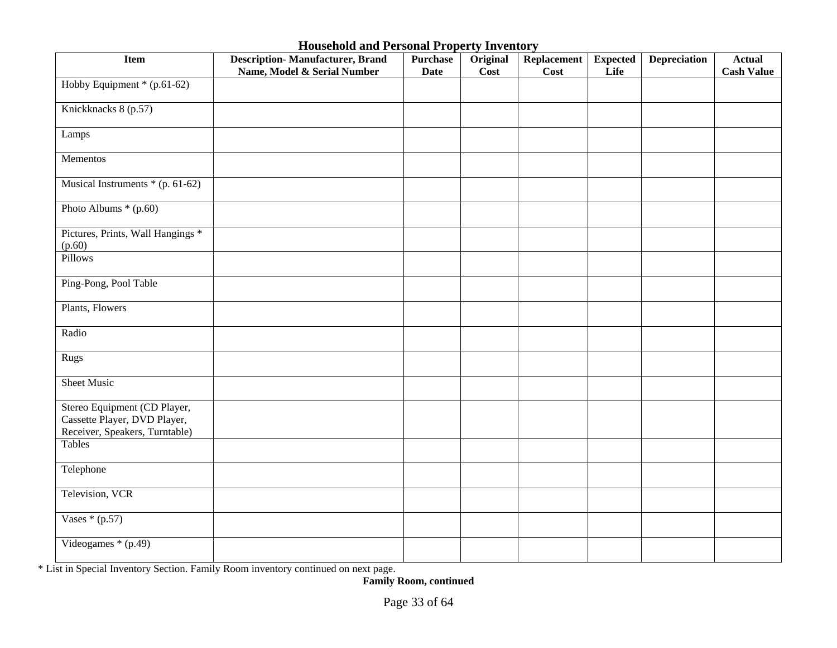| Item                                                                                           | <b>Description-Manufacturer, Brand</b><br>Name, Model & Serial Number | <b>Purchase</b><br><b>Date</b> | Original<br>Cost | <b>Replacement</b><br><b>Cost</b> | <b>Expected</b><br>Life | <b>Depreciation</b> | <b>Actual</b><br><b>Cash Value</b> |
|------------------------------------------------------------------------------------------------|-----------------------------------------------------------------------|--------------------------------|------------------|-----------------------------------|-------------------------|---------------------|------------------------------------|
| Hobby Equipment * (p.61-62)                                                                    |                                                                       |                                |                  |                                   |                         |                     |                                    |
| Knickknacks 8 (p.57)                                                                           |                                                                       |                                |                  |                                   |                         |                     |                                    |
| Lamps                                                                                          |                                                                       |                                |                  |                                   |                         |                     |                                    |
| Mementos                                                                                       |                                                                       |                                |                  |                                   |                         |                     |                                    |
| Musical Instruments * (p. 61-62)                                                               |                                                                       |                                |                  |                                   |                         |                     |                                    |
| Photo Albums * (p.60)                                                                          |                                                                       |                                |                  |                                   |                         |                     |                                    |
| Pictures, Prints, Wall Hangings *<br>(p.60)                                                    |                                                                       |                                |                  |                                   |                         |                     |                                    |
| Pillows                                                                                        |                                                                       |                                |                  |                                   |                         |                     |                                    |
| Ping-Pong, Pool Table                                                                          |                                                                       |                                |                  |                                   |                         |                     |                                    |
| Plants, Flowers                                                                                |                                                                       |                                |                  |                                   |                         |                     |                                    |
| Radio                                                                                          |                                                                       |                                |                  |                                   |                         |                     |                                    |
| Rugs                                                                                           |                                                                       |                                |                  |                                   |                         |                     |                                    |
| <b>Sheet Music</b>                                                                             |                                                                       |                                |                  |                                   |                         |                     |                                    |
| Stereo Equipment (CD Player,<br>Cassette Player, DVD Player,<br>Receiver, Speakers, Turntable) |                                                                       |                                |                  |                                   |                         |                     |                                    |
| Tables                                                                                         |                                                                       |                                |                  |                                   |                         |                     |                                    |
| Telephone                                                                                      |                                                                       |                                |                  |                                   |                         |                     |                                    |
| Television, VCR                                                                                |                                                                       |                                |                  |                                   |                         |                     |                                    |
| Vases $*(p.57)$                                                                                |                                                                       |                                |                  |                                   |                         |                     |                                    |
| Videogames $*(p.49)$                                                                           |                                                                       |                                |                  |                                   |                         |                     |                                    |

\* List in Special Inventory Section. Family Room inventory continued on next page.

**Family Room, continued**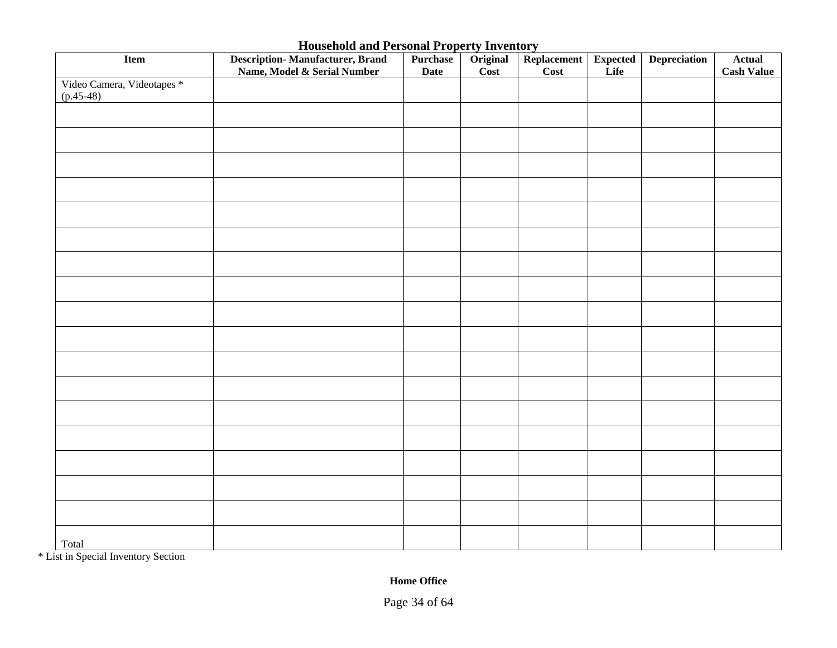| Item                                      | <b>Description-Manufacturer, Brand</b><br>Name, Model & Serial Number | Purchase<br><b>Date</b> | Original<br>$\overline{\text{Cost}}$ | Replacement<br>Cost | <b>Expected</b><br>Life | <b>Depreciation</b> | <b>Actual</b><br><b>Cash Value</b> |
|-------------------------------------------|-----------------------------------------------------------------------|-------------------------|--------------------------------------|---------------------|-------------------------|---------------------|------------------------------------|
| Video Camera, Videotapes *<br>$(p.45-48)$ |                                                                       |                         |                                      |                     |                         |                     |                                    |
|                                           |                                                                       |                         |                                      |                     |                         |                     |                                    |
|                                           |                                                                       |                         |                                      |                     |                         |                     |                                    |
|                                           |                                                                       |                         |                                      |                     |                         |                     |                                    |
|                                           |                                                                       |                         |                                      |                     |                         |                     |                                    |
|                                           |                                                                       |                         |                                      |                     |                         |                     |                                    |
|                                           |                                                                       |                         |                                      |                     |                         |                     |                                    |
|                                           |                                                                       |                         |                                      |                     |                         |                     |                                    |
|                                           |                                                                       |                         |                                      |                     |                         |                     |                                    |
|                                           |                                                                       |                         |                                      |                     |                         |                     |                                    |
|                                           |                                                                       |                         |                                      |                     |                         |                     |                                    |
|                                           |                                                                       |                         |                                      |                     |                         |                     |                                    |
|                                           |                                                                       |                         |                                      |                     |                         |                     |                                    |
|                                           |                                                                       |                         |                                      |                     |                         |                     |                                    |
|                                           |                                                                       |                         |                                      |                     |                         |                     |                                    |
|                                           |                                                                       |                         |                                      |                     |                         |                     |                                    |
|                                           |                                                                       |                         |                                      |                     |                         |                     |                                    |
|                                           |                                                                       |                         |                                      |                     |                         |                     |                                    |
| Total                                     |                                                                       |                         |                                      |                     |                         |                     |                                    |

\* List in Special Inventory Section

**Home Office**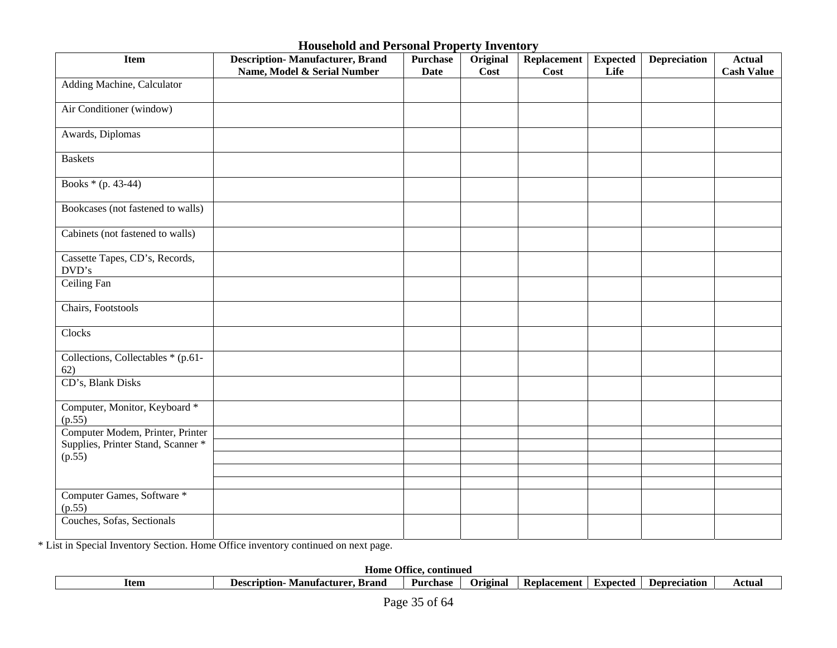| <b>Item</b>                               | <b>Description-Manufacturer, Brand</b><br>Name, Model & Serial Number | <b>Purchase</b><br><b>Date</b> | Original<br>Cost | Replacement<br>Cost | <b>Expected</b><br>Life | <b>Depreciation</b> | <b>Actual</b><br><b>Cash Value</b> |
|-------------------------------------------|-----------------------------------------------------------------------|--------------------------------|------------------|---------------------|-------------------------|---------------------|------------------------------------|
| Adding Machine, Calculator                |                                                                       |                                |                  |                     |                         |                     |                                    |
| Air Conditioner (window)                  |                                                                       |                                |                  |                     |                         |                     |                                    |
| Awards, Diplomas                          |                                                                       |                                |                  |                     |                         |                     |                                    |
| <b>Baskets</b>                            |                                                                       |                                |                  |                     |                         |                     |                                    |
| Books $*(p. 43-44)$                       |                                                                       |                                |                  |                     |                         |                     |                                    |
| Bookcases (not fastened to walls)         |                                                                       |                                |                  |                     |                         |                     |                                    |
| Cabinets (not fastened to walls)          |                                                                       |                                |                  |                     |                         |                     |                                    |
| Cassette Tapes, CD's, Records,<br>DVD's   |                                                                       |                                |                  |                     |                         |                     |                                    |
| Ceiling Fan                               |                                                                       |                                |                  |                     |                         |                     |                                    |
| Chairs, Footstools                        |                                                                       |                                |                  |                     |                         |                     |                                    |
| Clocks                                    |                                                                       |                                |                  |                     |                         |                     |                                    |
| Collections, Collectables * (p.61-<br>62) |                                                                       |                                |                  |                     |                         |                     |                                    |
| CD's, Blank Disks                         |                                                                       |                                |                  |                     |                         |                     |                                    |
| Computer, Monitor, Keyboard *<br>(p.55)   |                                                                       |                                |                  |                     |                         |                     |                                    |
| Computer Modem, Printer, Printer          |                                                                       |                                |                  |                     |                         |                     |                                    |
| Supplies, Printer Stand, Scanner *        |                                                                       |                                |                  |                     |                         |                     |                                    |
| (p.55)                                    |                                                                       |                                |                  |                     |                         |                     |                                    |
|                                           |                                                                       |                                |                  |                     |                         |                     |                                    |
| Computer Games, Software *<br>(p.55)      |                                                                       |                                |                  |                     |                         |                     |                                    |
| Couches, Sofas, Sectionals                |                                                                       |                                |                  |                     |                         |                     |                                    |

\* List in Special Inventory Section. Home Office inventory continued on next page.

| Offic<br>continued<br>Home |                                                  |          |          |             |                 |                       |        |
|----------------------------|--------------------------------------------------|----------|----------|-------------|-----------------|-----------------------|--------|
| Item                       | `°scription<br>xrano<br><i><b>Manutactur</b></i> | Purchase | Orıgınal | Replacement | <b>Expected</b> | eciation'<br>eni<br>. | Actual |
|                            |                                                  |          |          |             |                 |                       |        |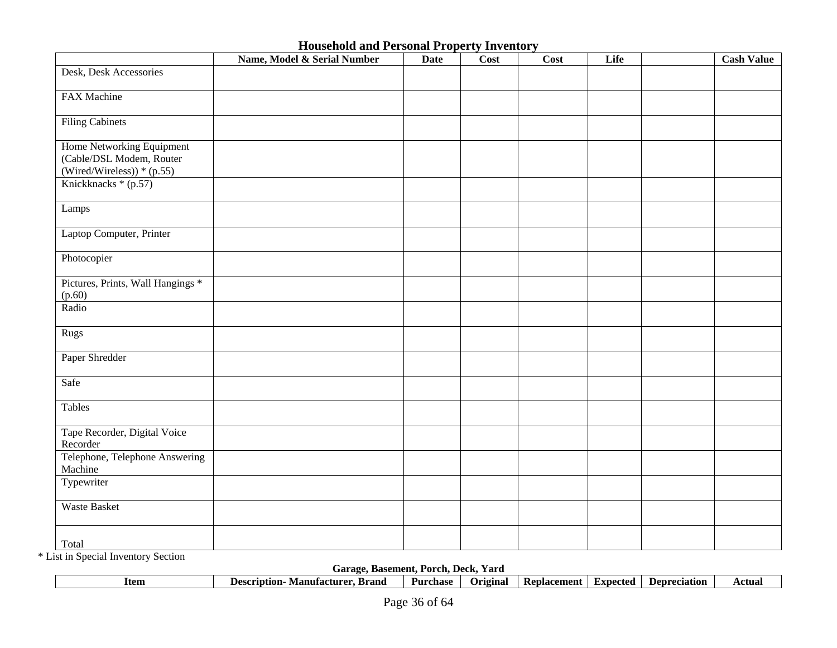|                                                                                      | Name, Model & Serial Number | <b>Date</b> | Cost | Cost | Life | <b>Cash Value</b> |
|--------------------------------------------------------------------------------------|-----------------------------|-------------|------|------|------|-------------------|
| Desk, Desk Accessories                                                               |                             |             |      |      |      |                   |
| FAX Machine                                                                          |                             |             |      |      |      |                   |
| <b>Filing Cabinets</b>                                                               |                             |             |      |      |      |                   |
| Home Networking Equipment<br>(Cable/DSL Modem, Router<br>(Wired/Wireless)) $*(p.55)$ |                             |             |      |      |      |                   |
| Knickknacks * (p.57)                                                                 |                             |             |      |      |      |                   |
| Lamps                                                                                |                             |             |      |      |      |                   |
| Laptop Computer, Printer                                                             |                             |             |      |      |      |                   |
| Photocopier                                                                          |                             |             |      |      |      |                   |
| Pictures, Prints, Wall Hangings *<br>(p.60)                                          |                             |             |      |      |      |                   |
| Radio                                                                                |                             |             |      |      |      |                   |
| Rugs                                                                                 |                             |             |      |      |      |                   |
| Paper Shredder                                                                       |                             |             |      |      |      |                   |
| Safe                                                                                 |                             |             |      |      |      |                   |
| Tables                                                                               |                             |             |      |      |      |                   |
| Tape Recorder, Digital Voice<br>Recorder                                             |                             |             |      |      |      |                   |
| Telephone, Telephone Answering<br>Machine                                            |                             |             |      |      |      |                   |
| Typewriter                                                                           |                             |             |      |      |      |                   |
| <b>Waste Basket</b>                                                                  |                             |             |      |      |      |                   |
| Total                                                                                |                             |             |      |      |      |                   |

\* List in Special Inventory Section

**Garage, Basement, Porch, Deck, Yard** 

| uaracc.<br>. Daschicht. I vrch. Deck. Taru |                                        |          |          |             |          |                     |        |
|--------------------------------------------|----------------------------------------|----------|----------|-------------|----------|---------------------|--------|
| Item                                       | Brand<br>Description<br>- Manufacturer | Purchase | Original | Replacement | Expected | <b>Depreciation</b> | Actual |
|                                            |                                        |          |          |             |          |                     |        |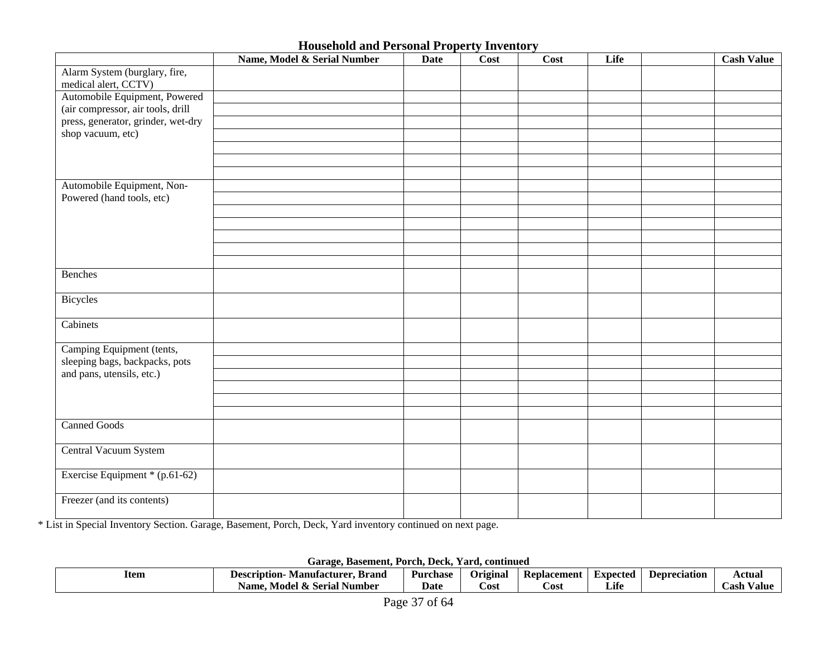|                                                                         | Name, Model & Serial Number | <b>Date</b> | Cost | Cost | Life | <b>Cash Value</b> |
|-------------------------------------------------------------------------|-----------------------------|-------------|------|------|------|-------------------|
| Alarm System (burglary, fire,                                           |                             |             |      |      |      |                   |
| medical alert, CCTV)                                                    |                             |             |      |      |      |                   |
| Automobile Equipment, Powered                                           |                             |             |      |      |      |                   |
| (air compressor, air tools, drill<br>press, generator, grinder, wet-dry |                             |             |      |      |      |                   |
| shop vacuum, etc)                                                       |                             |             |      |      |      |                   |
|                                                                         |                             |             |      |      |      |                   |
|                                                                         |                             |             |      |      |      |                   |
|                                                                         |                             |             |      |      |      |                   |
| Automobile Equipment, Non-                                              |                             |             |      |      |      |                   |
| Powered (hand tools, etc)                                               |                             |             |      |      |      |                   |
|                                                                         |                             |             |      |      |      |                   |
|                                                                         |                             |             |      |      |      |                   |
|                                                                         |                             |             |      |      |      |                   |
|                                                                         |                             |             |      |      |      |                   |
|                                                                         |                             |             |      |      |      |                   |
| Benches                                                                 |                             |             |      |      |      |                   |
| Bicycles                                                                |                             |             |      |      |      |                   |
| Cabinets                                                                |                             |             |      |      |      |                   |
| Camping Equipment (tents,                                               |                             |             |      |      |      |                   |
| sleeping bags, backpacks, pots                                          |                             |             |      |      |      |                   |
| and pans, utensils, etc.)                                               |                             |             |      |      |      |                   |
|                                                                         |                             |             |      |      |      |                   |
|                                                                         |                             |             |      |      |      |                   |
|                                                                         |                             |             |      |      |      |                   |
| <b>Canned Goods</b>                                                     |                             |             |      |      |      |                   |
| Central Vacuum System                                                   |                             |             |      |      |      |                   |
| Exercise Equipment * (p.61-62)                                          |                             |             |      |      |      |                   |
| Freezer (and its contents)                                              |                             |             |      |      |      |                   |

\* List in Special Inventory Section. Garage, Basement, Porch, Deck, Yard inventory continued on next page.

**Garage, Basement, Porch, Deck, Yard, continued** 

| ltem | . Brand<br>Manufacturer.<br>Description- | Purchase | Original | -<br>Replacement | Expected | <b>Depreciation</b> | Actual         |  |
|------|------------------------------------------|----------|----------|------------------|----------|---------------------|----------------|--|
|      | Model & Serial »<br>Number<br>Name.      | Date     | ∵ost     | ∠ost             | Life     |                     | ∠ash<br>/ aluo |  |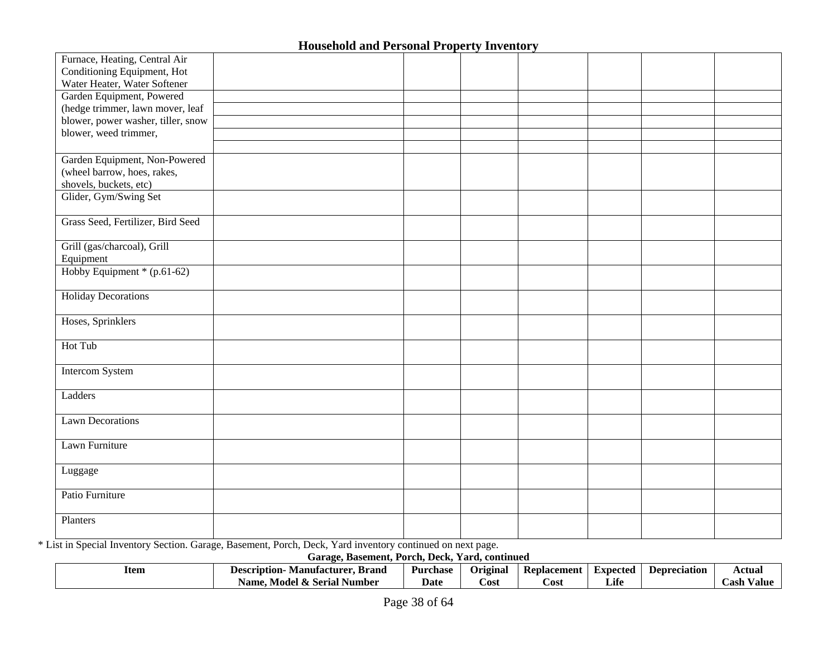| Furnace, Heating, Central Air      |  |  |  |  |
|------------------------------------|--|--|--|--|
| Conditioning Equipment, Hot        |  |  |  |  |
| Water Heater, Water Softener       |  |  |  |  |
| Garden Equipment, Powered          |  |  |  |  |
| (hedge trimmer, lawn mover, leaf   |  |  |  |  |
| blower, power washer, tiller, snow |  |  |  |  |
| blower, weed trimmer,              |  |  |  |  |
|                                    |  |  |  |  |
| Garden Equipment, Non-Powered      |  |  |  |  |
| (wheel barrow, hoes, rakes,        |  |  |  |  |
| shovels, buckets, etc)             |  |  |  |  |
| Glider, Gym/Swing Set              |  |  |  |  |
|                                    |  |  |  |  |
| Grass Seed, Fertilizer, Bird Seed  |  |  |  |  |
|                                    |  |  |  |  |
| Grill (gas/charcoal), Grill        |  |  |  |  |
| Equipment                          |  |  |  |  |
| Hobby Equipment $*(p.61-62)$       |  |  |  |  |
|                                    |  |  |  |  |
| <b>Holiday Decorations</b>         |  |  |  |  |
|                                    |  |  |  |  |
| Hoses, Sprinklers                  |  |  |  |  |
|                                    |  |  |  |  |
| Hot Tub                            |  |  |  |  |
|                                    |  |  |  |  |
| <b>Intercom System</b>             |  |  |  |  |
|                                    |  |  |  |  |
| Ladders                            |  |  |  |  |
|                                    |  |  |  |  |
| <b>Lawn Decorations</b>            |  |  |  |  |
|                                    |  |  |  |  |
| Lawn Furniture                     |  |  |  |  |
|                                    |  |  |  |  |
| Luggage                            |  |  |  |  |
| Patio Furniture                    |  |  |  |  |
|                                    |  |  |  |  |
| Planters                           |  |  |  |  |
|                                    |  |  |  |  |

\* List in Special Inventory Section. Garage, Basement, Porch, Deck, Yard inventory continued on next page.

**Garage, Basement, Porch, Deck, Yard, continued** 

| Item | Description-<br>Brand<br>Manutacturer.           | Purchase | Original | Replacement | Expected                | Depreciation | Actual        |
|------|--------------------------------------------------|----------|----------|-------------|-------------------------|--------------|---------------|
|      | . Number<br>- Model -<br>Name.<br>Serial<br>- 63 | Date     | Cost     | Cost        | $\cdot$ $\cdot$<br>Life |              | ∠ash<br>/alue |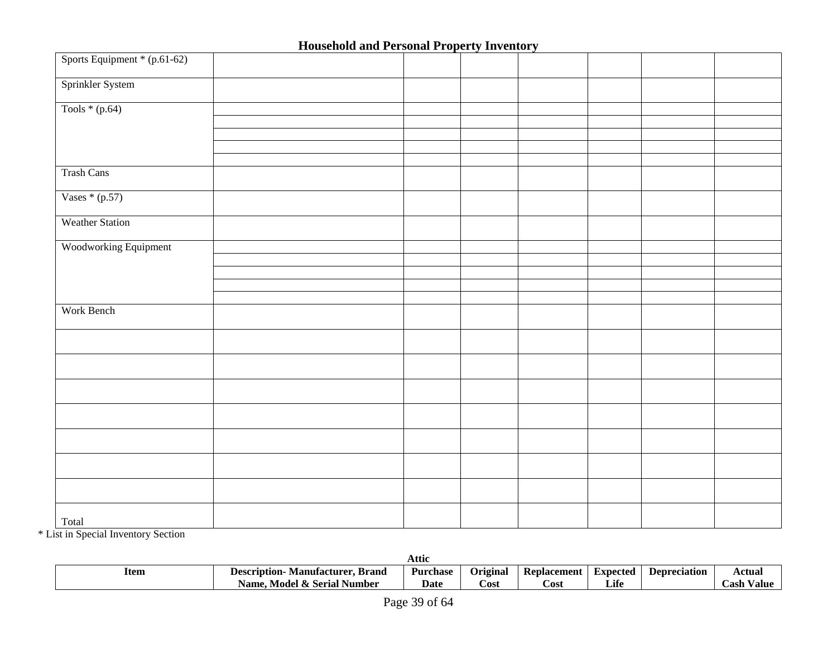| Sports Equipment * (p.61-62) |  |  |  |  |
|------------------------------|--|--|--|--|
| Sprinkler System             |  |  |  |  |
| Tools $*(p.64)$              |  |  |  |  |
|                              |  |  |  |  |
|                              |  |  |  |  |
|                              |  |  |  |  |
|                              |  |  |  |  |
| <b>Trash Cans</b>            |  |  |  |  |
| Vases $*(p.57)$              |  |  |  |  |
| <b>Weather Station</b>       |  |  |  |  |
| Woodworking Equipment        |  |  |  |  |
|                              |  |  |  |  |
|                              |  |  |  |  |
|                              |  |  |  |  |
|                              |  |  |  |  |
| Work Bench                   |  |  |  |  |
|                              |  |  |  |  |
|                              |  |  |  |  |
|                              |  |  |  |  |
|                              |  |  |  |  |
|                              |  |  |  |  |
|                              |  |  |  |  |
|                              |  |  |  |  |
| Total                        |  |  |  |  |

\* List in Special Inventory Section

|      |                                            | Attic           |          |             |          |                     |               |
|------|--------------------------------------------|-----------------|----------|-------------|----------|---------------------|---------------|
| Item | <b>Description-</b><br>Manufacturer. Brand | <b>Purchase</b> | Original | Replacement | Expected | <b>Depreciation</b> | Actual        |
|      | <b>Model &amp; Serial Number</b><br>Name.  | <b>Date</b>     | Cost     | Cost        | Life     |                     | `ash<br>Value |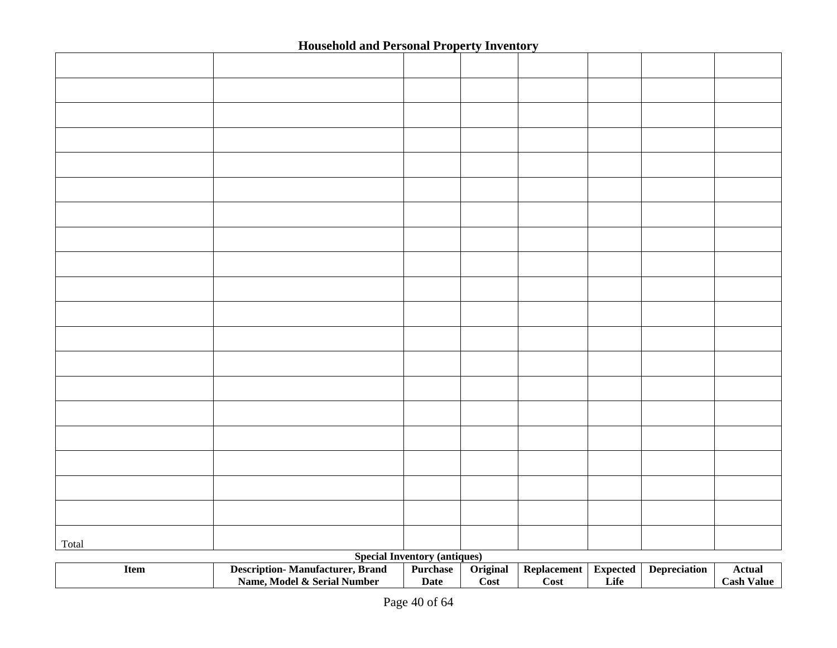| Total |                                                                       |                                     |                  |                            |                         |                     |                                    |
|-------|-----------------------------------------------------------------------|-------------------------------------|------------------|----------------------------|-------------------------|---------------------|------------------------------------|
|       |                                                                       | <b>Special Inventory (antiques)</b> |                  |                            |                         |                     |                                    |
| Item  | <b>Description-Manufacturer, Brand</b><br>Name, Model & Serial Number | Purchase<br><b>Date</b>             | Original<br>Cost | <b>Replacement</b><br>Cost | <b>Expected</b><br>Life | <b>Depreciation</b> | <b>Actual</b><br><b>Cash Value</b> |
|       |                                                                       |                                     |                  |                            |                         |                     |                                    |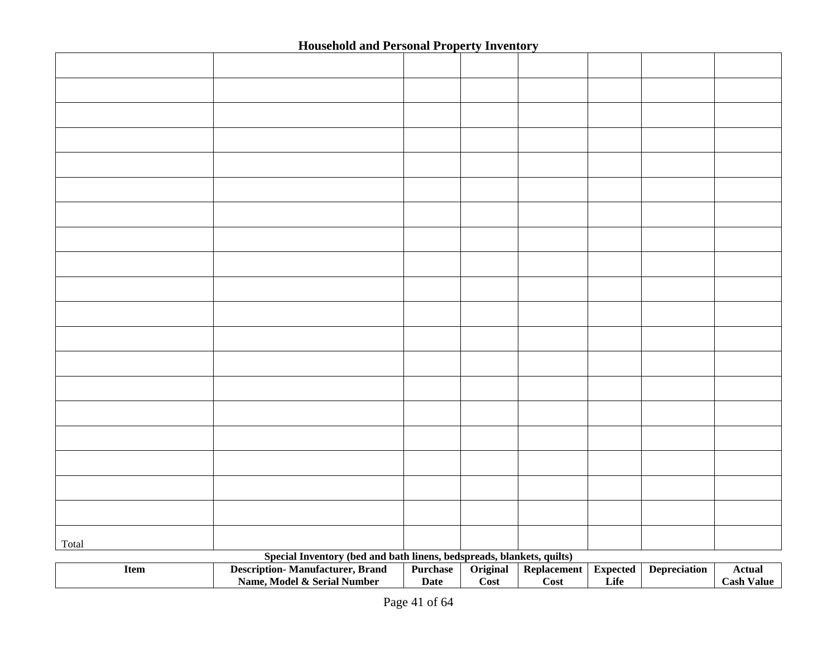| Total |                                                                       |             |                            |             |                 |                     |                   |
|-------|-----------------------------------------------------------------------|-------------|----------------------------|-------------|-----------------|---------------------|-------------------|
|       | Special Inventory (bed and bath linens, bedspreads, blankets, quilts) |             |                            |             |                 |                     |                   |
| Item  | <b>Description-Manufacturer, Brand</b>                                | Purchase    | Original                   | Replacement | <b>Expected</b> | <b>Depreciation</b> | <b>Actual</b>     |
|       | Name, Model & Serial Number                                           | <b>Date</b> | $\overline{\mathrm{Cost}}$ | Cost        | Life            |                     | <b>Cash Value</b> |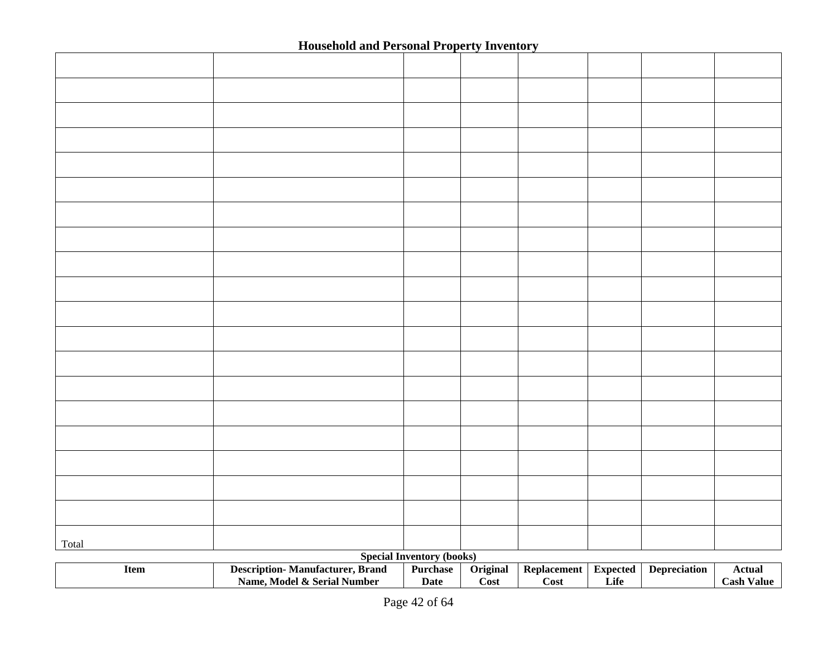| Total |                                        |                                  |          |                    |                 |                     |                   |
|-------|----------------------------------------|----------------------------------|----------|--------------------|-----------------|---------------------|-------------------|
|       |                                        | <b>Special Inventory (books)</b> |          |                    |                 |                     |                   |
| Item  | <b>Description-Manufacturer, Brand</b> | Purchase                         | Original | <b>Replacement</b> | <b>Expected</b> | <b>Depreciation</b> | <b>Actual</b>     |
|       | Name, Model & Serial Number            | <b>Date</b>                      | Cost     | Cost               | Life            |                     | <b>Cash Value</b> |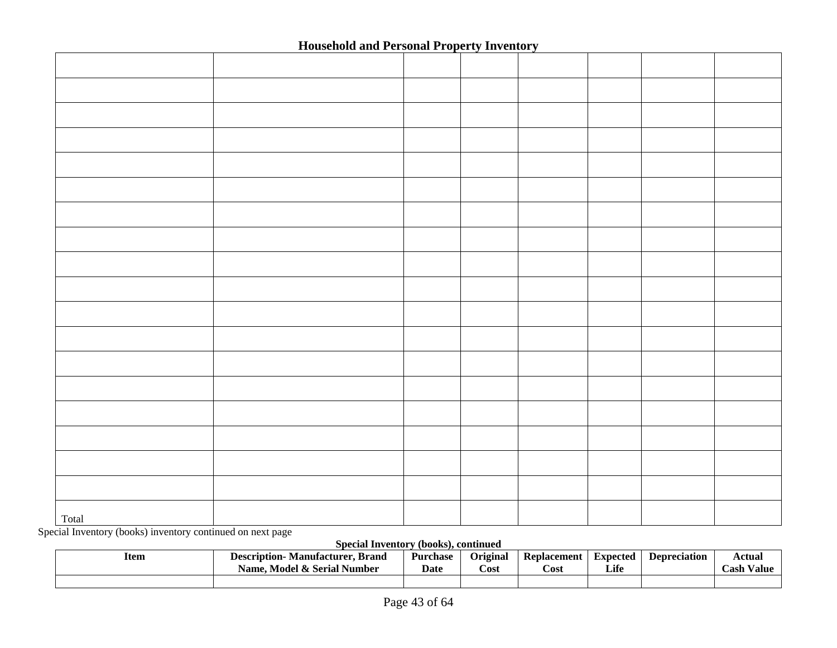| Total |  |  |  |  |
|-------|--|--|--|--|

Special Inventory (books) inventory continued on next page

**Special Inventory (books), continued** 

| Item | <b>Manufacturer, Brand</b><br><b>Description-</b><br><b>4 &amp; Serial Number</b><br>Model .<br>Name. | <b>Purchase</b><br>Date | <b>Original</b><br>Cost | Replacement<br>Cost | Expected<br>Life | <b>Depreciation</b> | Actual<br>$\cosh V$<br>Value |
|------|-------------------------------------------------------------------------------------------------------|-------------------------|-------------------------|---------------------|------------------|---------------------|------------------------------|
|      |                                                                                                       |                         |                         |                     |                  |                     |                              |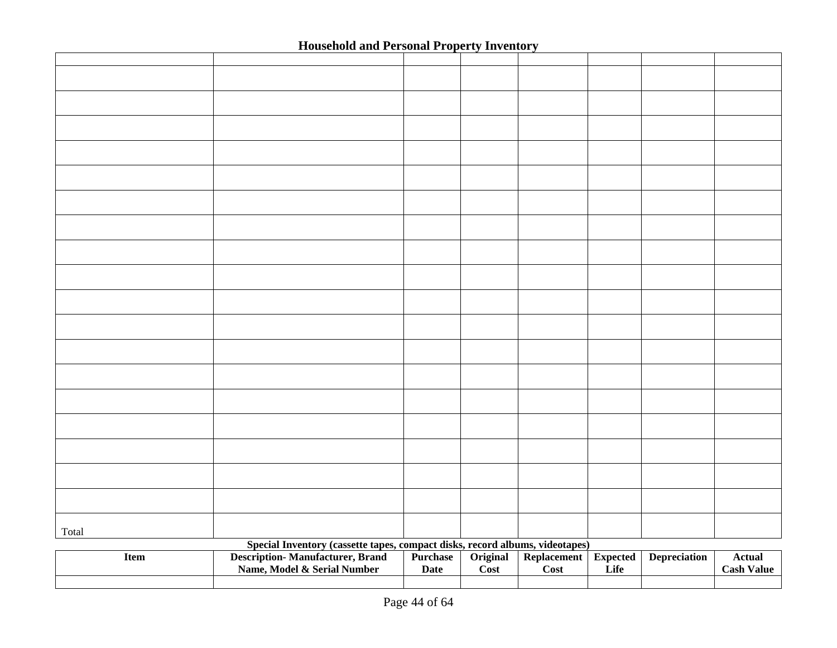|             | <u>household and I chomat Poperty Inventory</u>                              |             |          |                    |                 |                     |                   |
|-------------|------------------------------------------------------------------------------|-------------|----------|--------------------|-----------------|---------------------|-------------------|
|             |                                                                              |             |          |                    |                 |                     |                   |
|             |                                                                              |             |          |                    |                 |                     |                   |
|             |                                                                              |             |          |                    |                 |                     |                   |
|             |                                                                              |             |          |                    |                 |                     |                   |
|             |                                                                              |             |          |                    |                 |                     |                   |
|             |                                                                              |             |          |                    |                 |                     |                   |
|             |                                                                              |             |          |                    |                 |                     |                   |
|             |                                                                              |             |          |                    |                 |                     |                   |
|             |                                                                              |             |          |                    |                 |                     |                   |
|             |                                                                              |             |          |                    |                 |                     |                   |
|             |                                                                              |             |          |                    |                 |                     |                   |
|             |                                                                              |             |          |                    |                 |                     |                   |
|             |                                                                              |             |          |                    |                 |                     |                   |
|             |                                                                              |             |          |                    |                 |                     |                   |
|             |                                                                              |             |          |                    |                 |                     |                   |
|             |                                                                              |             |          |                    |                 |                     |                   |
|             |                                                                              |             |          |                    |                 |                     |                   |
|             |                                                                              |             |          |                    |                 |                     |                   |
|             |                                                                              |             |          |                    |                 |                     |                   |
|             |                                                                              |             |          |                    |                 |                     |                   |
|             |                                                                              |             |          |                    |                 |                     |                   |
|             |                                                                              |             |          |                    |                 |                     |                   |
|             |                                                                              |             |          |                    |                 |                     |                   |
|             |                                                                              |             |          |                    |                 |                     |                   |
|             |                                                                              |             |          |                    |                 |                     |                   |
|             |                                                                              |             |          |                    |                 |                     |                   |
|             |                                                                              |             |          |                    |                 |                     |                   |
|             |                                                                              |             |          |                    |                 |                     |                   |
|             |                                                                              |             |          |                    |                 |                     |                   |
|             |                                                                              |             |          |                    |                 |                     |                   |
|             |                                                                              |             |          |                    |                 |                     |                   |
|             |                                                                              |             |          |                    |                 |                     |                   |
|             |                                                                              |             |          |                    |                 |                     |                   |
|             |                                                                              |             |          |                    |                 |                     |                   |
|             |                                                                              |             |          |                    |                 |                     |                   |
|             |                                                                              |             |          |                    |                 |                     |                   |
|             |                                                                              |             |          |                    |                 |                     |                   |
| Total       |                                                                              |             |          |                    |                 |                     |                   |
|             | Special Inventory (cassette tapes, compact disks, record albums, videotapes) |             |          |                    |                 |                     |                   |
| <b>Item</b> | <b>Description-Manufacturer, Brand</b>                                       | Purchase    | Original | <b>Replacement</b> | <b>Expected</b> | <b>Depreciation</b> | <b>Actual</b>     |
|             | Name, Model & Serial Number                                                  | <b>Date</b> | Cost     | Cost               | Life            |                     | <b>Cash Value</b> |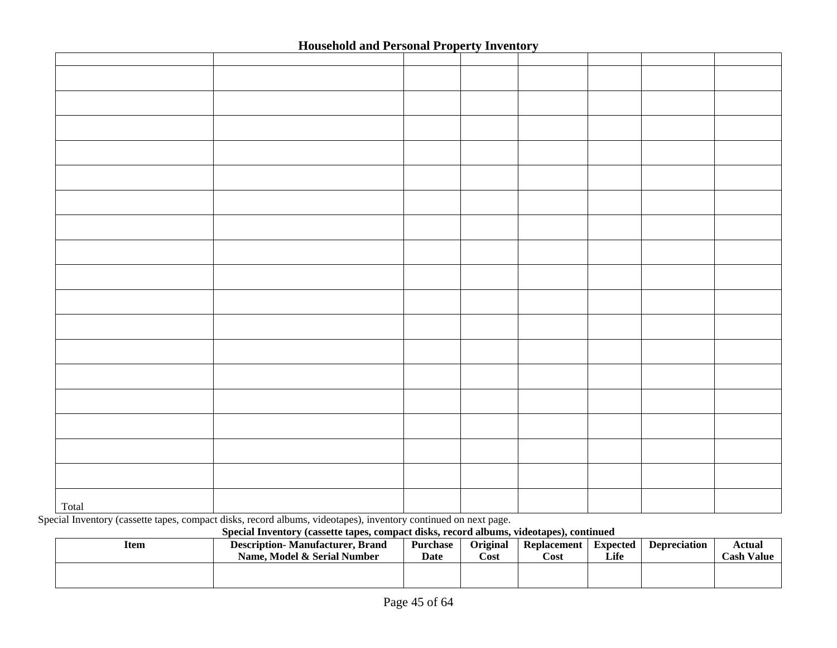| Total |  |  |  |  |
|-------|--|--|--|--|

Special Inventory (cassette tapes, compact disks, record albums, videotapes), inventory continued on next page.

#### **Special Inventory (cassette tapes, compact disks, record albums, videotapes), continued**

| Item | <b>Description-</b> Manufacturer, Brand | <b>Purchase</b> | Original | Replacement | Expected | <b>Depreciation</b> | Actual            |
|------|-----------------------------------------|-----------------|----------|-------------|----------|---------------------|-------------------|
|      | Name. Model & Serial Number             | Date            | Cost     | Cost        | Life     |                     | <b>Cash Value</b> |
|      |                                         |                 |          |             |          |                     |                   |
|      |                                         |                 |          |             |          |                     |                   |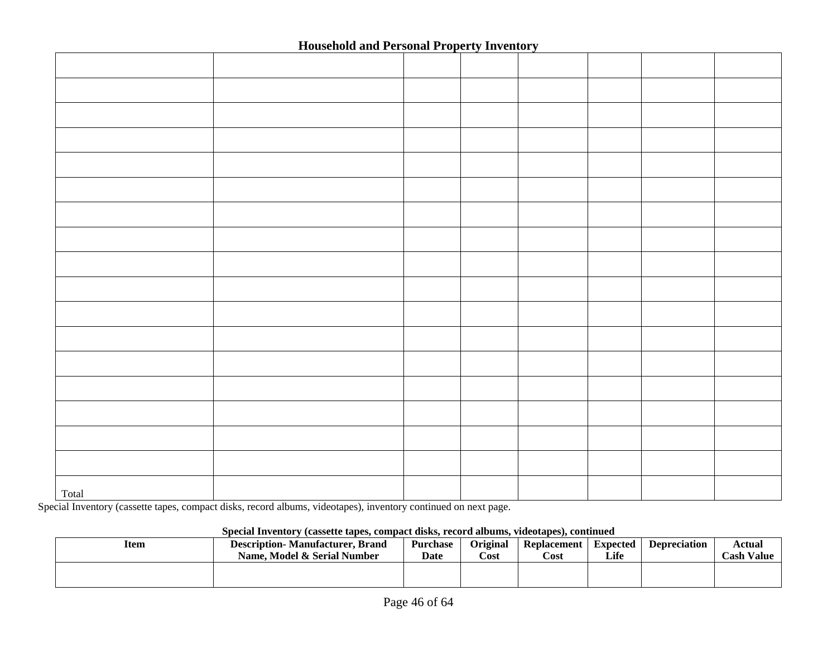| Total |  |  |  |  |
|-------|--|--|--|--|

Special Inventory (cassette tapes, compact disks, record albums, videotapes), inventory continued on next page.

#### **Special Inventory (cassette tapes, compact disks, record albums, videotapes), continued**

| Item | <b>Description-Manufacturer, Brand</b><br>Name, Model & Serial Number | Purchase<br><b>Date</b> | <b>Original</b><br>$\mathbb C$ ost | <b>Replacement</b><br>Cost | <b>Expected</b><br>Life | <b>Depreciation</b> | Actual<br><b>Cash Value</b> |
|------|-----------------------------------------------------------------------|-------------------------|------------------------------------|----------------------------|-------------------------|---------------------|-----------------------------|
|      |                                                                       |                         |                                    |                            |                         |                     |                             |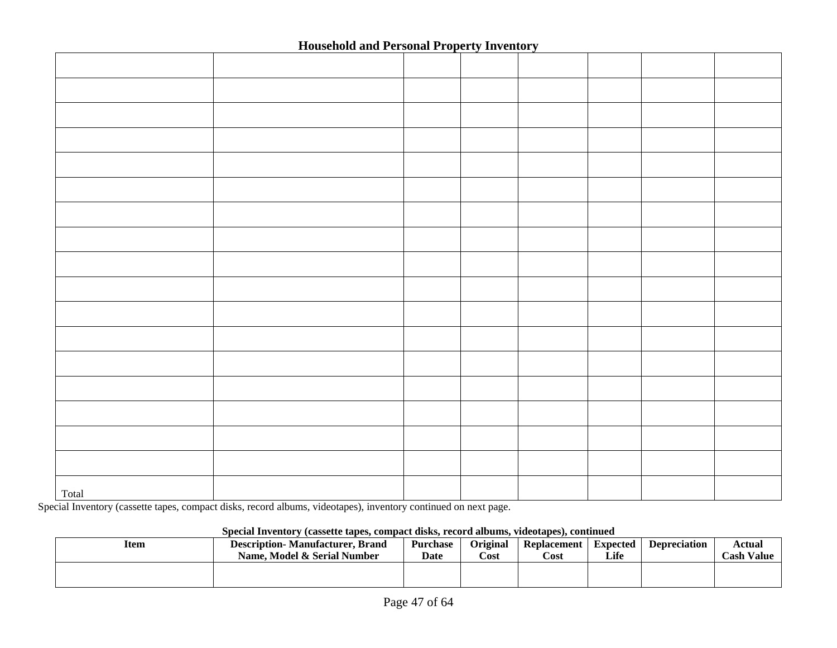| Total |  |  |  |  |
|-------|--|--|--|--|

Special Inventory (cassette tapes, compact disks, record albums, videotapes), inventory continued on next page.

#### **Special Inventory (cassette tapes, compact disks, record albums, videotapes), continued**

|      | Obeciai mychwi y casselie iabes. combaet uisis. Fecoru anoums. Viucolabes7. commueu |             |                 |                    |          |                     |            |  |  |  |
|------|-------------------------------------------------------------------------------------|-------------|-----------------|--------------------|----------|---------------------|------------|--|--|--|
| Item | <b>Description-Manufacturer, Brand</b>                                              | Purchase    | <b>Original</b> | <b>Replacement</b> | Expected | <b>Depreciation</b> | Actual     |  |  |  |
|      | Name. Model & Serial Number                                                         | <b>Date</b> | Cost            | Cost               | Life     |                     | Cash Value |  |  |  |
|      |                                                                                     |             |                 |                    |          |                     |            |  |  |  |
|      |                                                                                     |             |                 |                    |          |                     |            |  |  |  |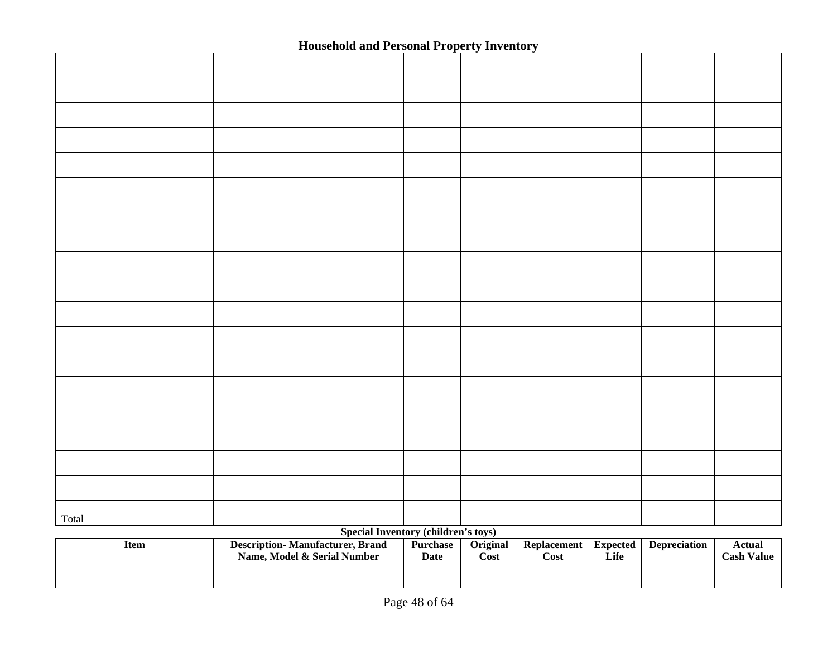| Total | <b>Special Inventory (children's toys)</b> |  |  |  |
|-------|--------------------------------------------|--|--|--|
|       |                                            |  |  |  |

| Item | <b>Description-Manufacturer, Brand</b><br>Name. Model & Serial Number | <b>Purchase</b><br>Date | <b>Original</b><br>Cost | Replacement<br>Cost | <b>Expected</b><br>Life | <b>Depreciation</b> | Actual<br>Cash Value |
|------|-----------------------------------------------------------------------|-------------------------|-------------------------|---------------------|-------------------------|---------------------|----------------------|
|      |                                                                       |                         |                         |                     |                         |                     |                      |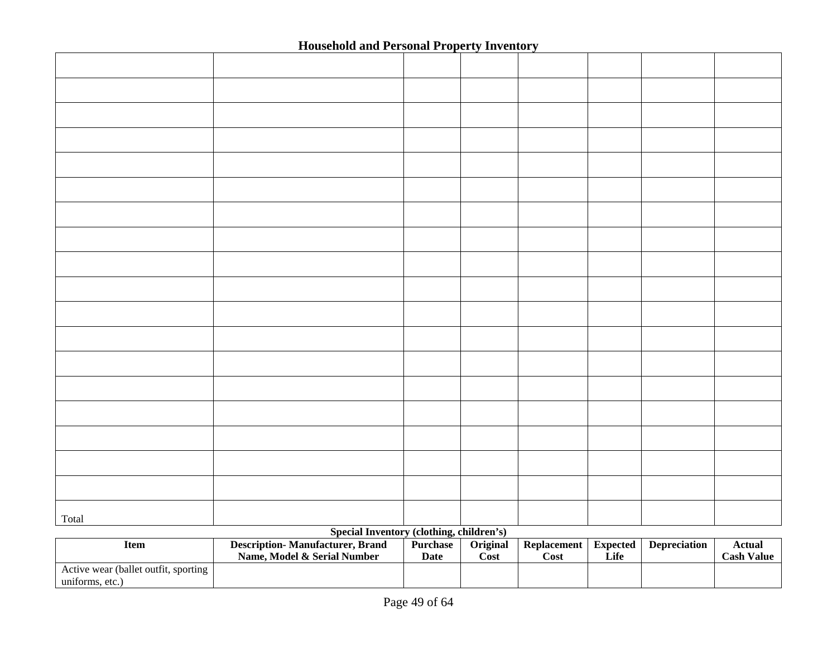| Total |                                            |  |  |  |
|-------|--------------------------------------------|--|--|--|
|       | $Sna$ cial Inventory (clothing children's) |  |  |  |

#### **Special Inventory (clothing, children's)**

| Item                                                    | <b>Description-</b> Manufacturer, Brand<br>Name. Model & Serial Number | <b>Purchase</b><br><b>Date</b> | <b>Original</b><br>$\mathbf{Cost}$ | <b>Replacement</b><br>∠ost | Expected<br>Life | <b>Depreciation</b> | Actual<br><b>Cash Value</b> |
|---------------------------------------------------------|------------------------------------------------------------------------|--------------------------------|------------------------------------|----------------------------|------------------|---------------------|-----------------------------|
| Active wear (ballet outfit, sporting<br>uniforms, etc.) |                                                                        |                                |                                    |                            |                  |                     |                             |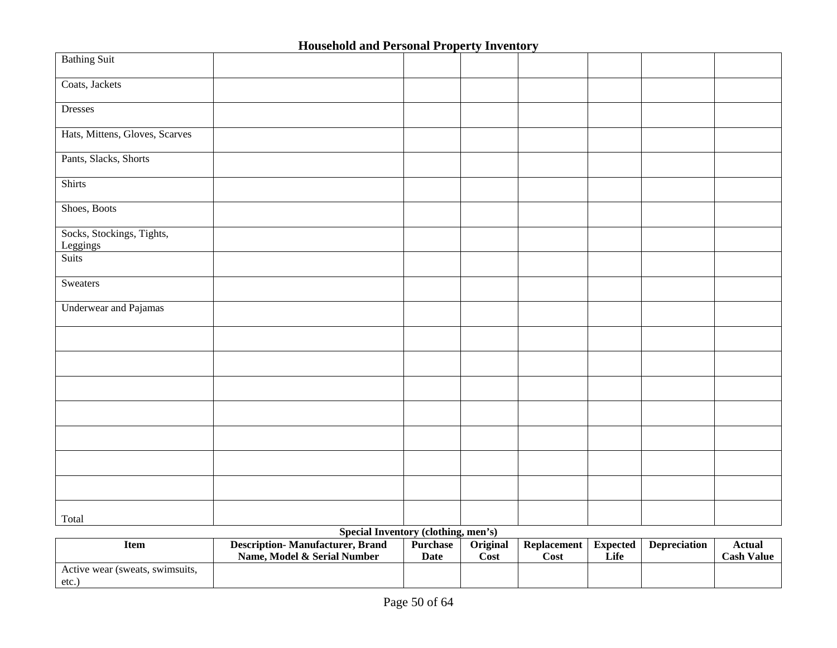| <b>Bathing Suit</b>                   |                                                                                |  |  |  |
|---------------------------------------|--------------------------------------------------------------------------------|--|--|--|
| Coats, Jackets                        |                                                                                |  |  |  |
| Dresses                               |                                                                                |  |  |  |
| Hats, Mittens, Gloves, Scarves        |                                                                                |  |  |  |
| Pants, Slacks, Shorts                 |                                                                                |  |  |  |
| Shirts                                |                                                                                |  |  |  |
| Shoes, Boots                          |                                                                                |  |  |  |
| Socks, Stockings, Tights,<br>Leggings |                                                                                |  |  |  |
| Suits                                 |                                                                                |  |  |  |
| Sweaters                              |                                                                                |  |  |  |
| <b>Underwear and Pajamas</b>          |                                                                                |  |  |  |
|                                       |                                                                                |  |  |  |
|                                       |                                                                                |  |  |  |
|                                       |                                                                                |  |  |  |
|                                       |                                                                                |  |  |  |
|                                       |                                                                                |  |  |  |
|                                       |                                                                                |  |  |  |
|                                       |                                                                                |  |  |  |
| Total                                 | $0 \rightarrow 1$ <b>I</b> $1 \rightarrow 1$ $(1 \rightarrow 1) \rightarrow 1$ |  |  |  |

#### **Special Inventory (clothing, men's)**

| ltem                            | <b>Description-Manufacturer, Brand</b> | <b>Purchase</b> | <b>Original</b> | Replacement | <b>Expected</b> | <b>Depreciation</b> | Actual            |
|---------------------------------|----------------------------------------|-----------------|-----------------|-------------|-----------------|---------------------|-------------------|
|                                 | Name. Model & Serial Number            | Date            | $\cos t$        | Cost        | Life            |                     | <b>Cash Value</b> |
| Active wear (sweats, swimsuits, |                                        |                 |                 |             |                 |                     |                   |
| etc.                            |                                        |                 |                 |             |                 |                     |                   |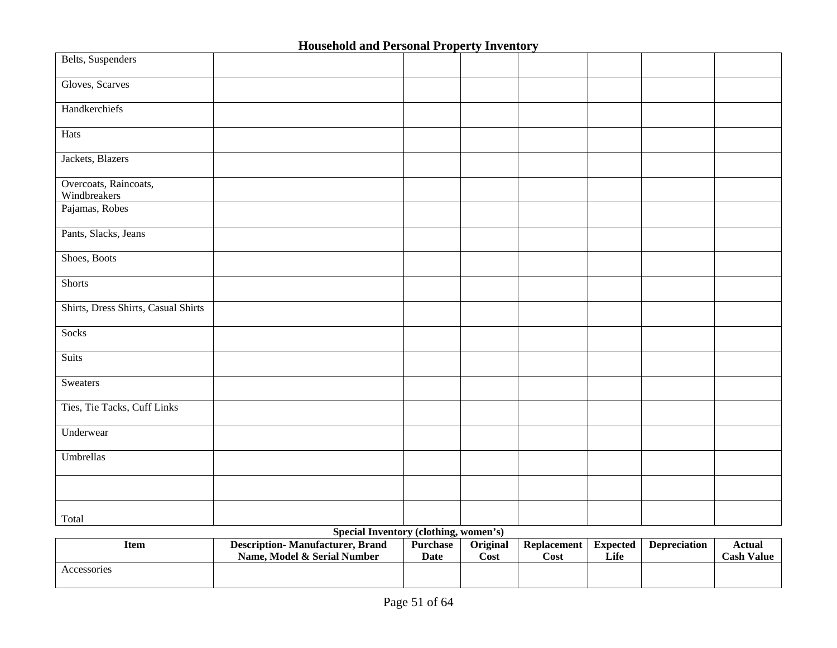| Belts, Suspenders                     |                                            |  |  |  |
|---------------------------------------|--------------------------------------------|--|--|--|
| Gloves, Scarves                       |                                            |  |  |  |
| Handkerchiefs                         |                                            |  |  |  |
| Hats                                  |                                            |  |  |  |
| Jackets, Blazers                      |                                            |  |  |  |
| Overcoats, Raincoats,<br>Windbreakers |                                            |  |  |  |
| Pajamas, Robes                        |                                            |  |  |  |
| Pants, Slacks, Jeans                  |                                            |  |  |  |
| Shoes, Boots                          |                                            |  |  |  |
| <b>Shorts</b>                         |                                            |  |  |  |
| Shirts, Dress Shirts, Casual Shirts   |                                            |  |  |  |
| Socks                                 |                                            |  |  |  |
| <b>Suits</b>                          |                                            |  |  |  |
| Sweaters                              |                                            |  |  |  |
| Ties, Tie Tacks, Cuff Links           |                                            |  |  |  |
| Underwear                             |                                            |  |  |  |
| Umbrellas                             |                                            |  |  |  |
|                                       |                                            |  |  |  |
| Total                                 | $Quotel I In addition (alathine, monomah)$ |  |  |  |

**Special Inventory (clothing, women's) Item Description- Manufacturer, Brand Name, Model & Serial Number Purchase Date Original Cost Replacement Cost Expected Life Depreciation Actual Cash Value**  Accessories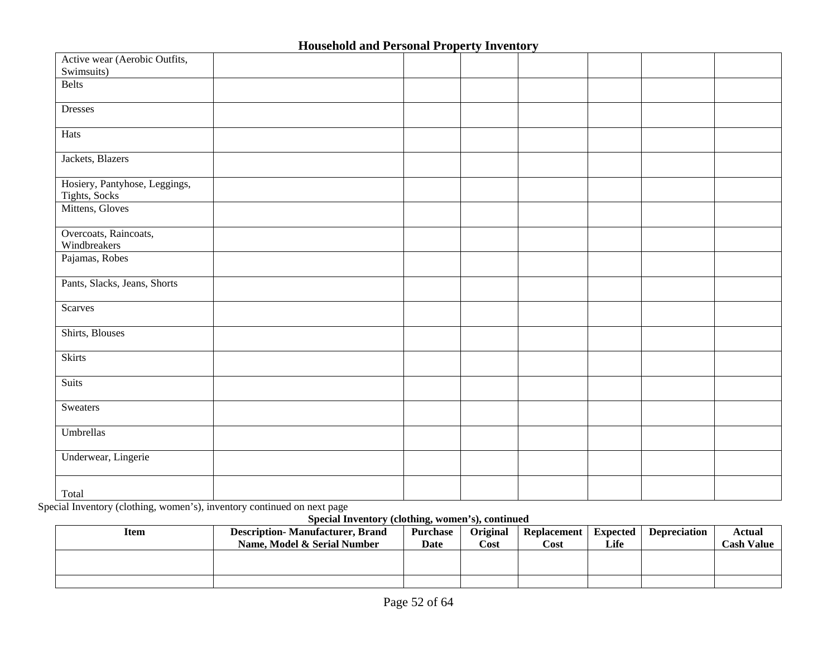| Active wear (Aerobic Outfits,                  |  |  |  |  |
|------------------------------------------------|--|--|--|--|
| Swimsuits)                                     |  |  |  |  |
| <b>Belts</b>                                   |  |  |  |  |
| <b>Dresses</b>                                 |  |  |  |  |
| Hats                                           |  |  |  |  |
| Jackets, Blazers                               |  |  |  |  |
| Hosiery, Pantyhose, Leggings,<br>Tights, Socks |  |  |  |  |
| Mittens, Gloves                                |  |  |  |  |
| Overcoats, Raincoats,<br>Windbreakers          |  |  |  |  |
| Pajamas, Robes                                 |  |  |  |  |
| Pants, Slacks, Jeans, Shorts                   |  |  |  |  |
| <b>Scarves</b>                                 |  |  |  |  |
| Shirts, Blouses                                |  |  |  |  |
| Skirts                                         |  |  |  |  |
| <b>Suits</b>                                   |  |  |  |  |
| Sweaters                                       |  |  |  |  |
| Umbrellas                                      |  |  |  |  |
| Underwear, Lingerie                            |  |  |  |  |
| Total                                          |  |  |  |  |

Total Special Inventory (clothing, women's), inventory continued on next page

**Special Inventory (clothing, women's), continued** 

| Item | <b>Description-Manufacturer, Brand</b> | <b>Purchase</b> | <b>Original</b> | <b>Replacement</b> | Expected | <b>Depreciation</b> | Actual            |
|------|----------------------------------------|-----------------|-----------------|--------------------|----------|---------------------|-------------------|
|      | Name. Model & Serial Number            | Date            | Cost            | Cost               | Life     |                     | <b>Cash Value</b> |
|      |                                        |                 |                 |                    |          |                     |                   |
|      |                                        |                 |                 |                    |          |                     |                   |
|      |                                        |                 |                 |                    |          |                     |                   |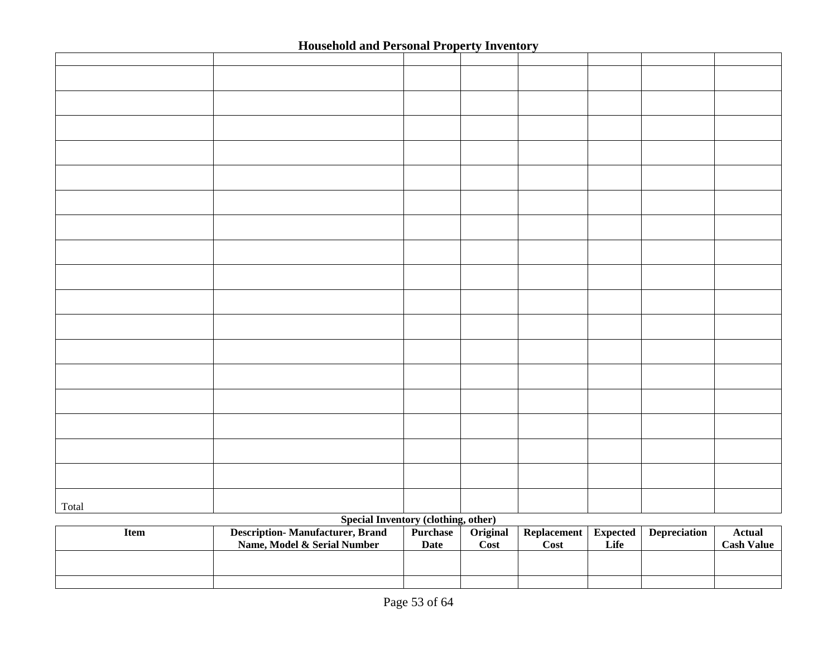|       | Troupenois and                        | $\alpha$                                                                        |  |  |  |
|-------|---------------------------------------|---------------------------------------------------------------------------------|--|--|--|
|       |                                       |                                                                                 |  |  |  |
|       |                                       |                                                                                 |  |  |  |
|       |                                       |                                                                                 |  |  |  |
|       |                                       |                                                                                 |  |  |  |
|       |                                       |                                                                                 |  |  |  |
|       |                                       |                                                                                 |  |  |  |
|       |                                       |                                                                                 |  |  |  |
|       |                                       |                                                                                 |  |  |  |
|       |                                       |                                                                                 |  |  |  |
|       |                                       |                                                                                 |  |  |  |
|       |                                       |                                                                                 |  |  |  |
|       |                                       |                                                                                 |  |  |  |
|       |                                       |                                                                                 |  |  |  |
|       |                                       |                                                                                 |  |  |  |
|       |                                       |                                                                                 |  |  |  |
|       |                                       |                                                                                 |  |  |  |
|       |                                       |                                                                                 |  |  |  |
|       |                                       |                                                                                 |  |  |  |
|       |                                       |                                                                                 |  |  |  |
|       |                                       |                                                                                 |  |  |  |
|       |                                       |                                                                                 |  |  |  |
|       |                                       |                                                                                 |  |  |  |
|       |                                       |                                                                                 |  |  |  |
|       |                                       |                                                                                 |  |  |  |
|       |                                       |                                                                                 |  |  |  |
|       |                                       |                                                                                 |  |  |  |
|       |                                       |                                                                                 |  |  |  |
|       |                                       |                                                                                 |  |  |  |
|       |                                       |                                                                                 |  |  |  |
|       |                                       |                                                                                 |  |  |  |
|       |                                       |                                                                                 |  |  |  |
|       |                                       |                                                                                 |  |  |  |
|       |                                       |                                                                                 |  |  |  |
|       |                                       |                                                                                 |  |  |  |
|       |                                       |                                                                                 |  |  |  |
|       |                                       |                                                                                 |  |  |  |
| Total | $C_{\text{max}}$ and $C_{\text{max}}$ | $\lambda$ and $\lambda$ and $\lambda$ and $\lambda$ and $\lambda$ and $\lambda$ |  |  |  |

#### **Special Inventory (clothing, other)**

| Item | <b>Description-Manufacturer, Brand</b><br>Name. Model & Serial Number | <b>Purchase</b><br>Date | Original<br>Cost | <b>Replacement</b><br>Cost | <b>Expected</b><br>Life | <b>Depreciation</b> | Actual<br><b>Cash Value</b> |
|------|-----------------------------------------------------------------------|-------------------------|------------------|----------------------------|-------------------------|---------------------|-----------------------------|
|      |                                                                       |                         |                  |                            |                         |                     |                             |
|      |                                                                       |                         |                  |                            |                         |                     |                             |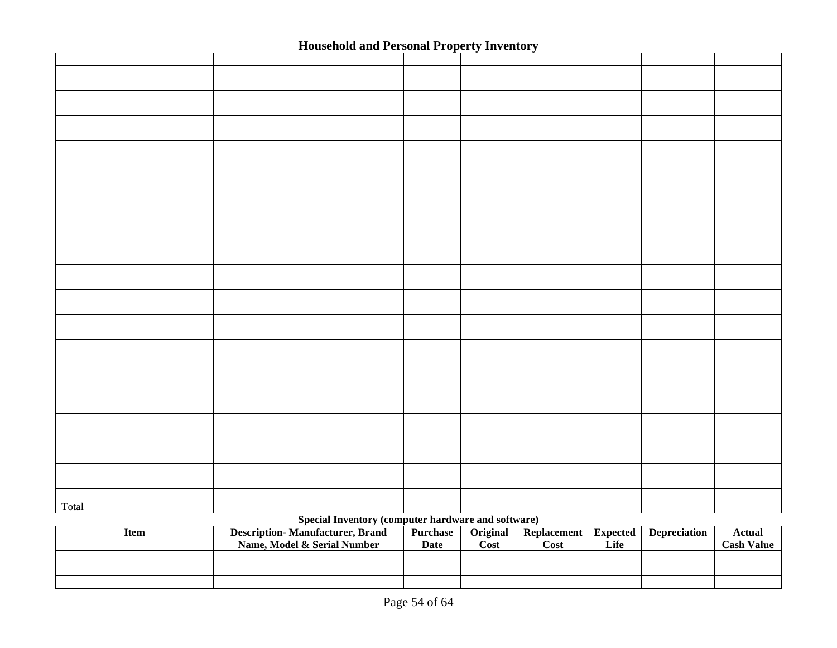|       | ----------- | JUL VY AM VUMVUL |  |  |
|-------|-------------|------------------|--|--|
|       |             |                  |  |  |
|       |             |                  |  |  |
|       |             |                  |  |  |
|       |             |                  |  |  |
|       |             |                  |  |  |
|       |             |                  |  |  |
|       |             |                  |  |  |
|       |             |                  |  |  |
|       |             |                  |  |  |
|       |             |                  |  |  |
|       |             |                  |  |  |
|       |             |                  |  |  |
|       |             |                  |  |  |
|       |             |                  |  |  |
|       |             |                  |  |  |
|       |             |                  |  |  |
|       |             |                  |  |  |
|       |             |                  |  |  |
|       |             |                  |  |  |
|       |             |                  |  |  |
|       |             |                  |  |  |
|       |             |                  |  |  |
|       |             |                  |  |  |
|       |             |                  |  |  |
|       |             |                  |  |  |
|       |             |                  |  |  |
|       |             |                  |  |  |
|       |             |                  |  |  |
|       |             |                  |  |  |
|       |             |                  |  |  |
|       |             |                  |  |  |
|       |             |                  |  |  |
|       |             |                  |  |  |
|       |             |                  |  |  |
|       |             |                  |  |  |
| Total |             |                  |  |  |
|       |             |                  |  |  |

#### **Special Inventory (computer hardware and software)**

| Item | <b>Description-Manufacturer, Brand</b><br>Name. Model & Serial Number | Purchase<br>Date | Original<br>Cost | Replacement<br>Cost | Expected<br>Life | <b>Depreciation</b> | Actual<br><b>Cash Value</b> |
|------|-----------------------------------------------------------------------|------------------|------------------|---------------------|------------------|---------------------|-----------------------------|
|      |                                                                       |                  |                  |                     |                  |                     |                             |
|      |                                                                       |                  |                  |                     |                  |                     |                             |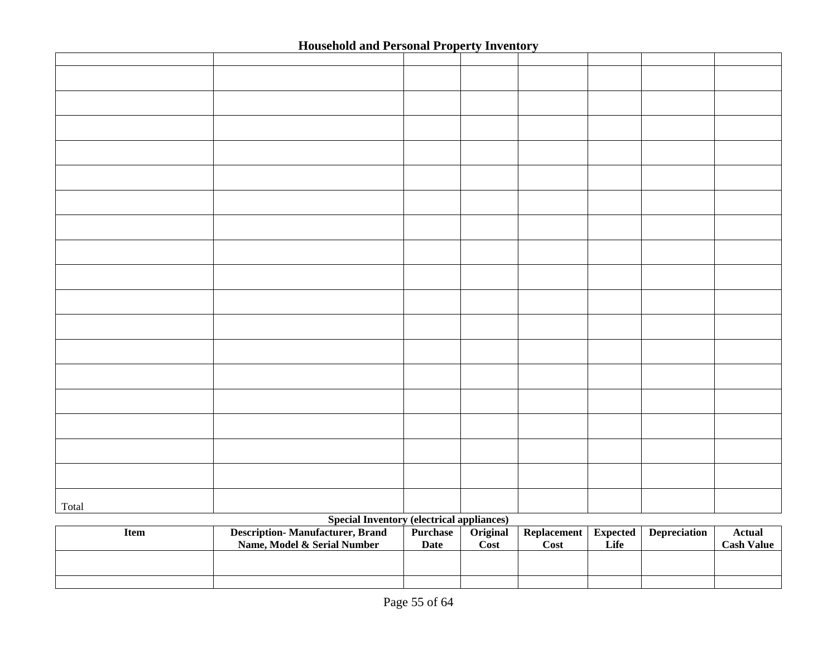|       |  | JUL VY AILY ULIVUL |  |  |
|-------|--|--------------------|--|--|
|       |  |                    |  |  |
|       |  |                    |  |  |
|       |  |                    |  |  |
|       |  |                    |  |  |
|       |  |                    |  |  |
|       |  |                    |  |  |
|       |  |                    |  |  |
|       |  |                    |  |  |
|       |  |                    |  |  |
|       |  |                    |  |  |
|       |  |                    |  |  |
|       |  |                    |  |  |
|       |  |                    |  |  |
|       |  |                    |  |  |
|       |  |                    |  |  |
|       |  |                    |  |  |
|       |  |                    |  |  |
|       |  |                    |  |  |
| Total |  |                    |  |  |

#### **Special Inventory (electrical appliances)**

| Item | <b>Description-Manufacturer, Brand</b><br>Name. Model & Serial Number | <b>Purchase</b><br>Date | <b>Original</b><br>Cost | Replacement<br>$\mathbf{Cost}$ | Expected<br>Life | <b>Depreciation</b> | Actual<br><b>Cash Value</b> |
|------|-----------------------------------------------------------------------|-------------------------|-------------------------|--------------------------------|------------------|---------------------|-----------------------------|
|      |                                                                       |                         |                         |                                |                  |                     |                             |
|      |                                                                       |                         |                         |                                |                  |                     |                             |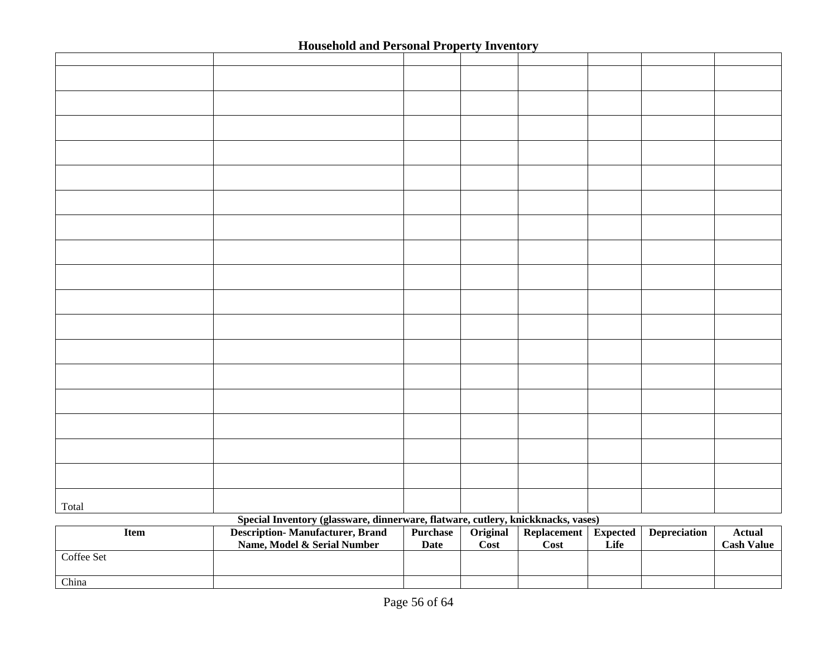| Total      |                                                                                  |             |          |                      |      |                     |                   |
|------------|----------------------------------------------------------------------------------|-------------|----------|----------------------|------|---------------------|-------------------|
|            | Special Inventory (glassware, dinnerware, flatware, cutlery, knickknacks, vases) |             |          |                      |      |                     |                   |
| Item       | <b>Description-Manufacturer, Brand</b>                                           | Purchase    | Original | Replacement Expected |      | <b>Depreciation</b> | <b>Actual</b>     |
|            | Name, Model & Serial Number                                                      | <b>Date</b> | Cost     | Cost                 | Life |                     | <b>Cash Value</b> |
| Coffee Set |                                                                                  |             |          |                      |      |                     |                   |
|            |                                                                                  |             |          |                      |      |                     |                   |

China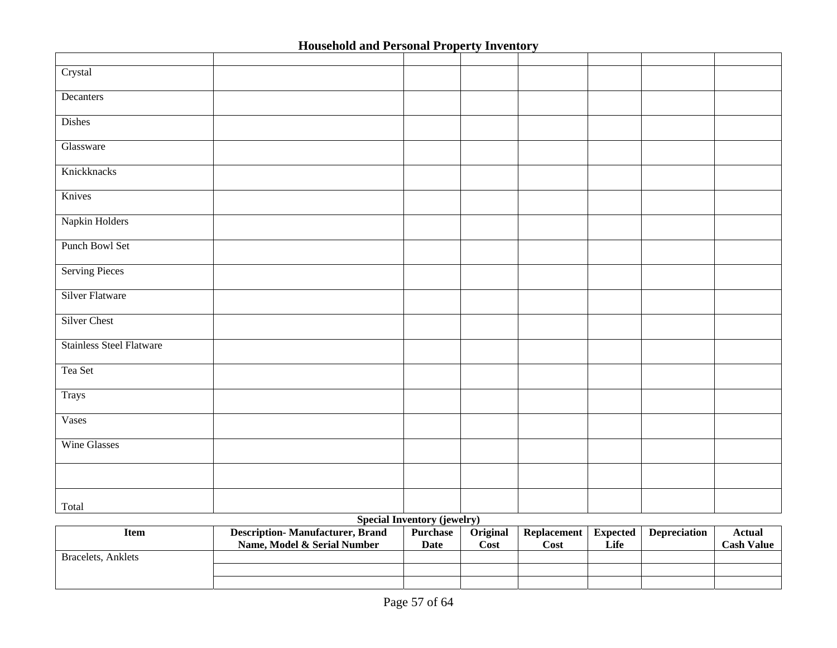|                                 |  | -- -<br>_________ |  |  |
|---------------------------------|--|-------------------|--|--|
|                                 |  |                   |  |  |
| Crystal                         |  |                   |  |  |
|                                 |  |                   |  |  |
| Decanters                       |  |                   |  |  |
| Dishes                          |  |                   |  |  |
| Glassware                       |  |                   |  |  |
| Knickknacks                     |  |                   |  |  |
| Knives                          |  |                   |  |  |
| Napkin Holders                  |  |                   |  |  |
| Punch Bowl Set                  |  |                   |  |  |
| <b>Serving Pieces</b>           |  |                   |  |  |
| <b>Silver Flatware</b>          |  |                   |  |  |
| Silver Chest                    |  |                   |  |  |
| <b>Stainless Steel Flatware</b> |  |                   |  |  |
| Tea Set                         |  |                   |  |  |
| Trays                           |  |                   |  |  |
| Vases                           |  |                   |  |  |
| <b>Wine Glasses</b>             |  |                   |  |  |
|                                 |  |                   |  |  |
| Total                           |  |                   |  |  |

#### **Special Inventory (jewelry)**

| Item               | <b>Description-Manufacturer, Brand</b><br>Name, Model & Serial Number | Purchase<br>Date | Original<br>Cost | <b>Replacement</b><br>Cost | <b>Expected</b><br>Life | <b>Depreciation</b> | Actual<br><b>Cash Value</b> |
|--------------------|-----------------------------------------------------------------------|------------------|------------------|----------------------------|-------------------------|---------------------|-----------------------------|
| Bracelets, Anklets |                                                                       |                  |                  |                            |                         |                     |                             |
|                    |                                                                       |                  |                  |                            |                         |                     |                             |
|                    |                                                                       |                  |                  |                            |                         |                     |                             |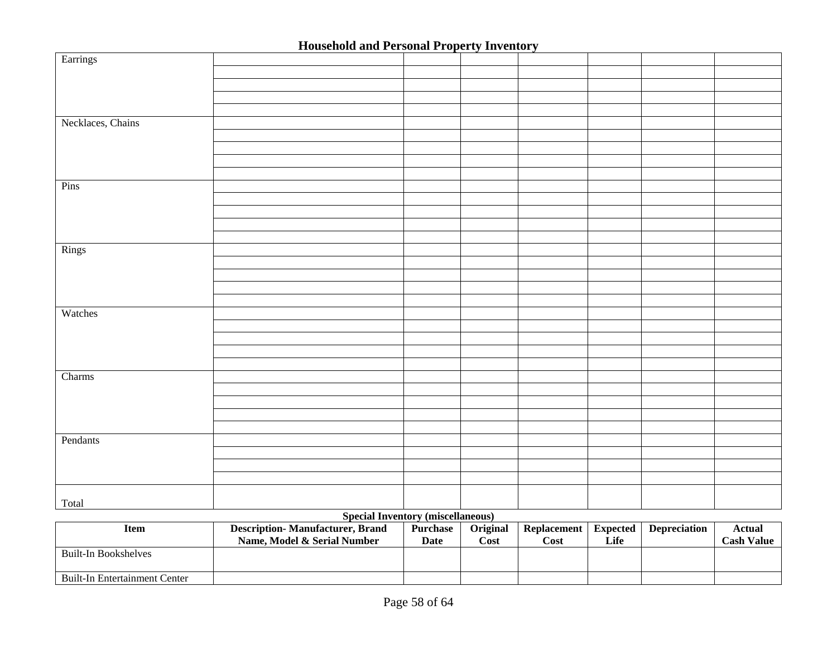|                   | <b>Household and I ersonal I roperty Inventory</b> |  |  |  |
|-------------------|----------------------------------------------------|--|--|--|
| Earrings          |                                                    |  |  |  |
|                   |                                                    |  |  |  |
|                   |                                                    |  |  |  |
|                   |                                                    |  |  |  |
|                   |                                                    |  |  |  |
| Necklaces, Chains |                                                    |  |  |  |
|                   |                                                    |  |  |  |
|                   |                                                    |  |  |  |
|                   |                                                    |  |  |  |
|                   |                                                    |  |  |  |
| Pins              |                                                    |  |  |  |
|                   |                                                    |  |  |  |
|                   |                                                    |  |  |  |
|                   |                                                    |  |  |  |
|                   |                                                    |  |  |  |
| Rings             |                                                    |  |  |  |
|                   |                                                    |  |  |  |
|                   |                                                    |  |  |  |
|                   |                                                    |  |  |  |
|                   |                                                    |  |  |  |
| Watches           |                                                    |  |  |  |
|                   |                                                    |  |  |  |
|                   |                                                    |  |  |  |
|                   |                                                    |  |  |  |
|                   |                                                    |  |  |  |
| Charms            |                                                    |  |  |  |
|                   |                                                    |  |  |  |
|                   |                                                    |  |  |  |
|                   |                                                    |  |  |  |
|                   |                                                    |  |  |  |
| Pendants          |                                                    |  |  |  |
|                   |                                                    |  |  |  |
|                   |                                                    |  |  |  |
|                   |                                                    |  |  |  |
|                   |                                                    |  |  |  |
| Total             |                                                    |  |  |  |
|                   |                                                    |  |  |  |

#### **Special Inventory (miscellaneous)**

| Item                          | <b>Description-Manufacturer, Brand</b> | <b>Purchase</b> | <b>Original</b> | Replacement | Expected | <b>Depreciation</b> | Actual            |
|-------------------------------|----------------------------------------|-----------------|-----------------|-------------|----------|---------------------|-------------------|
|                               | Name. Model & Serial Number            | Date            | Cost            | Cost        | Life     |                     | <b>Cash Value</b> |
| Built-In Bookshelves          |                                        |                 |                 |             |          |                     |                   |
| Built-In Entertainment Center |                                        |                 |                 |             |          |                     |                   |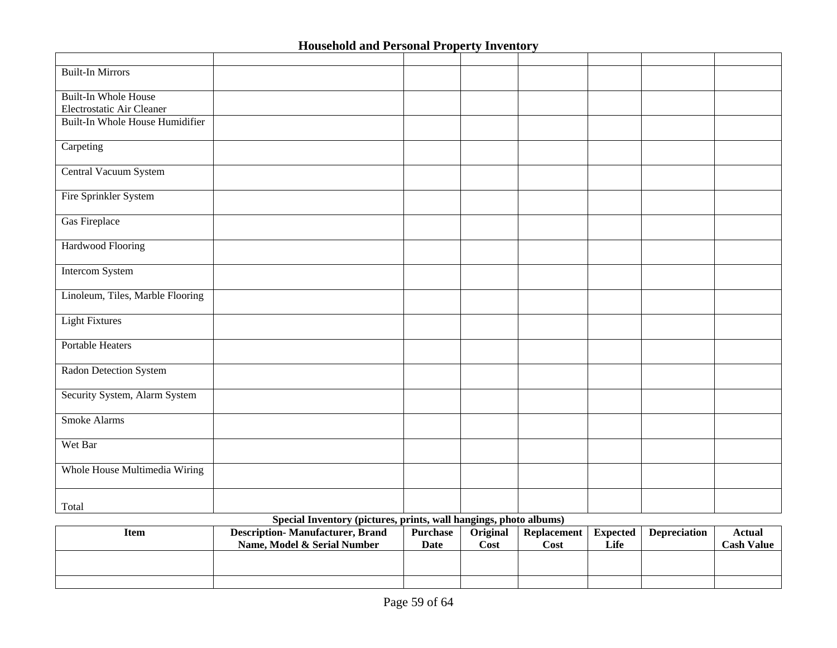| <b>Built-In Mirrors</b>          |                                                                |  |  |  |
|----------------------------------|----------------------------------------------------------------|--|--|--|
|                                  |                                                                |  |  |  |
| <b>Built-In Whole House</b>      |                                                                |  |  |  |
| Electrostatic Air Cleaner        |                                                                |  |  |  |
| Built-In Whole House Humidifier  |                                                                |  |  |  |
|                                  |                                                                |  |  |  |
|                                  |                                                                |  |  |  |
| Carpeting                        |                                                                |  |  |  |
|                                  |                                                                |  |  |  |
| Central Vacuum System            |                                                                |  |  |  |
|                                  |                                                                |  |  |  |
| Fire Sprinkler System            |                                                                |  |  |  |
|                                  |                                                                |  |  |  |
| Gas Fireplace                    |                                                                |  |  |  |
|                                  |                                                                |  |  |  |
|                                  |                                                                |  |  |  |
| Hardwood Flooring                |                                                                |  |  |  |
|                                  |                                                                |  |  |  |
| Intercom System                  |                                                                |  |  |  |
|                                  |                                                                |  |  |  |
| Linoleum, Tiles, Marble Flooring |                                                                |  |  |  |
|                                  |                                                                |  |  |  |
| <b>Light Fixtures</b>            |                                                                |  |  |  |
|                                  |                                                                |  |  |  |
|                                  |                                                                |  |  |  |
| Portable Heaters                 |                                                                |  |  |  |
|                                  |                                                                |  |  |  |
| Radon Detection System           |                                                                |  |  |  |
|                                  |                                                                |  |  |  |
| Security System, Alarm System    |                                                                |  |  |  |
|                                  |                                                                |  |  |  |
| Smoke Alarms                     |                                                                |  |  |  |
|                                  |                                                                |  |  |  |
|                                  |                                                                |  |  |  |
| Wet Bar                          |                                                                |  |  |  |
|                                  |                                                                |  |  |  |
| Whole House Multimedia Wiring    |                                                                |  |  |  |
|                                  |                                                                |  |  |  |
|                                  |                                                                |  |  |  |
| Total                            |                                                                |  |  |  |
|                                  | Special Inventory (pictures prints well bengings photo elbums) |  |  |  |

#### **Special Inventory (pictures, prints, wall hangings, photo albums)**

| Item | <b>Description-Manufacturer, Brand</b><br>Name. Model & Serial Number | <b>Purchase</b><br>Date | Original<br>Cost | <b>Replacement</b><br>Cost | <b>Expected</b><br>Life | <b>Depreciation</b> | Actual<br><b>Cash Value</b> |
|------|-----------------------------------------------------------------------|-------------------------|------------------|----------------------------|-------------------------|---------------------|-----------------------------|
|      |                                                                       |                         |                  |                            |                         |                     |                             |
|      |                                                                       |                         |                  |                            |                         |                     |                             |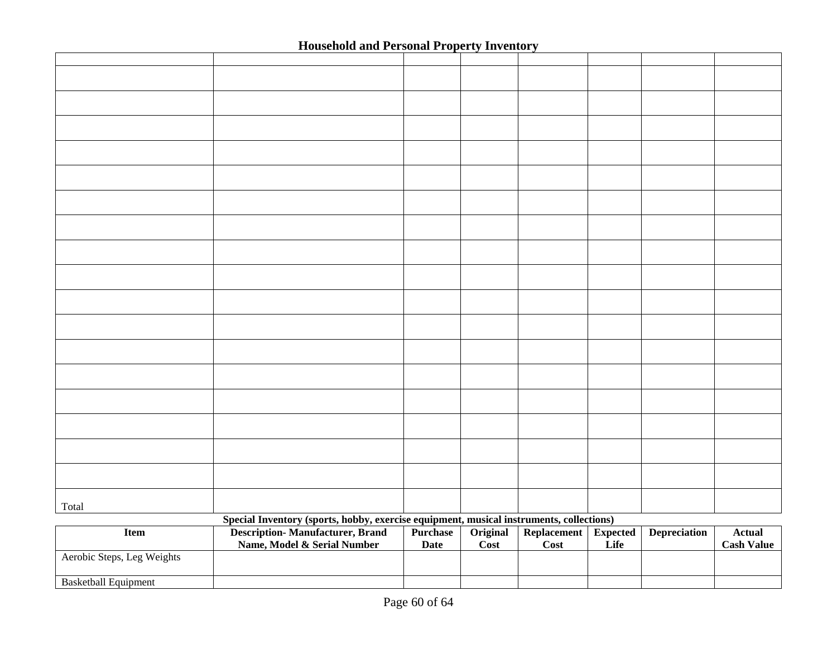|                             |                                                                                         |             | . <i>.</i>                 |             |                 |                     |                   |
|-----------------------------|-----------------------------------------------------------------------------------------|-------------|----------------------------|-------------|-----------------|---------------------|-------------------|
|                             |                                                                                         |             |                            |             |                 |                     |                   |
|                             |                                                                                         |             |                            |             |                 |                     |                   |
|                             |                                                                                         |             |                            |             |                 |                     |                   |
|                             |                                                                                         |             |                            |             |                 |                     |                   |
|                             |                                                                                         |             |                            |             |                 |                     |                   |
|                             |                                                                                         |             |                            |             |                 |                     |                   |
|                             |                                                                                         |             |                            |             |                 |                     |                   |
|                             |                                                                                         |             |                            |             |                 |                     |                   |
|                             |                                                                                         |             |                            |             |                 |                     |                   |
|                             |                                                                                         |             |                            |             |                 |                     |                   |
|                             |                                                                                         |             |                            |             |                 |                     |                   |
|                             |                                                                                         |             |                            |             |                 |                     |                   |
|                             |                                                                                         |             |                            |             |                 |                     |                   |
|                             |                                                                                         |             |                            |             |                 |                     |                   |
|                             |                                                                                         |             |                            |             |                 |                     |                   |
|                             |                                                                                         |             |                            |             |                 |                     |                   |
|                             |                                                                                         |             |                            |             |                 |                     |                   |
|                             |                                                                                         |             |                            |             |                 |                     |                   |
|                             |                                                                                         |             |                            |             |                 |                     |                   |
|                             |                                                                                         |             |                            |             |                 |                     |                   |
|                             |                                                                                         |             |                            |             |                 |                     |                   |
|                             |                                                                                         |             |                            |             |                 |                     |                   |
|                             |                                                                                         |             |                            |             |                 |                     |                   |
|                             |                                                                                         |             |                            |             |                 |                     |                   |
|                             |                                                                                         |             |                            |             |                 |                     |                   |
|                             |                                                                                         |             |                            |             |                 |                     |                   |
|                             |                                                                                         |             |                            |             |                 |                     |                   |
|                             |                                                                                         |             |                            |             |                 |                     |                   |
|                             |                                                                                         |             |                            |             |                 |                     |                   |
|                             |                                                                                         |             |                            |             |                 |                     |                   |
|                             |                                                                                         |             |                            |             |                 |                     |                   |
|                             |                                                                                         |             |                            |             |                 |                     |                   |
| Total                       |                                                                                         |             |                            |             |                 |                     |                   |
|                             | Special Inventory (sports, hobby, exercise equipment, musical instruments, collections) |             |                            |             |                 |                     |                   |
| <b>Item</b>                 | Description-Manufacturer, Brand                                                         | Purchase    | Original                   | Replacement | <b>Expected</b> | <b>Depreciation</b> | <b>Actual</b>     |
|                             | Name, Model & Serial Number                                                             | <b>Date</b> | $\overline{\mathrm{Cost}}$ | Cost        | Life            |                     | <b>Cash Value</b> |
| Aerobic Steps, Leg Weights  |                                                                                         |             |                            |             |                 |                     |                   |
| <b>Basketball Equipment</b> |                                                                                         |             |                            |             |                 |                     |                   |
|                             |                                                                                         |             |                            |             |                 |                     |                   |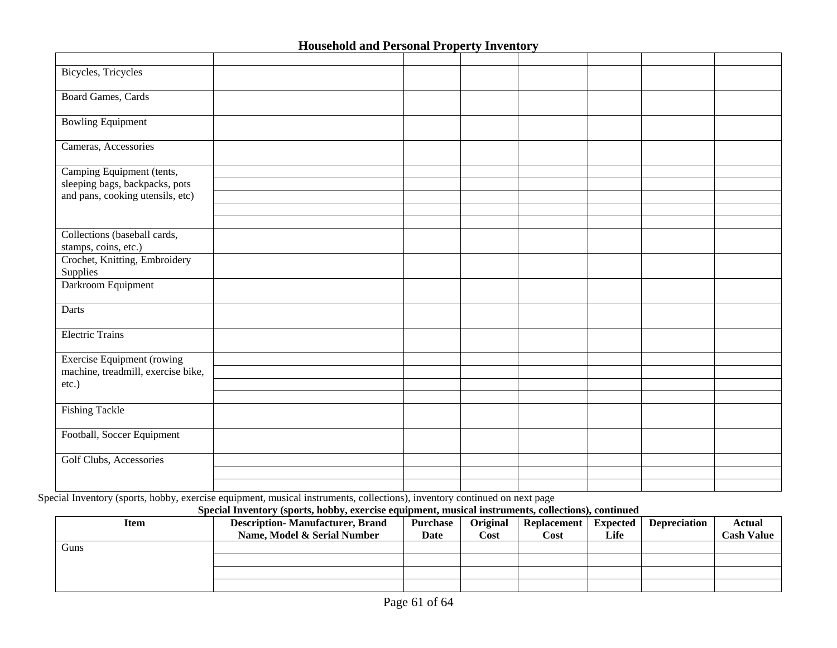| Bicycles, Tricycles                                  |  |  |  |  |
|------------------------------------------------------|--|--|--|--|
| <b>Board Games, Cards</b>                            |  |  |  |  |
| <b>Bowling Equipment</b>                             |  |  |  |  |
| Cameras, Accessories                                 |  |  |  |  |
| Camping Equipment (tents,                            |  |  |  |  |
| sleeping bags, backpacks, pots                       |  |  |  |  |
| and pans, cooking utensils, etc)                     |  |  |  |  |
|                                                      |  |  |  |  |
|                                                      |  |  |  |  |
| Collections (baseball cards,<br>stamps, coins, etc.) |  |  |  |  |
| Crochet, Knitting, Embroidery<br>Supplies            |  |  |  |  |
| Darkroom Equipment                                   |  |  |  |  |
| Darts                                                |  |  |  |  |
| <b>Electric Trains</b>                               |  |  |  |  |
| Exercise Equipment (rowing                           |  |  |  |  |
| machine, treadmill, exercise bike,                   |  |  |  |  |
| etc.)                                                |  |  |  |  |
|                                                      |  |  |  |  |
| <b>Fishing Tackle</b>                                |  |  |  |  |
| Football, Soccer Equipment                           |  |  |  |  |
| Golf Clubs, Accessories                              |  |  |  |  |
|                                                      |  |  |  |  |
|                                                      |  |  |  |  |

Special Inventory (sports, hobby, exercise equipment, musical instruments, collections), inventory continued on next page

| Special Inventory (sports, hobby, exercise equipment, musical instruments, collections), continued |                                        |                 |          |                    |                 |                     |                   |  |
|----------------------------------------------------------------------------------------------------|----------------------------------------|-----------------|----------|--------------------|-----------------|---------------------|-------------------|--|
| Item                                                                                               | <b>Description-Manufacturer, Brand</b> | <b>Purchase</b> | Original | <b>Replacement</b> | <b>Expected</b> | <b>Depreciation</b> | Actual            |  |
|                                                                                                    | Name. Model & Serial Number            | Date            | Cost     | Cost               | Life            |                     | <b>Cash Value</b> |  |
| Guns                                                                                               |                                        |                 |          |                    |                 |                     |                   |  |
|                                                                                                    |                                        |                 |          |                    |                 |                     |                   |  |
|                                                                                                    |                                        |                 |          |                    |                 |                     |                   |  |
|                                                                                                    |                                        |                 |          |                    |                 |                     |                   |  |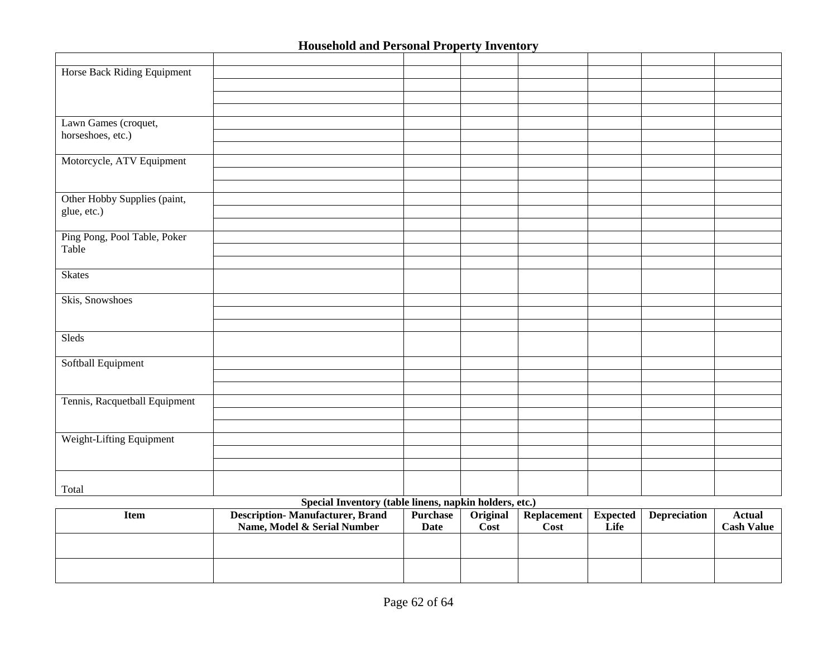|                                       |  | -- . ----- |  |  |
|---------------------------------------|--|------------|--|--|
|                                       |  |            |  |  |
| Horse Back Riding Equipment           |  |            |  |  |
|                                       |  |            |  |  |
|                                       |  |            |  |  |
|                                       |  |            |  |  |
| Lawn Games (croquet,                  |  |            |  |  |
| horseshoes, etc.)                     |  |            |  |  |
|                                       |  |            |  |  |
| Motorcycle, ATV Equipment             |  |            |  |  |
|                                       |  |            |  |  |
|                                       |  |            |  |  |
| Other Hobby Supplies (paint,          |  |            |  |  |
| glue, etc.)                           |  |            |  |  |
|                                       |  |            |  |  |
| Ping Pong, Pool Table, Poker<br>Table |  |            |  |  |
|                                       |  |            |  |  |
|                                       |  |            |  |  |
| <b>Skates</b>                         |  |            |  |  |
|                                       |  |            |  |  |
| Skis, Snowshoes                       |  |            |  |  |
|                                       |  |            |  |  |
|                                       |  |            |  |  |
| Sleds                                 |  |            |  |  |
|                                       |  |            |  |  |
| Softball Equipment                    |  |            |  |  |
|                                       |  |            |  |  |
|                                       |  |            |  |  |
| Tennis, Racquetball Equipment         |  |            |  |  |
|                                       |  |            |  |  |
|                                       |  |            |  |  |
| Weight-Lifting Equipment              |  |            |  |  |
|                                       |  |            |  |  |
|                                       |  |            |  |  |
|                                       |  |            |  |  |
| Total                                 |  |            |  |  |

### **Special Inventory (table linens, napkin holders, etc.)**

| Item | <b>Description-Manufacturer, Brand</b> | Purchase | Original | Replacement | <b>Expected</b> | <b>Depreciation</b> | Actual     |
|------|----------------------------------------|----------|----------|-------------|-----------------|---------------------|------------|
|      | Name. Model & Serial Number            | Date     | Cost     | Cost        | Life            |                     | Cash Value |
|      |                                        |          |          |             |                 |                     |            |
|      |                                        |          |          |             |                 |                     |            |
|      |                                        |          |          |             |                 |                     |            |
|      |                                        |          |          |             |                 |                     |            |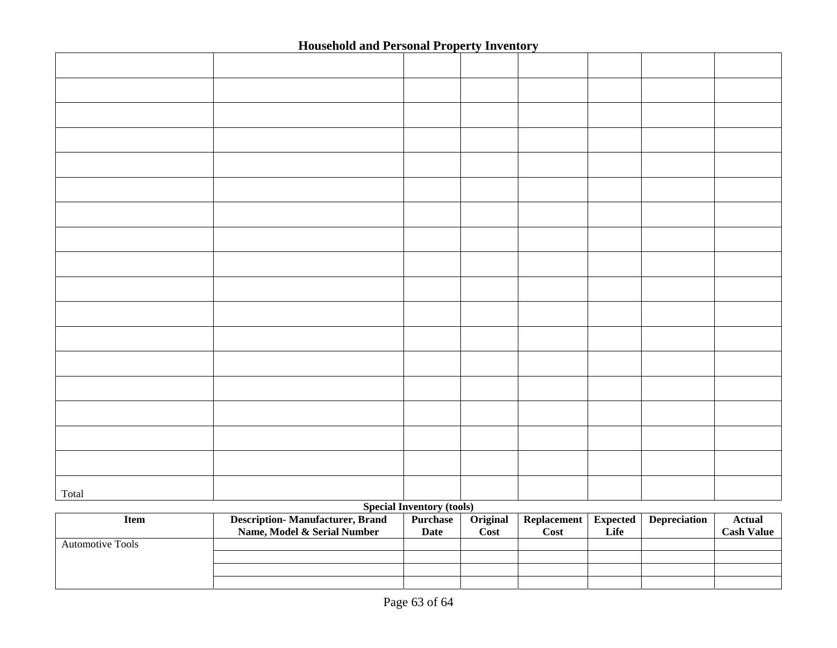| Total |  |  |  |  |
|-------|--|--|--|--|

#### **Special Inventory (tools)**

| <b>Item</b>             | <b>Description-Manufacturer, Brand</b><br>Name, Model & Serial Number | <b>Purchase</b><br>Date | Original<br>Cost | <b>Replacement</b><br>Cost | Expected<br>Life | <b>Depreciation</b> | Actual<br><b>Cash Value</b> |
|-------------------------|-----------------------------------------------------------------------|-------------------------|------------------|----------------------------|------------------|---------------------|-----------------------------|
| <b>Automotive Tools</b> |                                                                       |                         |                  |                            |                  |                     |                             |
|                         |                                                                       |                         |                  |                            |                  |                     |                             |
|                         |                                                                       |                         |                  |                            |                  |                     |                             |
|                         |                                                                       |                         |                  |                            |                  |                     |                             |